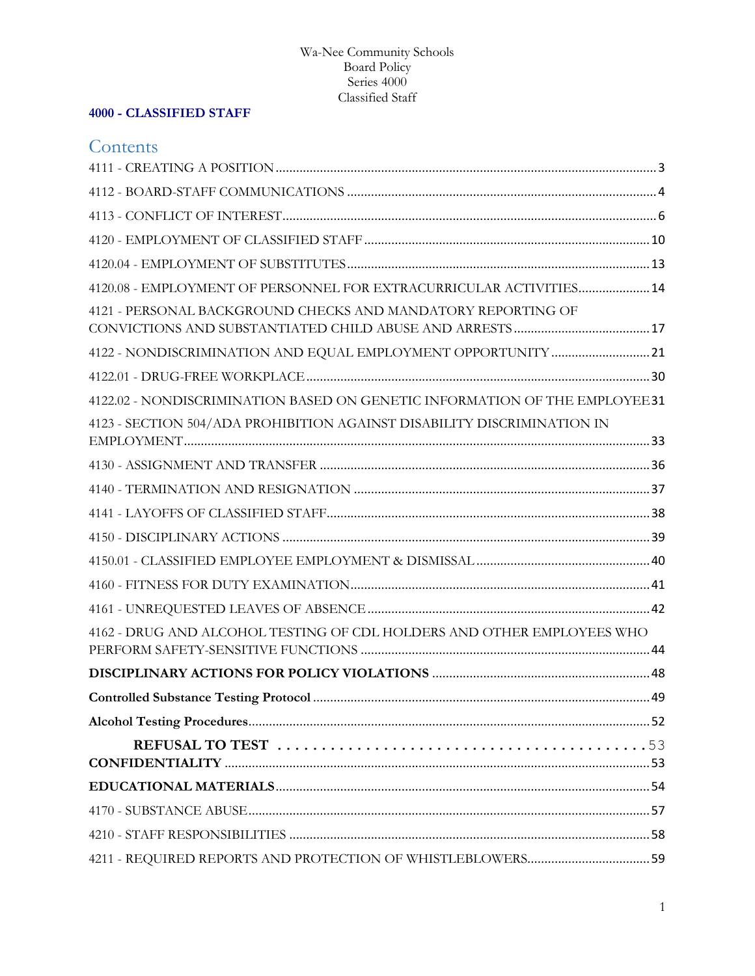# **4000 - CLASSIFIED STAFF**

# **Contents**

| 4120.08 - EMPLOYMENT OF PERSONNEL FOR EXTRACURRICULAR ACTIVITIES 14         |  |
|-----------------------------------------------------------------------------|--|
| 4121 - PERSONAL BACKGROUND CHECKS AND MANDATORY REPORTING OF                |  |
|                                                                             |  |
|                                                                             |  |
| 4122.02 - NONDISCRIMINATION BASED ON GENETIC INFORMATION OF THE EMPLOYEE 31 |  |
| 4123 - SECTION 504/ADA PROHIBITION AGAINST DISABILITY DISCRIMINATION IN     |  |
|                                                                             |  |
|                                                                             |  |
|                                                                             |  |
|                                                                             |  |
|                                                                             |  |
|                                                                             |  |
|                                                                             |  |
| 4162 - DRUG AND ALCOHOL TESTING OF CDL HOLDERS AND OTHER EMPLOYEES WHO      |  |
|                                                                             |  |
|                                                                             |  |
|                                                                             |  |
|                                                                             |  |
|                                                                             |  |
|                                                                             |  |
|                                                                             |  |
|                                                                             |  |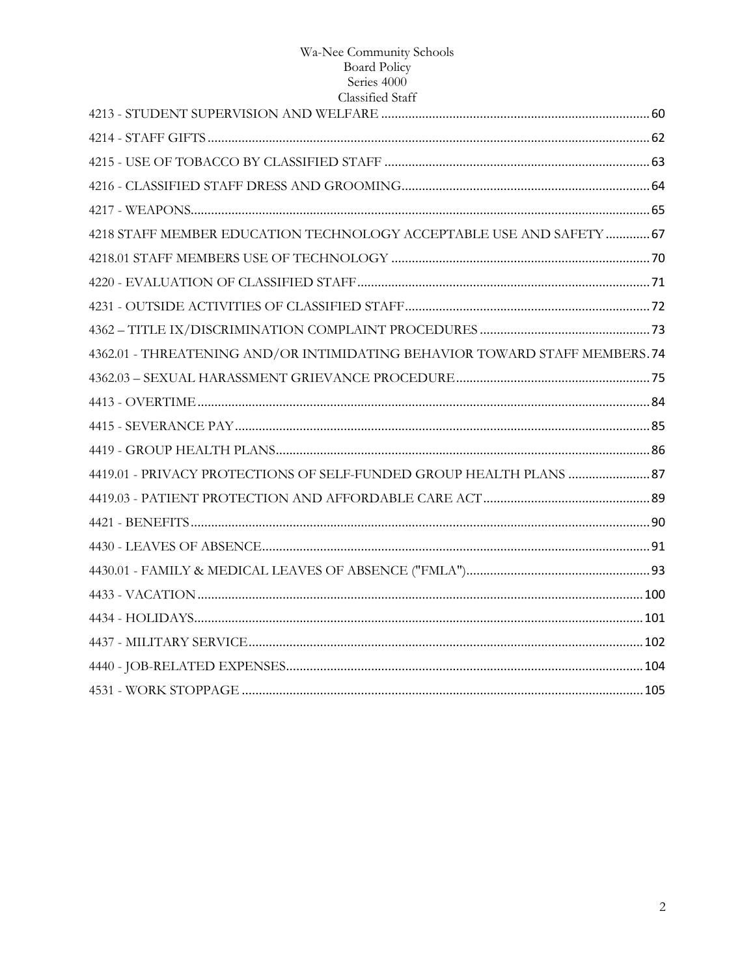| Ciassified Staff                                                           |  |
|----------------------------------------------------------------------------|--|
|                                                                            |  |
|                                                                            |  |
|                                                                            |  |
|                                                                            |  |
|                                                                            |  |
| 4218 STAFF MEMBER EDUCATION TECHNOLOGY ACCEPTABLE USE AND SAFETY  67       |  |
|                                                                            |  |
|                                                                            |  |
|                                                                            |  |
|                                                                            |  |
| 4362.01 - THREATENING AND/OR INTIMIDATING BEHAVIOR TOWARD STAFF MEMBERS.74 |  |
|                                                                            |  |
|                                                                            |  |
|                                                                            |  |
|                                                                            |  |
| 4419.01 - PRIVACY PROTECTIONS OF SELF-FUNDED GROUP HEALTH PLANS  87        |  |
|                                                                            |  |
|                                                                            |  |
|                                                                            |  |
|                                                                            |  |
|                                                                            |  |
|                                                                            |  |
|                                                                            |  |
|                                                                            |  |
|                                                                            |  |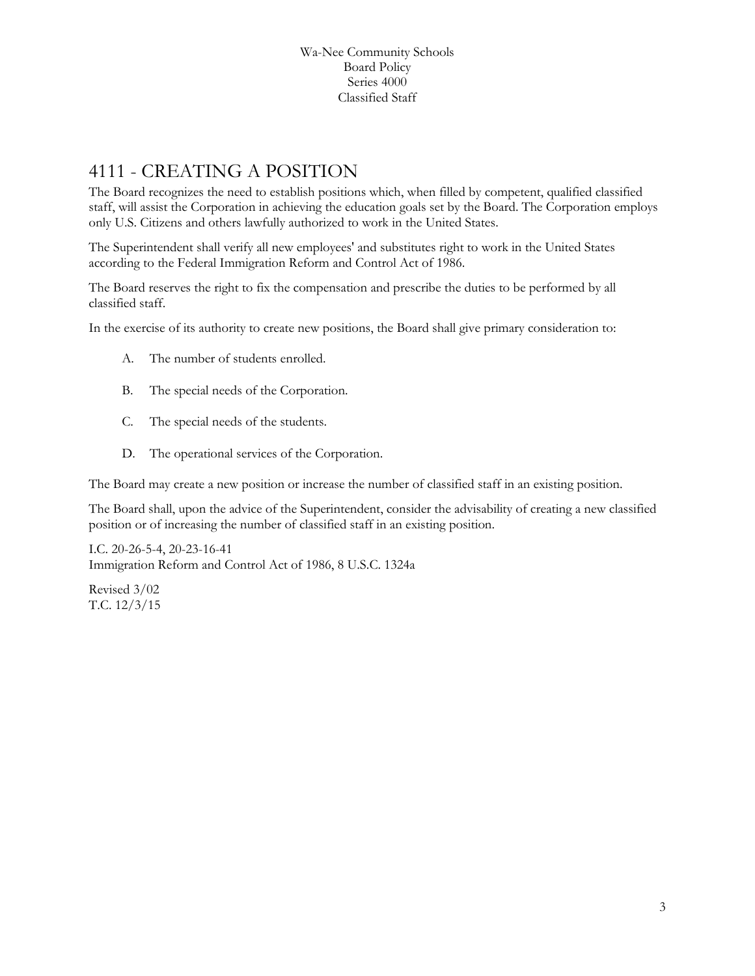# <span id="page-2-0"></span>4111 - CREATING A POSITION

The Board recognizes the need to establish positions which, when filled by competent, qualified classified staff, will assist the Corporation in achieving the education goals set by the Board. The Corporation employs only U.S. Citizens and others lawfully authorized to work in the United States.

The Superintendent shall verify all new employees' and substitutes right to work in the United States according to the Federal Immigration Reform and Control Act of 1986.

The Board reserves the right to fix the compensation and prescribe the duties to be performed by all classified staff.

In the exercise of its authority to create new positions, the Board shall give primary consideration to:

- A. The number of students enrolled.
- B. The special needs of the Corporation.
- C. The special needs of the students.
- D. The operational services of the Corporation.

The Board may create a new position or increase the number of classified staff in an existing position.

The Board shall, upon the advice of the Superintendent, consider the advisability of creating a new classified position or of increasing the number of classified staff in an existing position.

I.C. 20-26-5-4, 20-23-16-41 Immigration Reform and Control Act of 1986, 8 U.S.C. 1324a

Revised 3/02 T.C. 12/3/15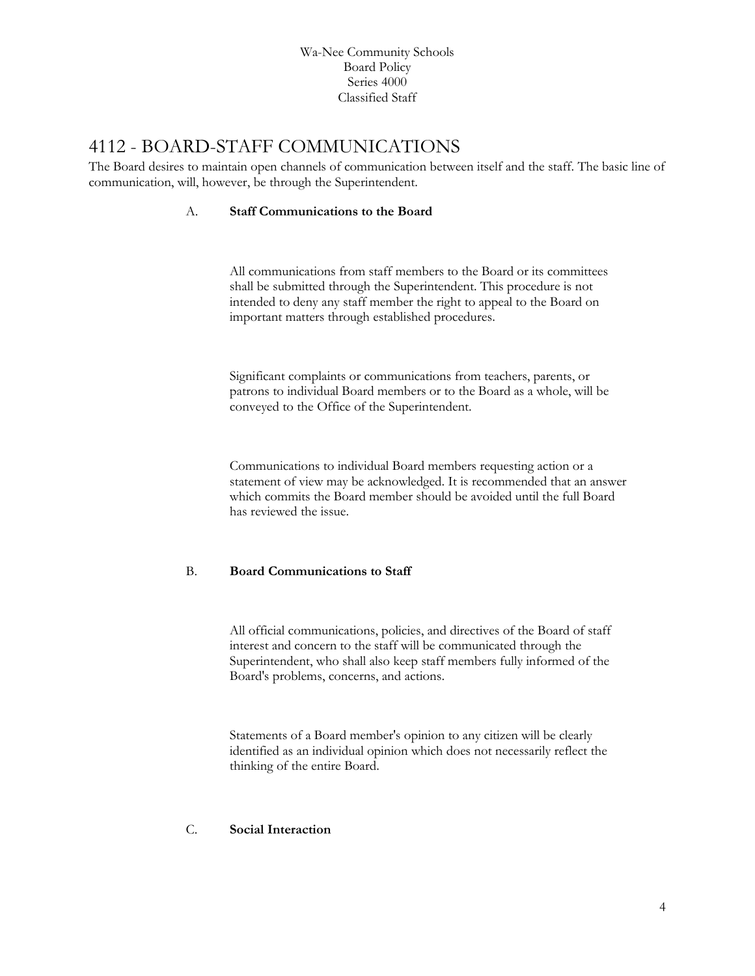# <span id="page-3-0"></span>4112 - BOARD-STAFF COMMUNICATIONS

The Board desires to maintain open channels of communication between itself and the staff. The basic line of communication, will, however, be through the Superintendent.

#### A. **Staff Communications to the Board**

All communications from staff members to the Board or its committees shall be submitted through the Superintendent. This procedure is not intended to deny any staff member the right to appeal to the Board on important matters through established procedures.

Significant complaints or communications from teachers, parents, or patrons to individual Board members or to the Board as a whole, will be conveyed to the Office of the Superintendent.

Communications to individual Board members requesting action or a statement of view may be acknowledged. It is recommended that an answer which commits the Board member should be avoided until the full Board has reviewed the issue.

#### B. **Board Communications to Staff**

All official communications, policies, and directives of the Board of staff interest and concern to the staff will be communicated through the Superintendent, who shall also keep staff members fully informed of the Board's problems, concerns, and actions.

Statements of a Board member's opinion to any citizen will be clearly identified as an individual opinion which does not necessarily reflect the thinking of the entire Board.

#### C. **Social Interaction**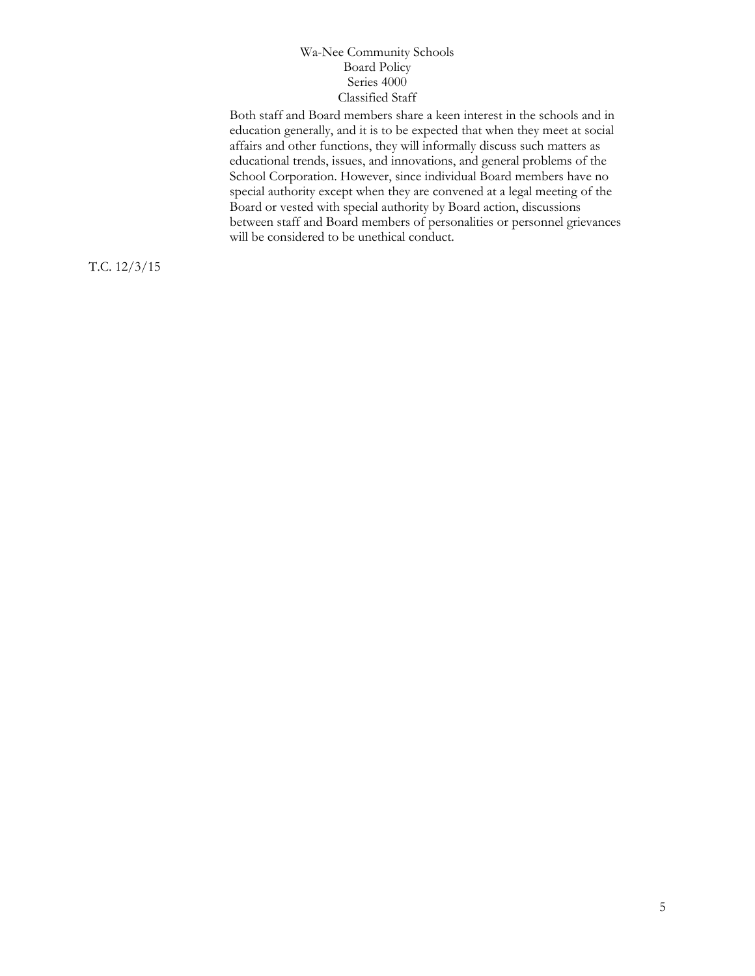Both staff and Board members share a keen interest in the schools and in education generally, and it is to be expected that when they meet at social affairs and other functions, they will informally discuss such matters as educational trends, issues, and innovations, and general problems of the School Corporation. However, since individual Board members have no special authority except when they are convened at a legal meeting of the Board or vested with special authority by Board action, discussions between staff and Board members of personalities or personnel grievances will be considered to be unethical conduct.

T.C. 12/3/15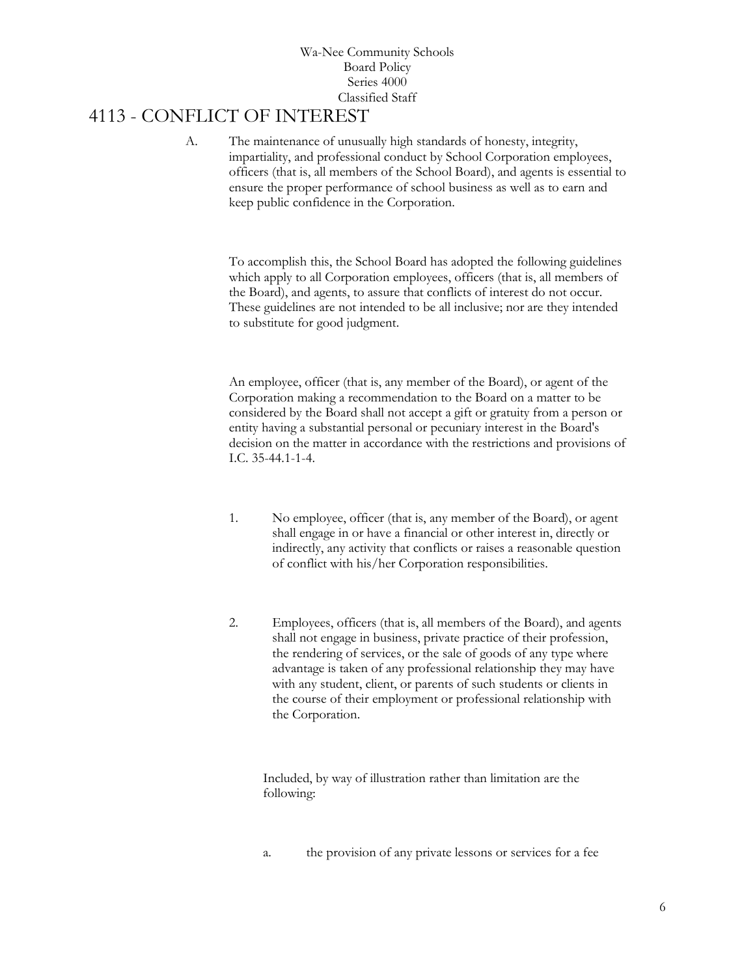# <span id="page-5-0"></span>4113 - CONFLICT OF INTEREST

A. The maintenance of unusually high standards of honesty, integrity, impartiality, and professional conduct by School Corporation employees, officers (that is, all members of the School Board), and agents is essential to ensure the proper performance of school business as well as to earn and keep public confidence in the Corporation.

To accomplish this, the School Board has adopted the following guidelines which apply to all Corporation employees, officers (that is, all members of the Board), and agents, to assure that conflicts of interest do not occur. These guidelines are not intended to be all inclusive; nor are they intended to substitute for good judgment.

An employee, officer (that is, any member of the Board), or agent of the Corporation making a recommendation to the Board on a matter to be considered by the Board shall not accept a gift or gratuity from a person or entity having a substantial personal or pecuniary interest in the Board's decision on the matter in accordance with the restrictions and provisions of I.C. 35-44.1-1-4.

- 1. No employee, officer (that is, any member of the Board), or agent shall engage in or have a financial or other interest in, directly or indirectly, any activity that conflicts or raises a reasonable question of conflict with his/her Corporation responsibilities.
- 2. Employees, officers (that is, all members of the Board), and agents shall not engage in business, private practice of their profession, the rendering of services, or the sale of goods of any type where advantage is taken of any professional relationship they may have with any student, client, or parents of such students or clients in the course of their employment or professional relationship with the Corporation.

Included, by way of illustration rather than limitation are the following:

a. the provision of any private lessons or services for a fee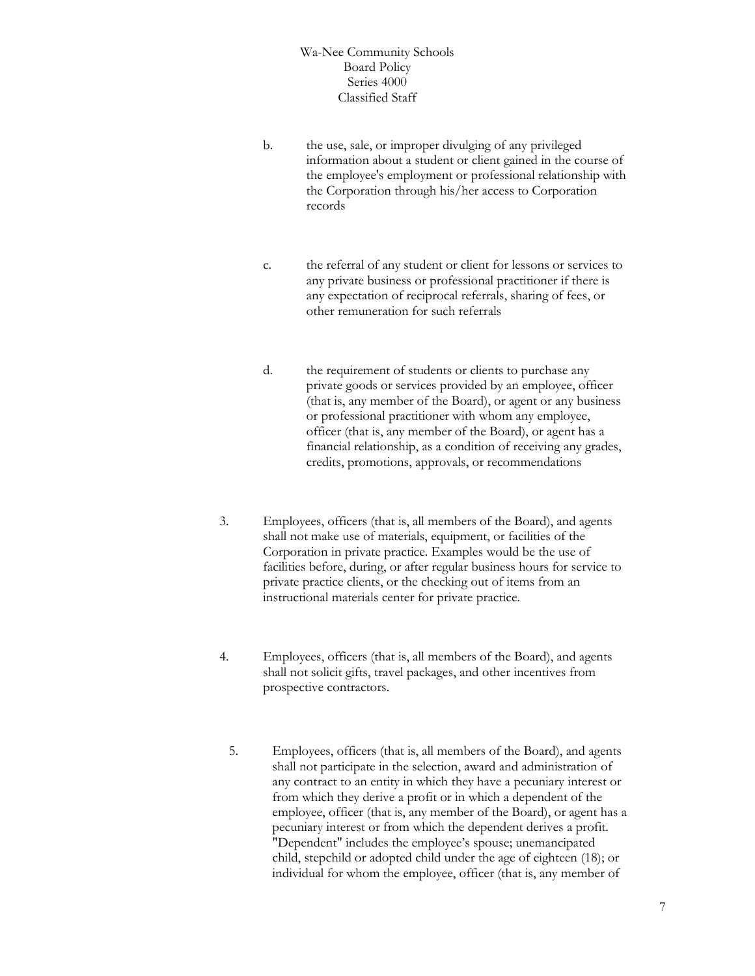- b. the use, sale, or improper divulging of any privileged information about a student or client gained in the course of the employee's employment or professional relationship with the Corporation through his/her access to Corporation records
- c. the referral of any student or client for lessons or services to any private business or professional practitioner if there is any expectation of reciprocal referrals, sharing of fees, or other remuneration for such referrals
- d. the requirement of students or clients to purchase any private goods or services provided by an employee, officer (that is, any member of the Board), or agent or any business or professional practitioner with whom any employee, officer (that is, any member of the Board), or agent has a financial relationship, as a condition of receiving any grades, credits, promotions, approvals, or recommendations
- 3. Employees, officers (that is, all members of the Board), and agents shall not make use of materials, equipment, or facilities of the Corporation in private practice. Examples would be the use of facilities before, during, or after regular business hours for service to private practice clients, or the checking out of items from an instructional materials center for private practice.
- 4. Employees, officers (that is, all members of the Board), and agents shall not solicit gifts, travel packages, and other incentives from prospective contractors.
	- 5. Employees, officers (that is, all members of the Board), and agents shall not participate in the selection, award and administration of any contract to an entity in which they have a pecuniary interest or from which they derive a profit or in which a dependent of the employee, officer (that is, any member of the Board), or agent has a pecuniary interest or from which the dependent derives a profit. "Dependent" includes the employee's spouse; unemancipated child, stepchild or adopted child under the age of eighteen (18); or individual for whom the employee, officer (that is, any member of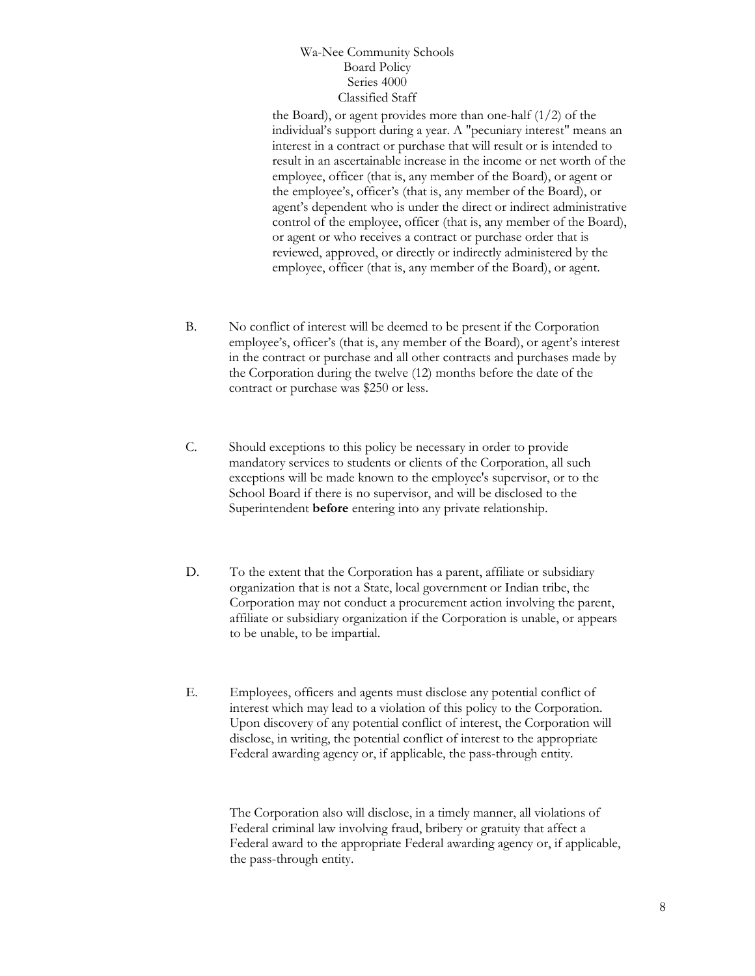the Board), or agent provides more than one-half (1/2) of the individual's support during a year. A "pecuniary interest" means an interest in a contract or purchase that will result or is intended to result in an ascertainable increase in the income or net worth of the employee, officer (that is, any member of the Board), or agent or the employee's, officer's (that is, any member of the Board), or agent's dependent who is under the direct or indirect administrative control of the employee, officer (that is, any member of the Board), or agent or who receives a contract or purchase order that is reviewed, approved, or directly or indirectly administered by the employee, officer (that is, any member of the Board), or agent.

- B. No conflict of interest will be deemed to be present if the Corporation employee's, officer's (that is, any member of the Board), or agent's interest in the contract or purchase and all other contracts and purchases made by the Corporation during the twelve (12) months before the date of the contract or purchase was \$250 or less.
- C. Should exceptions to this policy be necessary in order to provide mandatory services to students or clients of the Corporation, all such exceptions will be made known to the employee's supervisor, or to the School Board if there is no supervisor, and will be disclosed to the Superintendent **before** entering into any private relationship.
- D. To the extent that the Corporation has a parent, affiliate or subsidiary organization that is not a State, local government or Indian tribe, the Corporation may not conduct a procurement action involving the parent, affiliate or subsidiary organization if the Corporation is unable, or appears to be unable, to be impartial.
- E. Employees, officers and agents must disclose any potential conflict of interest which may lead to a violation of this policy to the Corporation. Upon discovery of any potential conflict of interest, the Corporation will disclose, in writing, the potential conflict of interest to the appropriate Federal awarding agency or, if applicable, the pass-through entity.

The Corporation also will disclose, in a timely manner, all violations of Federal criminal law involving fraud, bribery or gratuity that affect a Federal award to the appropriate Federal awarding agency or, if applicable, the pass-through entity.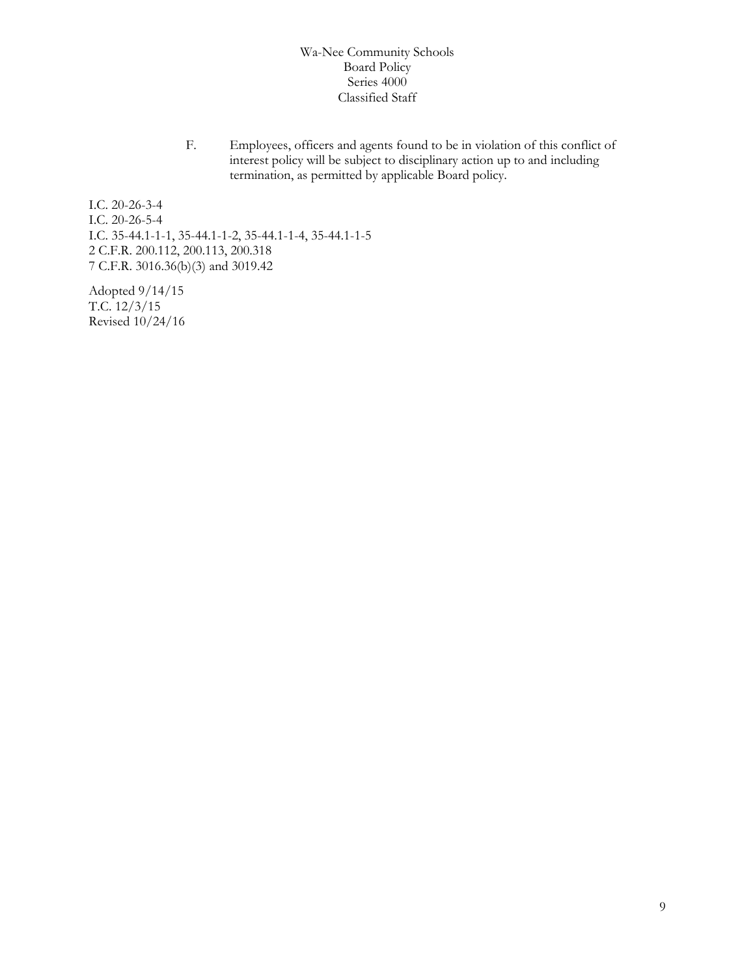F. Employees, officers and agents found to be in violation of this conflict of interest policy will be subject to disciplinary action up to and including termination, as permitted by applicable Board policy.

I.C. 20-26-3-4 I.C. 20-26-5-4 I.C. 35-44.1-1-1, 35-44.1-1-2, 35-44.1-1-4, 35-44.1-1-5 2 C.F.R. 200.112, 200.113, 200.318 7 C.F.R. 3016.36(b)(3) and 3019.42

Adopted 9/14/15 T.C. 12/3/15 Revised 10/24/16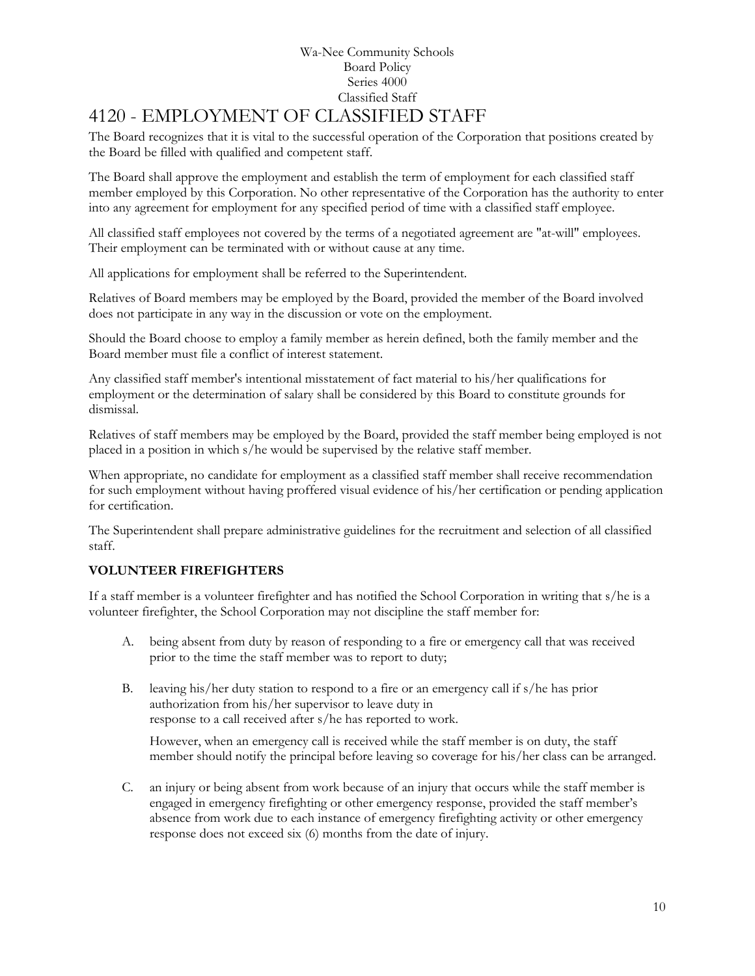#### Wa-Nee Community Schools Board Policy Series 4000 Classified Staff [4120](http://www.neola.com/wanee-in/search/ag/ag4120.htm) - EMPLOYMENT OF CLASSIFIED STAFF

<span id="page-9-0"></span>The Board recognizes that it is vital to the successful operation of the Corporation that positions created by the Board be filled with qualified and competent staff.

The Board shall approve the employment and establish the term of employment for each classified staff member employed by this Corporation. No other representative of the Corporation has the authority to enter into any agreement for employment for any specified period of time with a classified staff employee.

All classified staff employees not covered by the terms of a negotiated agreement are "at-will" employees. Their employment can be terminated with or without cause at any time.

All applications for employment shall be referred to the Superintendent.

Relatives of Board members may be employed by the Board, provided the member of the Board involved does not participate in any way in the discussion or vote on the employment.

Should the Board choose to employ a family member as herein defined, both the family member and the Board member must file a conflict of interest statement.

Any classified staff member's intentional misstatement of fact material to his/her qualifications for employment or the determination of salary shall be considered by this Board to constitute grounds for dismissal.

Relatives of staff members may be employed by the Board, provided the staff member being employed is not placed in a position in which s/he would be supervised by the relative staff member.

When appropriate, no candidate for employment as a classified staff member shall receive recommendation for such employment without having proffered visual evidence of his/her certification or pending application for certification.

The Superintendent shall prepare administrative guidelines for the recruitment and selection of all classified staff.

#### **VOLUNTEER FIREFIGHTERS**

If a staff member is a volunteer firefighter and has notified the School Corporation in writing that s/he is a volunteer firefighter, the School Corporation may not discipline the staff member for:

- A. being absent from duty by reason of responding to a fire or emergency call that was received prior to the time the staff member was to report to duty;
- B. leaving his/her duty station to respond to a fire or an emergency call if s/he has prior authorization from his/her supervisor to leave duty in response to a call received after s/he has reported to work.

However, when an emergency call is received while the staff member is on duty, the staff member should notify the principal before leaving so coverage for his/her class can be arranged.

C. an injury or being absent from work because of an injury that occurs while the staff member is engaged in emergency firefighting or other emergency response, provided the staff member's absence from work due to each instance of emergency firefighting activity or other emergency response does not exceed six (6) months from the date of injury.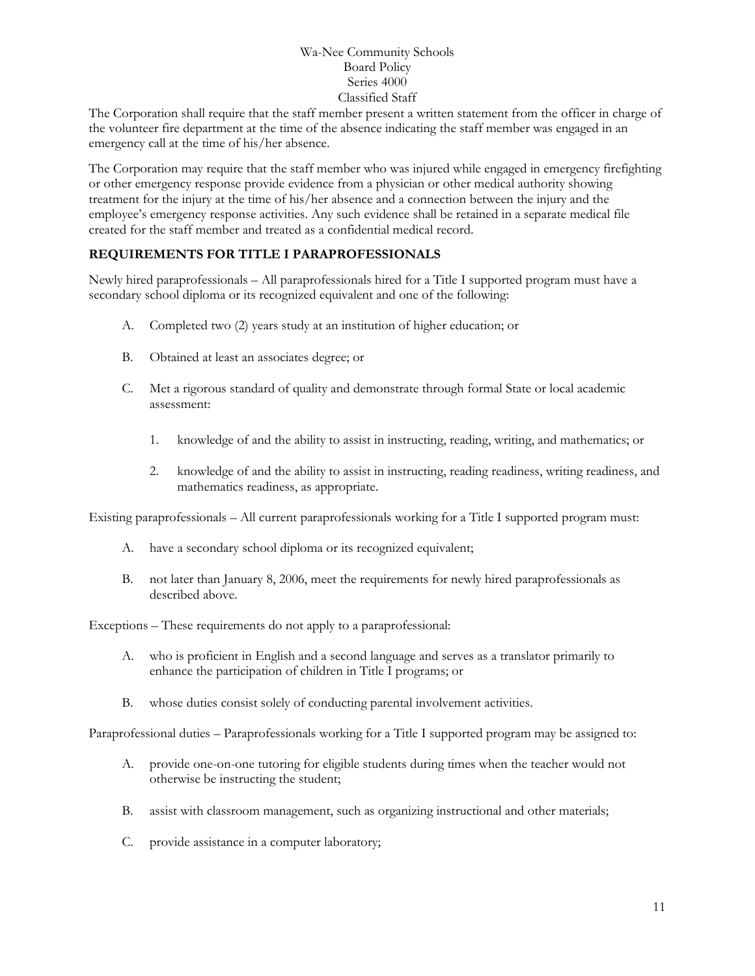The Corporation shall require that the staff member present a written statement from the officer in charge of the volunteer fire department at the time of the absence indicating the staff member was engaged in an emergency call at the time of his/her absence.

The Corporation may require that the staff member who was injured while engaged in emergency firefighting or other emergency response provide evidence from a physician or other medical authority showing treatment for the injury at the time of his/her absence and a connection between the injury and the employee's emergency response activities. Any such evidence shall be retained in a separate medical file created for the staff member and treated as a confidential medical record.

#### **REQUIREMENTS FOR TITLE I PARAPROFESSIONALS**

Newly hired paraprofessionals – All paraprofessionals hired for a Title I supported program must have a secondary school diploma or its recognized equivalent and one of the following:

- A. Completed two (2) years study at an institution of higher education; or
- B. Obtained at least an associates degree; or
- C. Met a rigorous standard of quality and demonstrate through formal State or local academic assessment:
	- 1. knowledge of and the ability to assist in instructing, reading, writing, and mathematics; or
	- 2. knowledge of and the ability to assist in instructing, reading readiness, writing readiness, and mathematics readiness, as appropriate.

Existing paraprofessionals – All current paraprofessionals working for a Title I supported program must:

- A. have a secondary school diploma or its recognized equivalent;
- B. not later than January 8, 2006, meet the requirements for newly hired paraprofessionals as described above.

Exceptions – These requirements do not apply to a paraprofessional:

- A. who is proficient in English and a second language and serves as a translator primarily to enhance the participation of children in Title I programs; or
- B. whose duties consist solely of conducting parental involvement activities.

Paraprofessional duties – Paraprofessionals working for a Title I supported program may be assigned to:

- A. provide one-on-one tutoring for eligible students during times when the teacher would not otherwise be instructing the student;
- B. assist with classroom management, such as organizing instructional and other materials;
- C. provide assistance in a computer laboratory;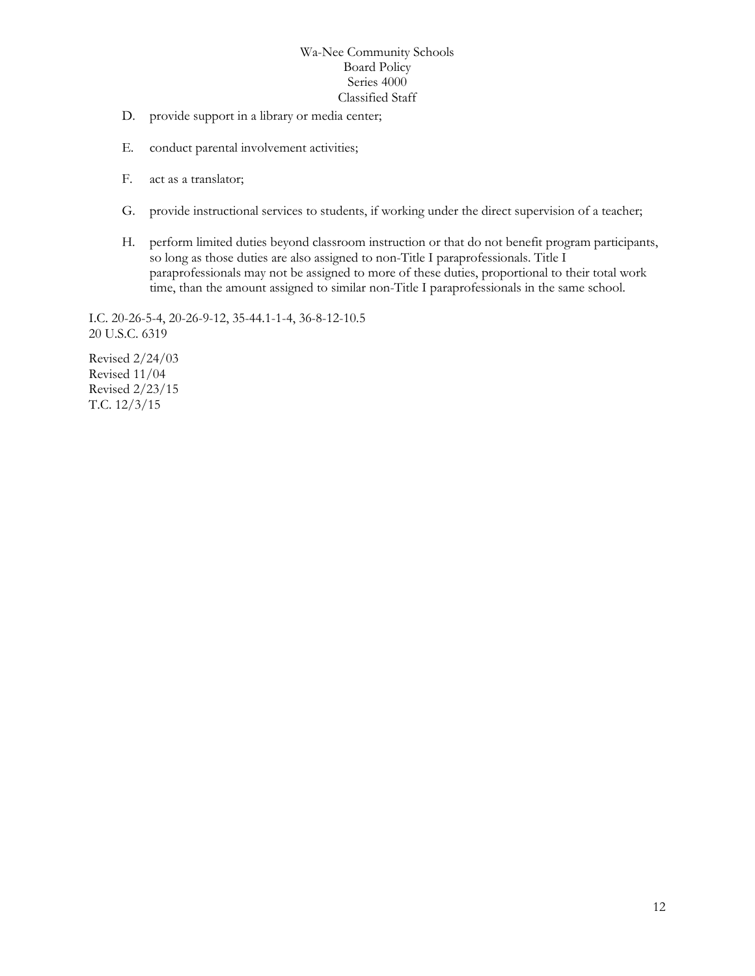- D. provide support in a library or media center;
- E. conduct parental involvement activities;
- F. act as a translator;
- G. provide instructional services to students, if working under the direct supervision of a teacher;
- H. perform limited duties beyond classroom instruction or that do not benefit program participants, so long as those duties are also assigned to non-Title I paraprofessionals. Title I paraprofessionals may not be assigned to more of these duties, proportional to their total work time, than the amount assigned to similar non-Title I paraprofessionals in the same school.

I.C. 20-26-5-4, 20-26-9-12, 35-44.1-1-4, 36-8-12-10.5 20 U.S.C. 6319

Revised 2/24/03 Revised 11/04 Revised 2/23/15 T.C. 12/3/15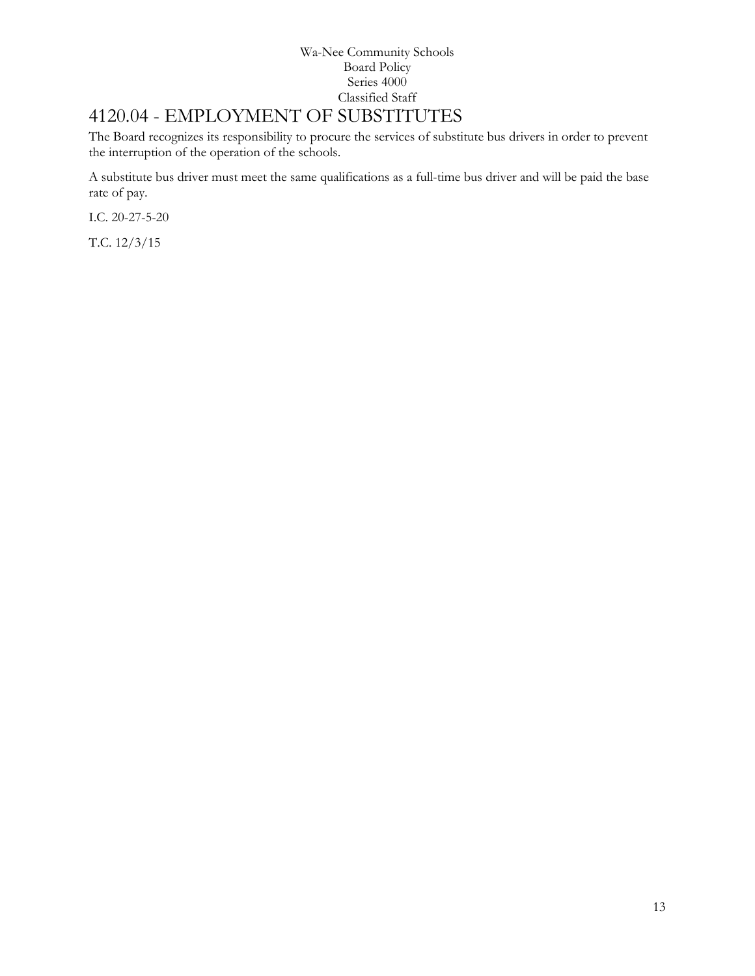# <span id="page-12-0"></span>4120.04 - EMPLOYMENT OF SUBSTITUTES

The Board recognizes its responsibility to procure the services of substitute bus drivers in order to prevent the interruption of the operation of the schools.

A substitute bus driver must meet the same qualifications as a full-time bus driver and will be paid the base rate of pay.

I.C. 20-27-5-20

T.C. 12/3/15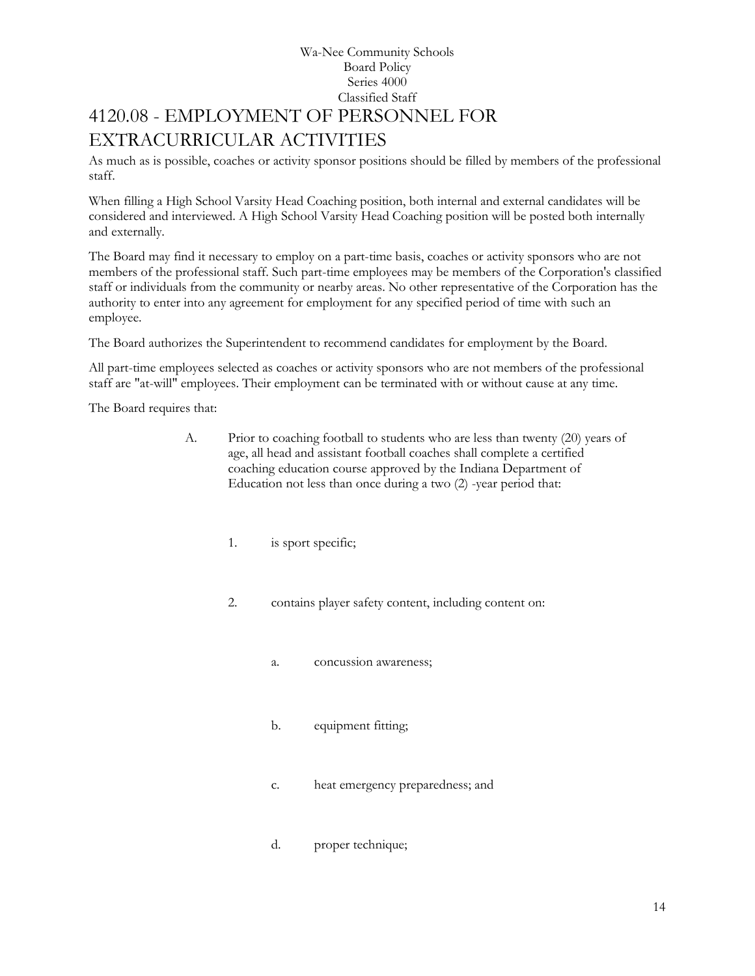## Wa-Nee Community Schools Board Policy Series 4000 Classified Staff 4120.08 - EMPLOYMENT OF PERSONNEL FOR EXTRACURRICULAR ACTIVITIES

<span id="page-13-0"></span>As much as is possible, coaches or activity sponsor positions should be filled by members of the professional staff.

When filling a High School Varsity Head Coaching position, both internal and external candidates will be considered and interviewed. A High School Varsity Head Coaching position will be posted both internally and externally.

The Board may find it necessary to employ on a part-time basis, coaches or activity sponsors who are not members of the professional staff. Such part-time employees may be members of the Corporation's classified staff or individuals from the community or nearby areas. No other representative of the Corporation has the authority to enter into any agreement for employment for any specified period of time with such an employee.

The Board authorizes the Superintendent to recommend candidates for employment by the Board.

All part-time employees selected as coaches or activity sponsors who are not members of the professional staff are "at-will" employees. Their employment can be terminated with or without cause at any time.

The Board requires that:

- A. Prior to coaching football to students who are less than twenty (20) years of age, all head and assistant football coaches shall complete a certified coaching education course approved by the Indiana Department of Education not less than once during a two (2) -year period that:
	- 1. is sport specific;
	- 2. contains player safety content, including content on:
		- a. concussion awareness;
		- b. equipment fitting;
		- c. heat emergency preparedness; and
		- d. proper technique;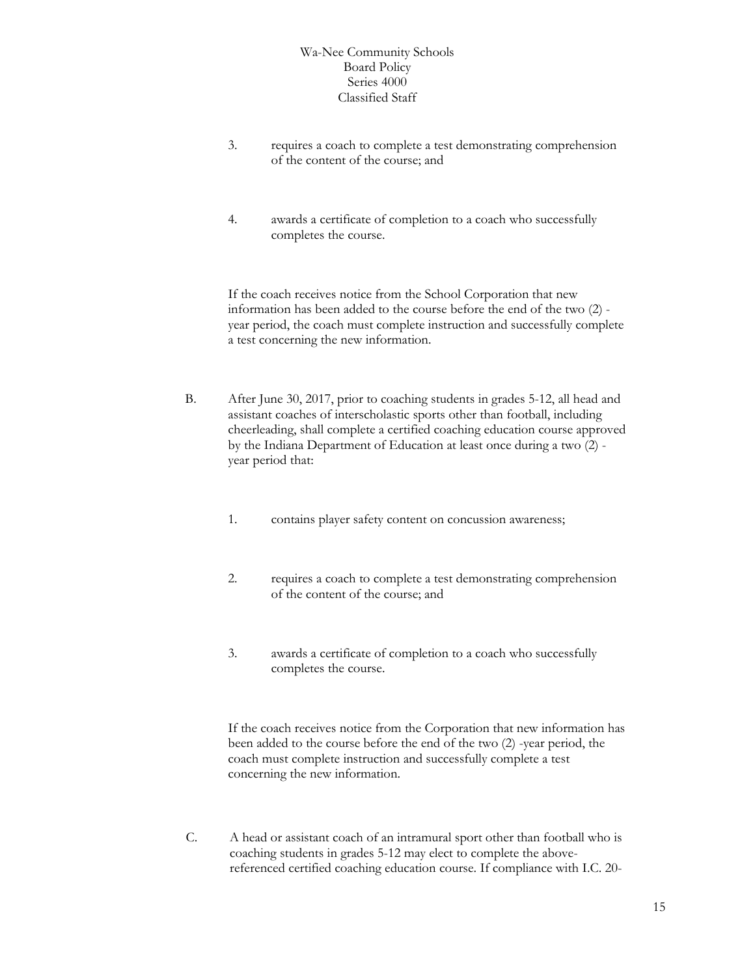- 3. requires a coach to complete a test demonstrating comprehension of the content of the course; and
- 4. awards a certificate of completion to a coach who successfully completes the course.

If the coach receives notice from the School Corporation that new information has been added to the course before the end of the two (2) year period, the coach must complete instruction and successfully complete a test concerning the new information.

- B. After June 30, 2017, prior to coaching students in grades 5-12, all head and assistant coaches of interscholastic sports other than football, including cheerleading, shall complete a certified coaching education course approved by the Indiana Department of Education at least once during a two (2) year period that:
	- 1. contains player safety content on concussion awareness;
	- 2. requires a coach to complete a test demonstrating comprehension of the content of the course; and
	- 3. awards a certificate of completion to a coach who successfully completes the course.

If the coach receives notice from the Corporation that new information has been added to the course before the end of the two (2) -year period, the coach must complete instruction and successfully complete a test concerning the new information.

C. A head or assistant coach of an intramural sport other than football who is coaching students in grades 5-12 may elect to complete the abovereferenced certified coaching education course. If compliance with I.C. 20-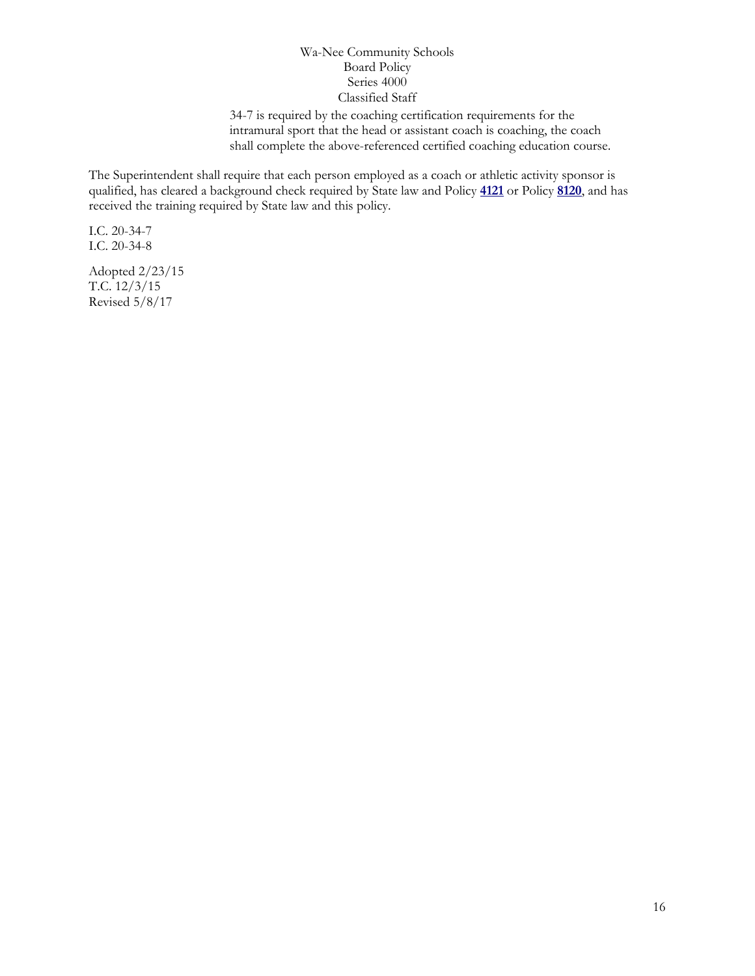34-7 is required by the coaching certification requirements for the intramural sport that the head or assistant coach is coaching, the coach shall complete the above-referenced certified coaching education course.

The Superintendent shall require that each person employed as a coach or athletic activity sponsor is qualified, has cleared a background check required by State law and Policy **[4121](http://www.neola.com/wanee-in/search/policies/po4121.htm)** or Policy **[8120](http://www.neola.com/wanee-in/search/policies/po8120.htm)**, and has received the training required by State law and this policy.

I.C. 20-34-7 I.C. 20-34-8

Adopted 2/23/15 T.C. 12/3/15 Revised 5/8/17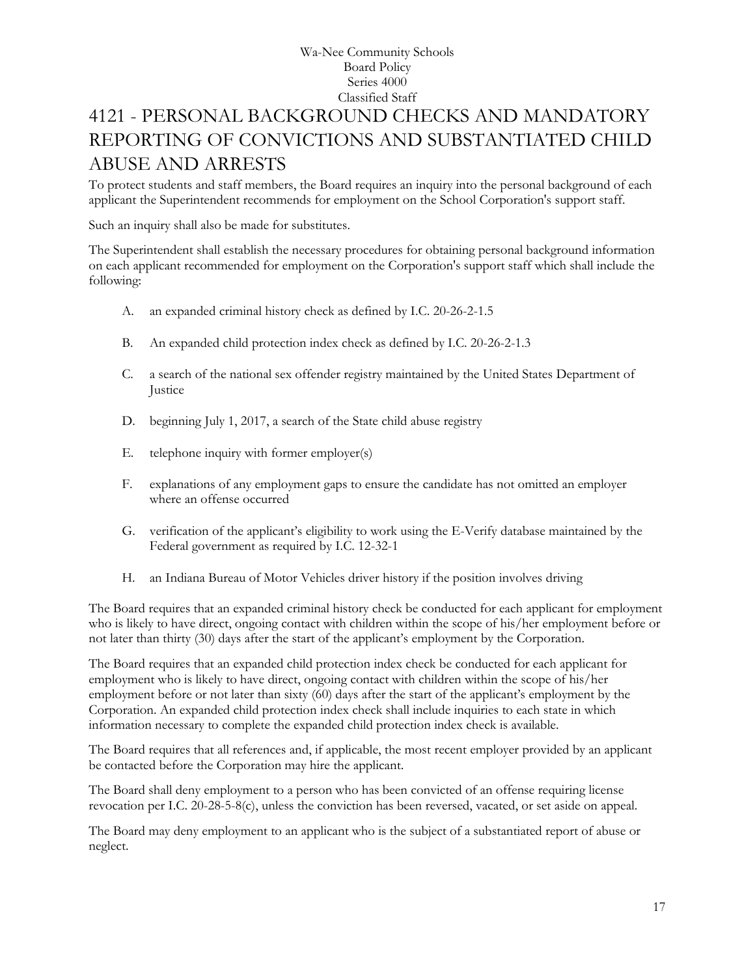# <span id="page-16-0"></span>[4121](http://www.neola.com/wanee-in/search/ag/ag4121.htm) - PERSONAL BACKGROUND CHECKS AND MANDATORY REPORTING OF CONVICTIONS AND SUBSTANTIATED CHILD ABUSE AND ARRESTS

To protect students and staff members, the Board requires an inquiry into the personal background of each applicant the Superintendent recommends for employment on the School Corporation's support staff.

Such an inquiry shall also be made for substitutes.

The Superintendent shall establish the necessary procedures for obtaining personal background information on each applicant recommended for employment on the Corporation's support staff which shall include the following:

- A. an expanded criminal history check as defined by I.C. 20-26-2-1.5
- B. An expanded child protection index check as defined by I.C. 20-26-2-1.3
- C. a search of the national sex offender registry maintained by the United States Department of **Justice**
- D. beginning July 1, 2017, a search of the State child abuse registry
- E. telephone inquiry with former employer(s)
- F. explanations of any employment gaps to ensure the candidate has not omitted an employer where an offense occurred
- G. verification of the applicant's eligibility to work using the E-Verify database maintained by the Federal government as required by I.C. 12-32-1
- H. an Indiana Bureau of Motor Vehicles driver history if the position involves driving

The Board requires that an expanded criminal history check be conducted for each applicant for employment who is likely to have direct, ongoing contact with children within the scope of his/her employment before or not later than thirty (30) days after the start of the applicant's employment by the Corporation.

The Board requires that an expanded child protection index check be conducted for each applicant for employment who is likely to have direct, ongoing contact with children within the scope of his/her employment before or not later than sixty (60) days after the start of the applicant's employment by the Corporation. An expanded child protection index check shall include inquiries to each state in which information necessary to complete the expanded child protection index check is available.

The Board requires that all references and, if applicable, the most recent employer provided by an applicant be contacted before the Corporation may hire the applicant.

The Board shall deny employment to a person who has been convicted of an offense requiring license revocation per I.C. 20-28-5-8(c), unless the conviction has been reversed, vacated, or set aside on appeal.

The Board may deny employment to an applicant who is the subject of a substantiated report of abuse or neglect.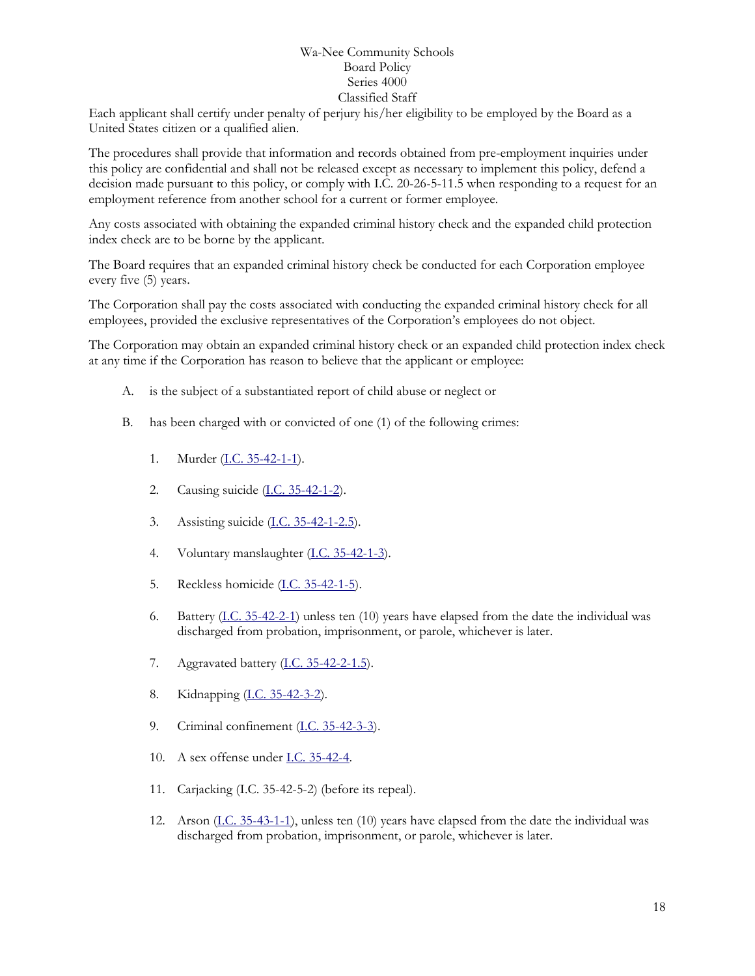Each applicant shall certify under penalty of perjury his/her eligibility to be employed by the Board as a United States citizen or a qualified alien.

The procedures shall provide that information and records obtained from pre-employment inquiries under this policy are confidential and shall not be released except as necessary to implement this policy, defend a decision made pursuant to this policy, or comply with I.C. 20-26-5-11.5 when responding to a request for an employment reference from another school for a current or former employee.

Any costs associated with obtaining the expanded criminal history check and the expanded child protection index check are to be borne by the applicant.

The Board requires that an expanded criminal history check be conducted for each Corporation employee every five (5) years.

The Corporation shall pay the costs associated with conducting the expanded criminal history check for all employees, provided the exclusive representatives of the Corporation's employees do not object.

The Corporation may obtain an expanded criminal history check or an expanded child protection index check at any time if the Corporation has reason to believe that the applicant or employee:

- A. is the subject of a substantiated report of child abuse or neglect or
- B. has been charged with or convicted of one (1) of the following crimes:
	- 1. Murder (<u>I.C. 35-42-1-1</u>).
	- 2. Causing suicide [\(I.C. 35-42-1-2\)](http://iga.in.gov/legislative/laws/2017/ic/titles/020/t_blank#35-42-1-2).
	- 3. Assisting suicide [\(I.C. 35-42-1-2.5\)](http://iga.in.gov/legislative/laws/2017/ic/titles/020/t_blank#35-42-1-2.5).
	- 4. Voluntary manslaughter [\(I.C. 35-42-1-3\)](http://iga.in.gov/legislative/laws/2017/ic/titles/020/t_blank#35-42-1-3).
	- 5. Reckless homicide [\(I.C. 35-42-1-5\)](http://iga.in.gov/legislative/laws/2017/ic/titles/020/t_blank#35-42-1-5).
	- 6. Battery [\(I.C. 35-42-2-1\)](http://iga.in.gov/legislative/laws/2017/ic/titles/020/t_blank#35-42-2-1) unless ten (10) years have elapsed from the date the individual was discharged from probation, imprisonment, or parole, whichever is later.
	- 7. Aggravated battery [\(I.C. 35-42-2-1.5\)](http://iga.in.gov/legislative/laws/2017/ic/titles/020/t_blank#35-42-2-1.5).
	- 8. Kidnapping [\(I.C. 35-42-3-2\)](http://iga.in.gov/legislative/laws/2017/ic/titles/020/t_blank#35-42-3-2).
	- 9. Criminal confinement [\(I.C. 35-42-3-3\)](http://iga.in.gov/legislative/laws/2017/ic/titles/020/t_blank#35-42-3-3).
	- 10. A sex offense under [I.C. 35-42-4.](http://iga.in.gov/legislative/laws/2017/ic/titles/020/t_blank#35-42-4)
	- 11. Carjacking (I.C. 35-42-5-2) (before its repeal).
	- 12. Arson [\(I.C. 35-43-1-1\)](http://iga.in.gov/legislative/laws/2017/ic/titles/020/t_blank#35-43-1-1), unless ten (10) years have elapsed from the date the individual was discharged from probation, imprisonment, or parole, whichever is later.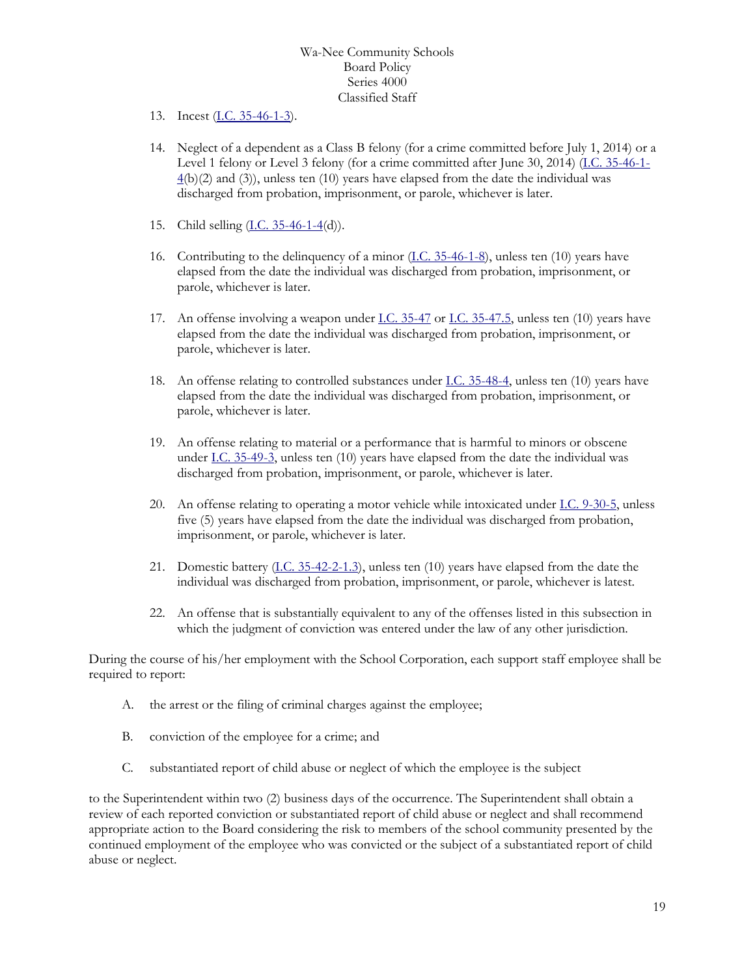- 13. Incest [\(I.C. 35-46-1-3\)](http://iga.in.gov/legislative/laws/2017/ic/titles/020/t_blank#35-46-1-3).
- 14. Neglect of a dependent as a Class B felony (for a crime committed before July 1, 2014) or a Level 1 felony or Level 3 felony (for a crime committed after June 30, 2014) [\(I.C. 35-46-1-](http://iga.in.gov/legislative/laws/2017/ic/titles/020/t_blank#35-46-1-4) [4\(](http://iga.in.gov/legislative/laws/2017/ic/titles/020/t_blank#35-46-1-4)b)(2) and (3)), unless ten (10) years have elapsed from the date the individual was discharged from probation, imprisonment, or parole, whichever is later.
- 15. Child selling [\(I.C. 35-46-1-4\(](http://iga.in.gov/legislative/laws/2017/ic/titles/020/t_blank#35-46-1-4)d)).
- 16. Contributing to the delinquency of a minor [\(I.C. 35-46-1-8\)](http://iga.in.gov/legislative/laws/2017/ic/titles/020/t_blank#35-46-1-8), unless ten (10) years have elapsed from the date the individual was discharged from probation, imprisonment, or parole, whichever is later.
- 17. An offense involving a weapon under <u>I.C. 35-47</u> or <u>I.C. 35-47.5</u>, unless ten (10) years have elapsed from the date the individual was discharged from probation, imprisonment, or parole, whichever is later.
- 18. An offense relating to controlled substances under  $\underline{I.C.}$  35-48-4, unless ten (10) years have elapsed from the date the individual was discharged from probation, imprisonment, or parole, whichever is later.
- 19. An offense relating to material or a performance that is harmful to minors or obscene under [I.C. 35-49-3,](http://iga.in.gov/legislative/laws/2017/ic/titles/020/t_blank#35-49-3) unless ten (10) years have elapsed from the date the individual was discharged from probation, imprisonment, or parole, whichever is later.
- 20. An offense relating to operating a motor vehicle while intoxicated under [I.C. 9-30-5,](http://iga.in.gov/legislative/laws/2017/ic/titles/020/t_blank#9-30-5) unless five (5) years have elapsed from the date the individual was discharged from probation, imprisonment, or parole, whichever is later.
- 21. Domestic battery  $(1.C. 35-42-2-1.3)$ , unless ten (10) years have elapsed from the date the individual was discharged from probation, imprisonment, or parole, whichever is latest.
- 22. An offense that is substantially equivalent to any of the offenses listed in this subsection in which the judgment of conviction was entered under the law of any other jurisdiction.

During the course of his/her employment with the School Corporation, each support staff employee shall be required to report:

- A. the arrest or the filing of criminal charges against the employee;
- B. conviction of the employee for a crime; and
- C. substantiated report of child abuse or neglect of which the employee is the subject

to the Superintendent within two (2) business days of the occurrence. The Superintendent shall obtain a review of each reported conviction or substantiated report of child abuse or neglect and shall recommend appropriate action to the Board considering the risk to members of the school community presented by the continued employment of the employee who was convicted or the subject of a substantiated report of child abuse or neglect.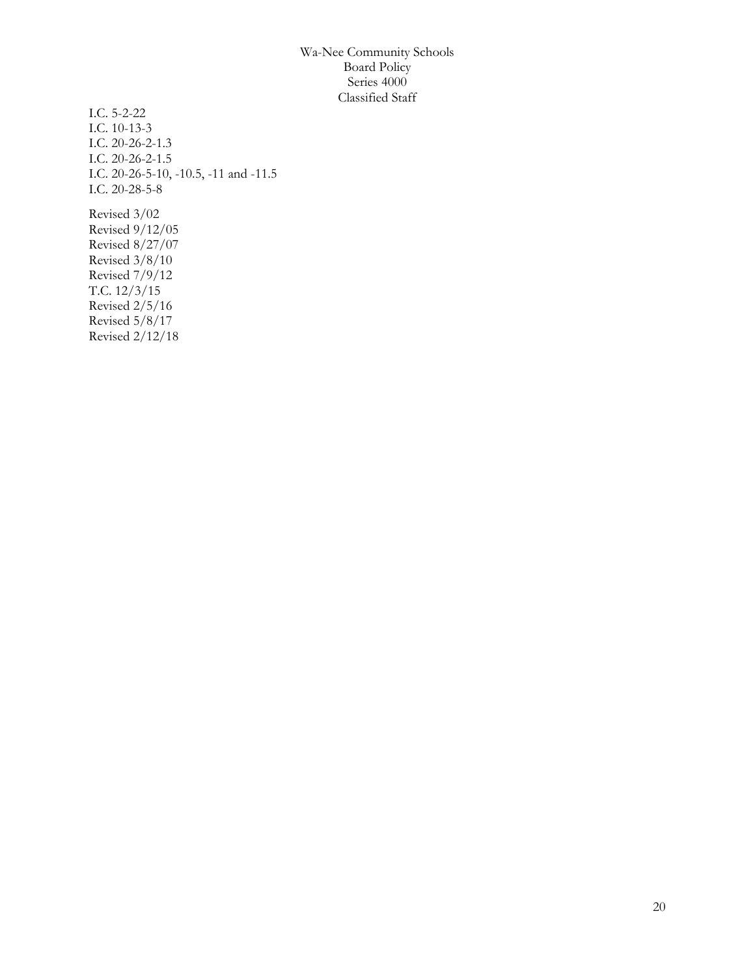I.C. 5-2-22 I.C. 10-13-3 I.C. 20-26-2-1.3 I.C. 20-26-2-1.5 I.C. 20-26-5-10, -10.5, -11 and -11.5 I.C. 20-28-5-8 Revised 3/02 Revised 9/12/05 Revised 8/27/07 Revised 3/8/10 Revised 7/9/12 T.C. 12/3/15 Revised 2/5/16 Revised 5/8/17 Revised 2/12/18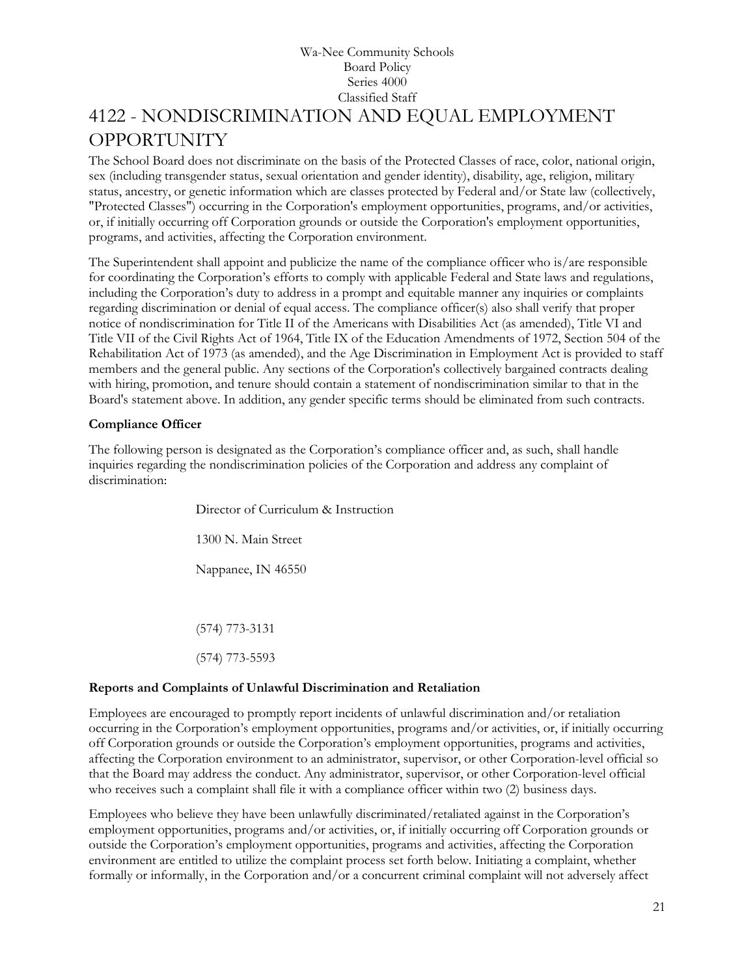## Wa-Nee Community Schools Board Policy Series 4000 Classified Staff [4122](http://www.neola.com/wanee-in/search/ag/ag4122.htm) - NONDISCRIMINATION AND EQUAL EMPLOYMENT OPPORTUNITY

<span id="page-20-0"></span>The School Board does not discriminate on the basis of the Protected Classes of race, color, national origin, sex (including transgender status, sexual orientation and gender identity), disability, age, religion, military status, ancestry, or genetic information which are classes protected by Federal and/or State law (collectively, "Protected Classes") occurring in the Corporation's employment opportunities, programs, and/or activities, or, if initially occurring off Corporation grounds or outside the Corporation's employment opportunities, programs, and activities, affecting the Corporation environment.

The Superintendent shall appoint and publicize the name of the compliance officer who is/are responsible for coordinating the Corporation's efforts to comply with applicable Federal and State laws and regulations, including the Corporation's duty to address in a prompt and equitable manner any inquiries or complaints regarding discrimination or denial of equal access. The compliance officer(s) also shall verify that proper notice of nondiscrimination for Title II of the Americans with Disabilities Act (as amended), Title VI and Title VII of the Civil Rights Act of 1964, Title IX of the Education Amendments of 1972, Section 504 of the Rehabilitation Act of 1973 (as amended), and the Age Discrimination in Employment Act is provided to staff members and the general public. Any sections of the Corporation's collectively bargained contracts dealing with hiring, promotion, and tenure should contain a statement of nondiscrimination similar to that in the Board's statement above. In addition, any gender specific terms should be eliminated from such contracts.

#### **Compliance Officer**

The following person is designated as the Corporation's compliance officer and, as such, shall handle inquiries regarding the nondiscrimination policies of the Corporation and address any complaint of discrimination:

> Director of Curriculum & Instruction 1300 N. Main Street Nappanee, IN 46550 (574) 773-3131 (574) 773-5593

#### **Reports and Complaints of Unlawful Discrimination and Retaliation**

Employees are encouraged to promptly report incidents of unlawful discrimination and/or retaliation occurring in the Corporation's employment opportunities, programs and/or activities, or, if initially occurring off Corporation grounds or outside the Corporation's employment opportunities, programs and activities, affecting the Corporation environment to an administrator, supervisor, or other Corporation-level official so that the Board may address the conduct. Any administrator, supervisor, or other Corporation-level official who receives such a complaint shall file it with a compliance officer within two (2) business days.

Employees who believe they have been unlawfully discriminated/retaliated against in the Corporation's employment opportunities, programs and/or activities, or, if initially occurring off Corporation grounds or outside the Corporation's employment opportunities, programs and activities, affecting the Corporation environment are entitled to utilize the complaint process set forth below. Initiating a complaint, whether formally or informally, in the Corporation and/or a concurrent criminal complaint will not adversely affect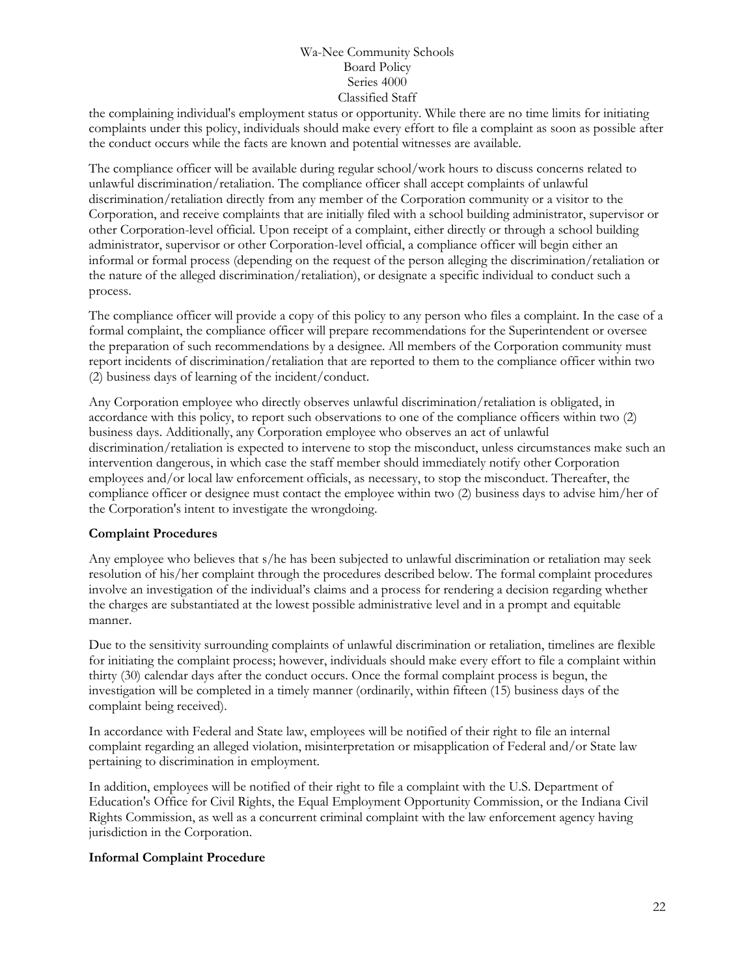the complaining individual's employment status or opportunity. While there are no time limits for initiating complaints under this policy, individuals should make every effort to file a complaint as soon as possible after the conduct occurs while the facts are known and potential witnesses are available.

The compliance officer will be available during regular school/work hours to discuss concerns related to unlawful discrimination/retaliation. The compliance officer shall accept complaints of unlawful discrimination/retaliation directly from any member of the Corporation community or a visitor to the Corporation, and receive complaints that are initially filed with a school building administrator, supervisor or other Corporation-level official. Upon receipt of a complaint, either directly or through a school building administrator, supervisor or other Corporation-level official, a compliance officer will begin either an informal or formal process (depending on the request of the person alleging the discrimination/retaliation or the nature of the alleged discrimination/retaliation), or designate a specific individual to conduct such a process.

The compliance officer will provide a copy of this policy to any person who files a complaint. In the case of a formal complaint, the compliance officer will prepare recommendations for the Superintendent or oversee the preparation of such recommendations by a designee. All members of the Corporation community must report incidents of discrimination/retaliation that are reported to them to the compliance officer within two (2) business days of learning of the incident/conduct.

Any Corporation employee who directly observes unlawful discrimination/retaliation is obligated, in accordance with this policy, to report such observations to one of the compliance officers within two (2) business days. Additionally, any Corporation employee who observes an act of unlawful discrimination/retaliation is expected to intervene to stop the misconduct, unless circumstances make such an intervention dangerous, in which case the staff member should immediately notify other Corporation employees and/or local law enforcement officials, as necessary, to stop the misconduct. Thereafter, the compliance officer or designee must contact the employee within two (2) business days to advise him/her of the Corporation's intent to investigate the wrongdoing.

#### **Complaint Procedures**

Any employee who believes that s/he has been subjected to unlawful discrimination or retaliation may seek resolution of his/her complaint through the procedures described below. The formal complaint procedures involve an investigation of the individual's claims and a process for rendering a decision regarding whether the charges are substantiated at the lowest possible administrative level and in a prompt and equitable manner.

Due to the sensitivity surrounding complaints of unlawful discrimination or retaliation, timelines are flexible for initiating the complaint process; however, individuals should make every effort to file a complaint within thirty (30) calendar days after the conduct occurs. Once the formal complaint process is begun, the investigation will be completed in a timely manner (ordinarily, within fifteen (15) business days of the complaint being received).

In accordance with Federal and State law, employees will be notified of their right to file an internal complaint regarding an alleged violation, misinterpretation or misapplication of Federal and/or State law pertaining to discrimination in employment.

In addition, employees will be notified of their right to file a complaint with the U.S. Department of Education's Office for Civil Rights, the Equal Employment Opportunity Commission, or the Indiana Civil Rights Commission, as well as a concurrent criminal complaint with the law enforcement agency having jurisdiction in the Corporation.

#### **Informal Complaint Procedure**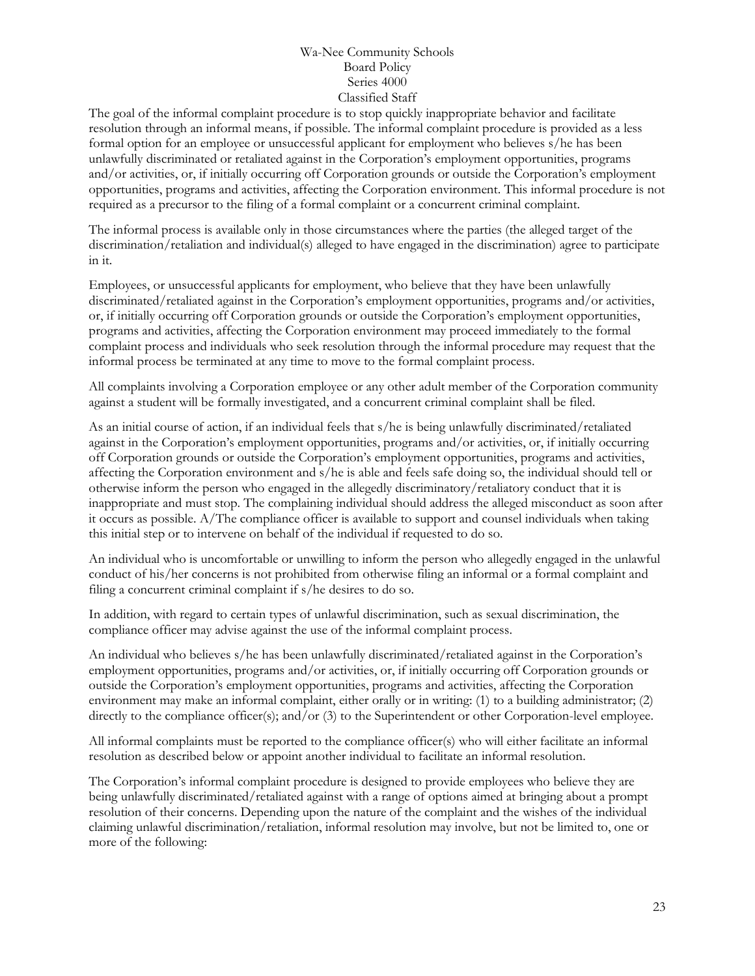The goal of the informal complaint procedure is to stop quickly inappropriate behavior and facilitate resolution through an informal means, if possible. The informal complaint procedure is provided as a less formal option for an employee or unsuccessful applicant for employment who believes s/he has been unlawfully discriminated or retaliated against in the Corporation's employment opportunities, programs and/or activities, or, if initially occurring off Corporation grounds or outside the Corporation's employment opportunities, programs and activities, affecting the Corporation environment. This informal procedure is not required as a precursor to the filing of a formal complaint or a concurrent criminal complaint.

The informal process is available only in those circumstances where the parties (the alleged target of the discrimination/retaliation and individual(s) alleged to have engaged in the discrimination) agree to participate in it.

Employees, or unsuccessful applicants for employment, who believe that they have been unlawfully discriminated/retaliated against in the Corporation's employment opportunities, programs and/or activities, or, if initially occurring off Corporation grounds or outside the Corporation's employment opportunities, programs and activities, affecting the Corporation environment may proceed immediately to the formal complaint process and individuals who seek resolution through the informal procedure may request that the informal process be terminated at any time to move to the formal complaint process.

All complaints involving a Corporation employee or any other adult member of the Corporation community against a student will be formally investigated, and a concurrent criminal complaint shall be filed.

As an initial course of action, if an individual feels that s/he is being unlawfully discriminated/retaliated against in the Corporation's employment opportunities, programs and/or activities, or, if initially occurring off Corporation grounds or outside the Corporation's employment opportunities, programs and activities, affecting the Corporation environment and s/he is able and feels safe doing so, the individual should tell or otherwise inform the person who engaged in the allegedly discriminatory/retaliatory conduct that it is inappropriate and must stop. The complaining individual should address the alleged misconduct as soon after it occurs as possible. A/The compliance officer is available to support and counsel individuals when taking this initial step or to intervene on behalf of the individual if requested to do so.

An individual who is uncomfortable or unwilling to inform the person who allegedly engaged in the unlawful conduct of his/her concerns is not prohibited from otherwise filing an informal or a formal complaint and filing a concurrent criminal complaint if s/he desires to do so.

In addition, with regard to certain types of unlawful discrimination, such as sexual discrimination, the compliance officer may advise against the use of the informal complaint process.

An individual who believes s/he has been unlawfully discriminated/retaliated against in the Corporation's employment opportunities, programs and/or activities, or, if initially occurring off Corporation grounds or outside the Corporation's employment opportunities, programs and activities, affecting the Corporation environment may make an informal complaint, either orally or in writing: (1) to a building administrator; (2) directly to the compliance officer(s); and/or (3) to the Superintendent or other Corporation-level employee.

All informal complaints must be reported to the compliance officer(s) who will either facilitate an informal resolution as described below or appoint another individual to facilitate an informal resolution.

The Corporation's informal complaint procedure is designed to provide employees who believe they are being unlawfully discriminated/retaliated against with a range of options aimed at bringing about a prompt resolution of their concerns. Depending upon the nature of the complaint and the wishes of the individual claiming unlawful discrimination/retaliation, informal resolution may involve, but not be limited to, one or more of the following: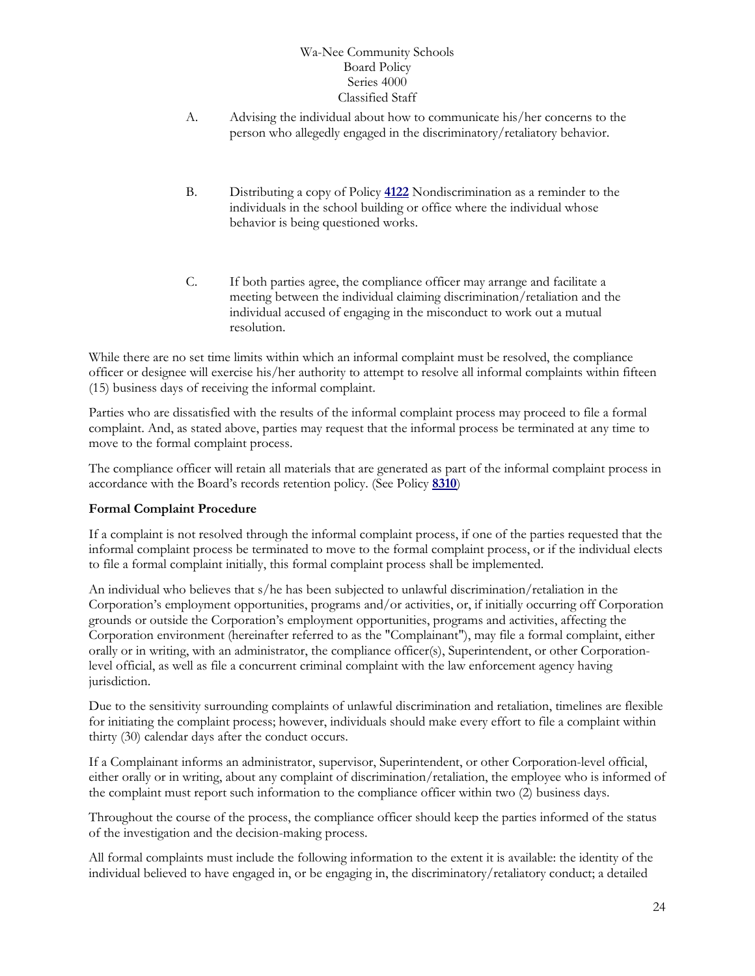- A. Advising the individual about how to communicate his/her concerns to the person who allegedly engaged in the discriminatory/retaliatory behavior.
- B. Distributing a copy of Policy **[4122](http://www.neola.com/wanee-in/search/policies/po4122.htm)** Nondiscrimination as a reminder to the individuals in the school building or office where the individual whose behavior is being questioned works.
- C. If both parties agree, the compliance officer may arrange and facilitate a meeting between the individual claiming discrimination/retaliation and the individual accused of engaging in the misconduct to work out a mutual resolution.

While there are no set time limits within which an informal complaint must be resolved, the compliance officer or designee will exercise his/her authority to attempt to resolve all informal complaints within fifteen (15) business days of receiving the informal complaint.

Parties who are dissatisfied with the results of the informal complaint process may proceed to file a formal complaint. And, as stated above, parties may request that the informal process be terminated at any time to move to the formal complaint process.

The compliance officer will retain all materials that are generated as part of the informal complaint process in accordance with the Board's records retention policy. (See Policy **[8310](http://www.neola.com/wanee-in/search/policies/po8310.htm)**)

#### **Formal Complaint Procedure**

If a complaint is not resolved through the informal complaint process, if one of the parties requested that the informal complaint process be terminated to move to the formal complaint process, or if the individual elects to file a formal complaint initially, this formal complaint process shall be implemented.

An individual who believes that s/he has been subjected to unlawful discrimination/retaliation in the Corporation's employment opportunities, programs and/or activities, or, if initially occurring off Corporation grounds or outside the Corporation's employment opportunities, programs and activities, affecting the Corporation environment (hereinafter referred to as the "Complainant"), may file a formal complaint, either orally or in writing, with an administrator, the compliance officer(s), Superintendent, or other Corporationlevel official, as well as file a concurrent criminal complaint with the law enforcement agency having jurisdiction.

Due to the sensitivity surrounding complaints of unlawful discrimination and retaliation, timelines are flexible for initiating the complaint process; however, individuals should make every effort to file a complaint within thirty (30) calendar days after the conduct occurs.

If a Complainant informs an administrator, supervisor, Superintendent, or other Corporation-level official, either orally or in writing, about any complaint of discrimination/retaliation, the employee who is informed of the complaint must report such information to the compliance officer within two (2) business days.

Throughout the course of the process, the compliance officer should keep the parties informed of the status of the investigation and the decision-making process.

All formal complaints must include the following information to the extent it is available: the identity of the individual believed to have engaged in, or be engaging in, the discriminatory/retaliatory conduct; a detailed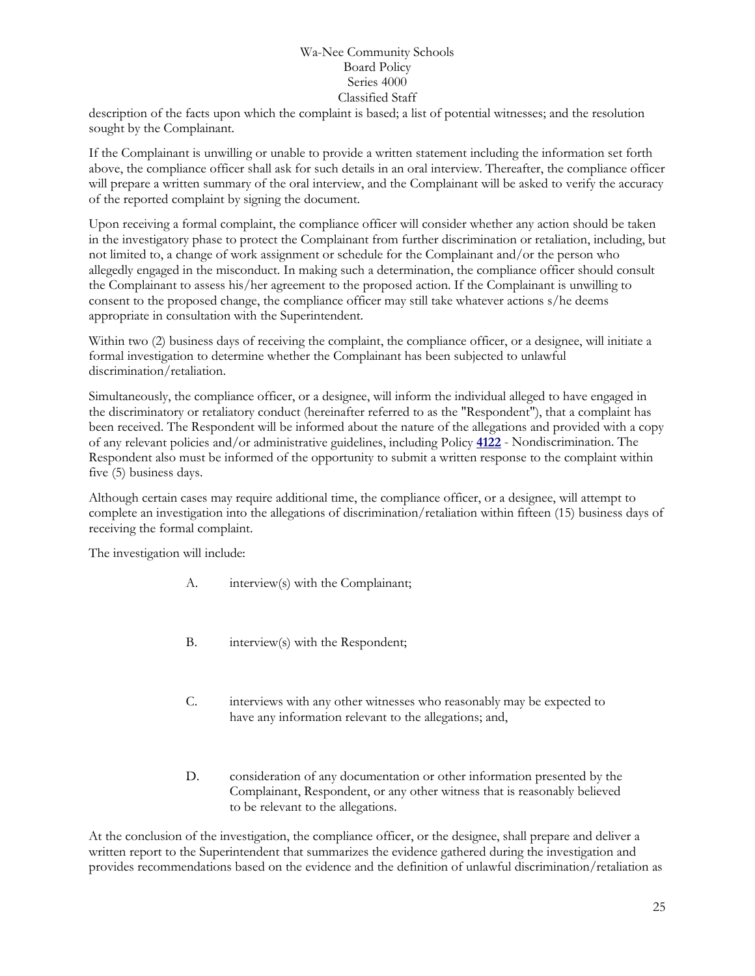description of the facts upon which the complaint is based; a list of potential witnesses; and the resolution sought by the Complainant.

If the Complainant is unwilling or unable to provide a written statement including the information set forth above, the compliance officer shall ask for such details in an oral interview. Thereafter, the compliance officer will prepare a written summary of the oral interview, and the Complainant will be asked to verify the accuracy of the reported complaint by signing the document.

Upon receiving a formal complaint, the compliance officer will consider whether any action should be taken in the investigatory phase to protect the Complainant from further discrimination or retaliation, including, but not limited to, a change of work assignment or schedule for the Complainant and/or the person who allegedly engaged in the misconduct. In making such a determination, the compliance officer should consult the Complainant to assess his/her agreement to the proposed action. If the Complainant is unwilling to consent to the proposed change, the compliance officer may still take whatever actions s/he deems appropriate in consultation with the Superintendent.

Within two (2) business days of receiving the complaint, the compliance officer, or a designee, will initiate a formal investigation to determine whether the Complainant has been subjected to unlawful discrimination/retaliation.

Simultaneously, the compliance officer, or a designee, will inform the individual alleged to have engaged in the discriminatory or retaliatory conduct (hereinafter referred to as the "Respondent"), that a complaint has been received. The Respondent will be informed about the nature of the allegations and provided with a copy of any relevant policies and/or administrative guidelines, including Policy **[4122](http://www.neola.com/wanee-in/search/policies/po4122.htm)** - Nondiscrimination. The Respondent also must be informed of the opportunity to submit a written response to the complaint within five (5) business days.

Although certain cases may require additional time, the compliance officer, or a designee, will attempt to complete an investigation into the allegations of discrimination/retaliation within fifteen (15) business days of receiving the formal complaint.

The investigation will include:

- A. interview(s) with the Complainant;
- B. interview(s) with the Respondent;
- C. interviews with any other witnesses who reasonably may be expected to have any information relevant to the allegations; and,
- D. consideration of any documentation or other information presented by the Complainant, Respondent, or any other witness that is reasonably believed to be relevant to the allegations.

At the conclusion of the investigation, the compliance officer, or the designee, shall prepare and deliver a written report to the Superintendent that summarizes the evidence gathered during the investigation and provides recommendations based on the evidence and the definition of unlawful discrimination/retaliation as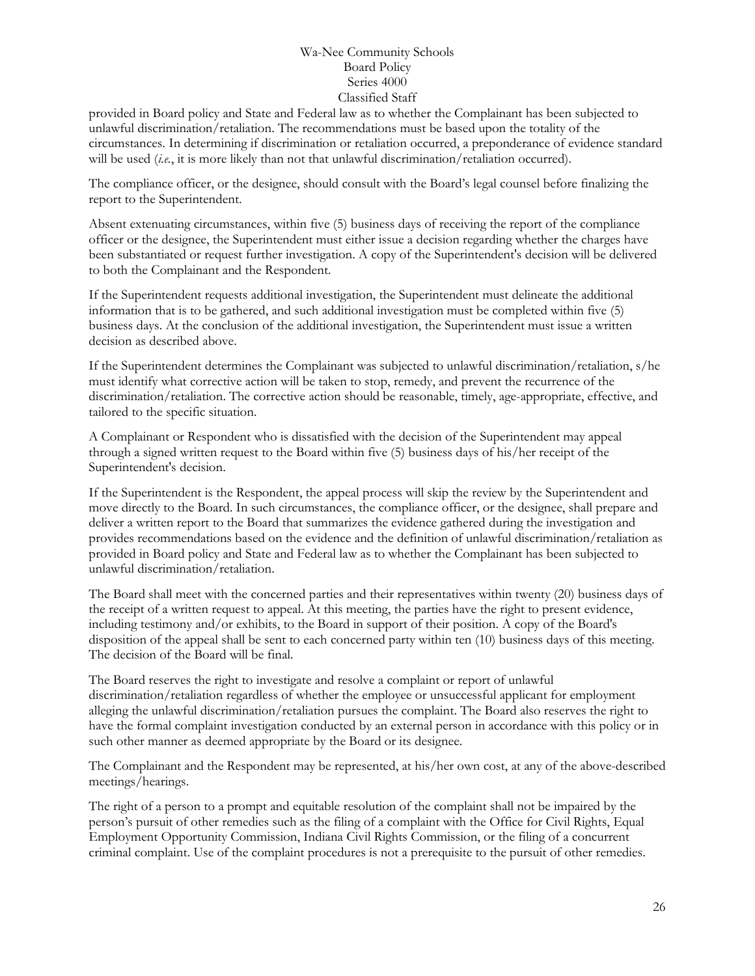provided in Board policy and State and Federal law as to whether the Complainant has been subjected to unlawful discrimination/retaliation. The recommendations must be based upon the totality of the circumstances. In determining if discrimination or retaliation occurred, a preponderance of evidence standard will be used (*i.e.*, it is more likely than not that unlawful discrimination/retaliation occurred).

The compliance officer, or the designee, should consult with the Board's legal counsel before finalizing the report to the Superintendent.

Absent extenuating circumstances, within five (5) business days of receiving the report of the compliance officer or the designee, the Superintendent must either issue a decision regarding whether the charges have been substantiated or request further investigation. A copy of the Superintendent's decision will be delivered to both the Complainant and the Respondent.

If the Superintendent requests additional investigation, the Superintendent must delineate the additional information that is to be gathered, and such additional investigation must be completed within five (5) business days. At the conclusion of the additional investigation, the Superintendent must issue a written decision as described above.

If the Superintendent determines the Complainant was subjected to unlawful discrimination/retaliation, s/he must identify what corrective action will be taken to stop, remedy, and prevent the recurrence of the discrimination/retaliation. The corrective action should be reasonable, timely, age-appropriate, effective, and tailored to the specific situation.

A Complainant or Respondent who is dissatisfied with the decision of the Superintendent may appeal through a signed written request to the Board within five (5) business days of his/her receipt of the Superintendent's decision.

If the Superintendent is the Respondent, the appeal process will skip the review by the Superintendent and move directly to the Board. In such circumstances, the compliance officer, or the designee, shall prepare and deliver a written report to the Board that summarizes the evidence gathered during the investigation and provides recommendations based on the evidence and the definition of unlawful discrimination/retaliation as provided in Board policy and State and Federal law as to whether the Complainant has been subjected to unlawful discrimination/retaliation.

The Board shall meet with the concerned parties and their representatives within twenty (20) business days of the receipt of a written request to appeal. At this meeting, the parties have the right to present evidence, including testimony and/or exhibits, to the Board in support of their position. A copy of the Board's disposition of the appeal shall be sent to each concerned party within ten (10) business days of this meeting. The decision of the Board will be final.

The Board reserves the right to investigate and resolve a complaint or report of unlawful discrimination/retaliation regardless of whether the employee or unsuccessful applicant for employment alleging the unlawful discrimination/retaliation pursues the complaint. The Board also reserves the right to have the formal complaint investigation conducted by an external person in accordance with this policy or in such other manner as deemed appropriate by the Board or its designee.

The Complainant and the Respondent may be represented, at his/her own cost, at any of the above-described meetings/hearings.

The right of a person to a prompt and equitable resolution of the complaint shall not be impaired by the person's pursuit of other remedies such as the filing of a complaint with the Office for Civil Rights, Equal Employment Opportunity Commission, Indiana Civil Rights Commission, or the filing of a concurrent criminal complaint. Use of the complaint procedures is not a prerequisite to the pursuit of other remedies.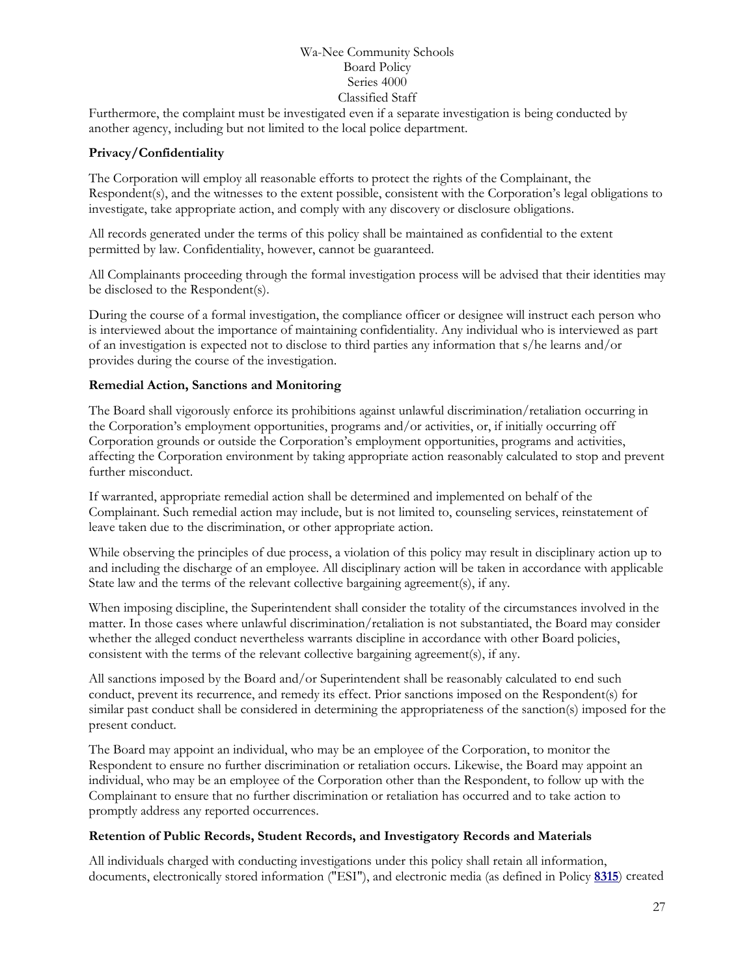Furthermore, the complaint must be investigated even if a separate investigation is being conducted by another agency, including but not limited to the local police department.

#### **Privacy/Confidentiality**

The Corporation will employ all reasonable efforts to protect the rights of the Complainant, the Respondent(s), and the witnesses to the extent possible, consistent with the Corporation's legal obligations to investigate, take appropriate action, and comply with any discovery or disclosure obligations.

All records generated under the terms of this policy shall be maintained as confidential to the extent permitted by law. Confidentiality, however, cannot be guaranteed.

All Complainants proceeding through the formal investigation process will be advised that their identities may be disclosed to the Respondent(s).

During the course of a formal investigation, the compliance officer or designee will instruct each person who is interviewed about the importance of maintaining confidentiality. Any individual who is interviewed as part of an investigation is expected not to disclose to third parties any information that s/he learns and/or provides during the course of the investigation.

#### **Remedial Action, Sanctions and Monitoring**

The Board shall vigorously enforce its prohibitions against unlawful discrimination/retaliation occurring in the Corporation's employment opportunities, programs and/or activities, or, if initially occurring off Corporation grounds or outside the Corporation's employment opportunities, programs and activities, affecting the Corporation environment by taking appropriate action reasonably calculated to stop and prevent further misconduct.

If warranted, appropriate remedial action shall be determined and implemented on behalf of the Complainant. Such remedial action may include, but is not limited to, counseling services, reinstatement of leave taken due to the discrimination, or other appropriate action.

While observing the principles of due process, a violation of this policy may result in disciplinary action up to and including the discharge of an employee. All disciplinary action will be taken in accordance with applicable State law and the terms of the relevant collective bargaining agreement(s), if any.

When imposing discipline, the Superintendent shall consider the totality of the circumstances involved in the matter. In those cases where unlawful discrimination/retaliation is not substantiated, the Board may consider whether the alleged conduct nevertheless warrants discipline in accordance with other Board policies, consistent with the terms of the relevant collective bargaining agreement(s), if any.

All sanctions imposed by the Board and/or Superintendent shall be reasonably calculated to end such conduct, prevent its recurrence, and remedy its effect. Prior sanctions imposed on the Respondent(s) for similar past conduct shall be considered in determining the appropriateness of the sanction(s) imposed for the present conduct.

The Board may appoint an individual, who may be an employee of the Corporation, to monitor the Respondent to ensure no further discrimination or retaliation occurs. Likewise, the Board may appoint an individual, who may be an employee of the Corporation other than the Respondent, to follow up with the Complainant to ensure that no further discrimination or retaliation has occurred and to take action to promptly address any reported occurrences.

#### **Retention of Public Records, Student Records, and Investigatory Records and Materials**

All individuals charged with conducting investigations under this policy shall retain all information, documents, electronically stored information ("ESI"), and electronic media (as defined in Policy **[8315](http://www.neola.com/wanee-in/search/policies/po8315.htm)**) created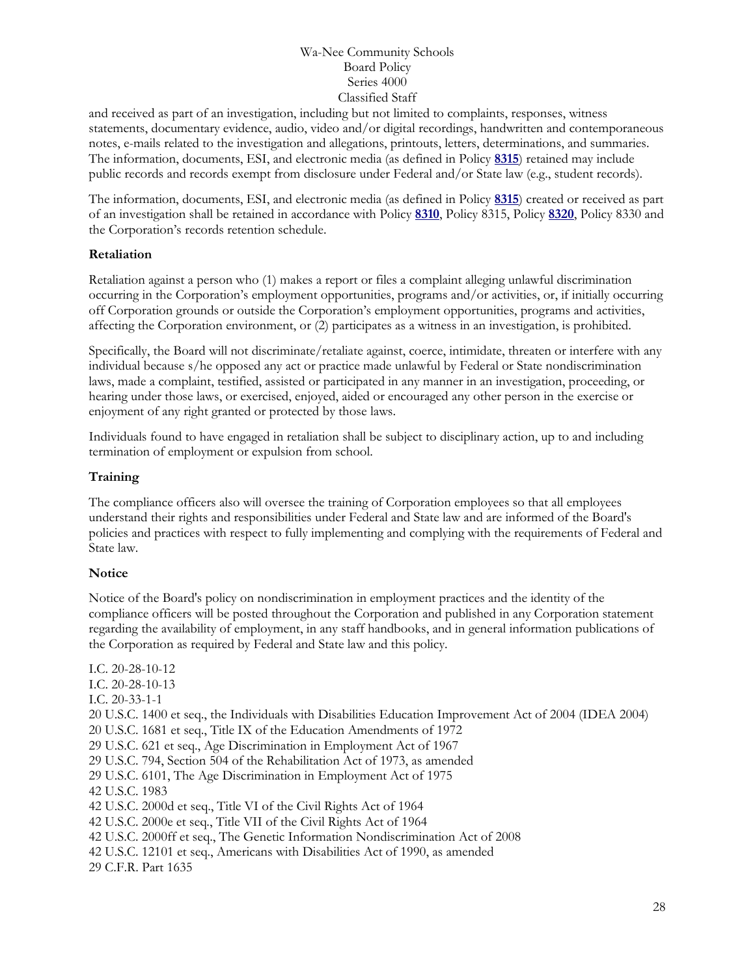and received as part of an investigation, including but not limited to complaints, responses, witness statements, documentary evidence, audio, video and/or digital recordings, handwritten and contemporaneous notes, e-mails related to the investigation and allegations, printouts, letters, determinations, and summaries. The information, documents, ESI, and electronic media (as defined in Policy **[8315](http://www.neola.com/wanee-in/search/policies/po8315.htm)**) retained may include public records and records exempt from disclosure under Federal and/or State law (e.g., student records).

The information, documents, ESI, and electronic media (as defined in Policy **[8315](http://www.neola.com/wanee-in/search/policies/po8315.htm)**) created or received as part of an investigation shall be retained in accordance with Policy **[8310](http://www.neola.com/wanee-in/search/policies/po8310.htm)**, Policy 8315, Policy **[8320](http://www.neola.com/wanee-in/search/policies/po8320.htm)**, Policy 8330 and the Corporation's records retention schedule.

#### **Retaliation**

Retaliation against a person who (1) makes a report or files a complaint alleging unlawful discrimination occurring in the Corporation's employment opportunities, programs and/or activities, or, if initially occurring off Corporation grounds or outside the Corporation's employment opportunities, programs and activities, affecting the Corporation environment, or (2) participates as a witness in an investigation, is prohibited.

Specifically, the Board will not discriminate/retaliate against, coerce, intimidate, threaten or interfere with any individual because s/he opposed any act or practice made unlawful by Federal or State nondiscrimination laws, made a complaint, testified, assisted or participated in any manner in an investigation, proceeding, or hearing under those laws, or exercised, enjoyed, aided or encouraged any other person in the exercise or enjoyment of any right granted or protected by those laws.

Individuals found to have engaged in retaliation shall be subject to disciplinary action, up to and including termination of employment or expulsion from school.

#### **Training**

The compliance officers also will oversee the training of Corporation employees so that all employees understand their rights and responsibilities under Federal and State law and are informed of the Board's policies and practices with respect to fully implementing and complying with the requirements of Federal and State law.

#### **Notice**

Notice of the Board's policy on nondiscrimination in employment practices and the identity of the compliance officers will be posted throughout the Corporation and published in any Corporation statement regarding the availability of employment, in any staff handbooks, and in general information publications of the Corporation as required by Federal and State law and this policy.

I.C. 20-28-10-12 I.C. 20-28-10-13 I.C. 20-33-1-1 20 U.S.C. 1400 et seq., the Individuals with Disabilities Education Improvement Act of 2004 (IDEA 2004) 20 U.S.C. 1681 et seq., Title IX of the Education Amendments of 1972 29 U.S.C. 621 et seq., Age Discrimination in Employment Act of 1967 29 U.S.C. 794, Section 504 of the Rehabilitation Act of 1973, as amended 29 U.S.C. 6101, The Age Discrimination in Employment Act of 1975 42 U.S.C. 1983 42 U.S.C. 2000d et seq., Title VI of the Civil Rights Act of 1964 42 U.S.C. 2000e et seq., Title VII of the Civil Rights Act of 1964 42 U.S.C. 2000ff et seq., The Genetic Information Nondiscrimination Act of 2008 42 U.S.C. 12101 et seq., Americans with Disabilities Act of 1990, as amended 29 C.F.R. Part 1635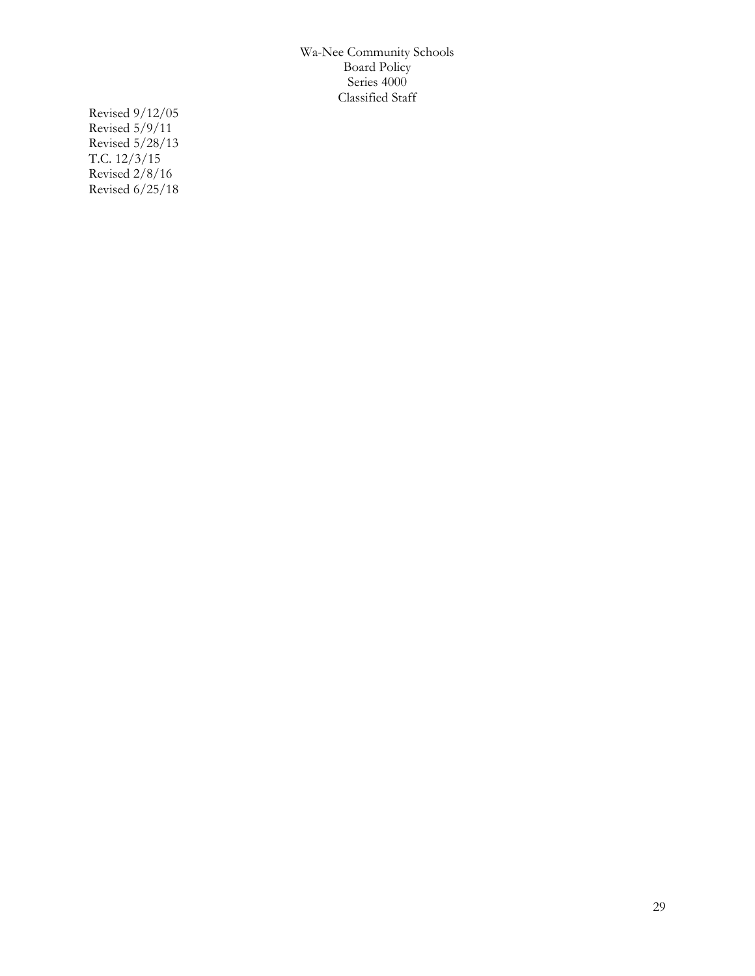Revised 9/12/05 Revised 5/9/11 Revised 5/28/13 T.C. 12/3/15 Revised 2/8/16 Revised 6/25/18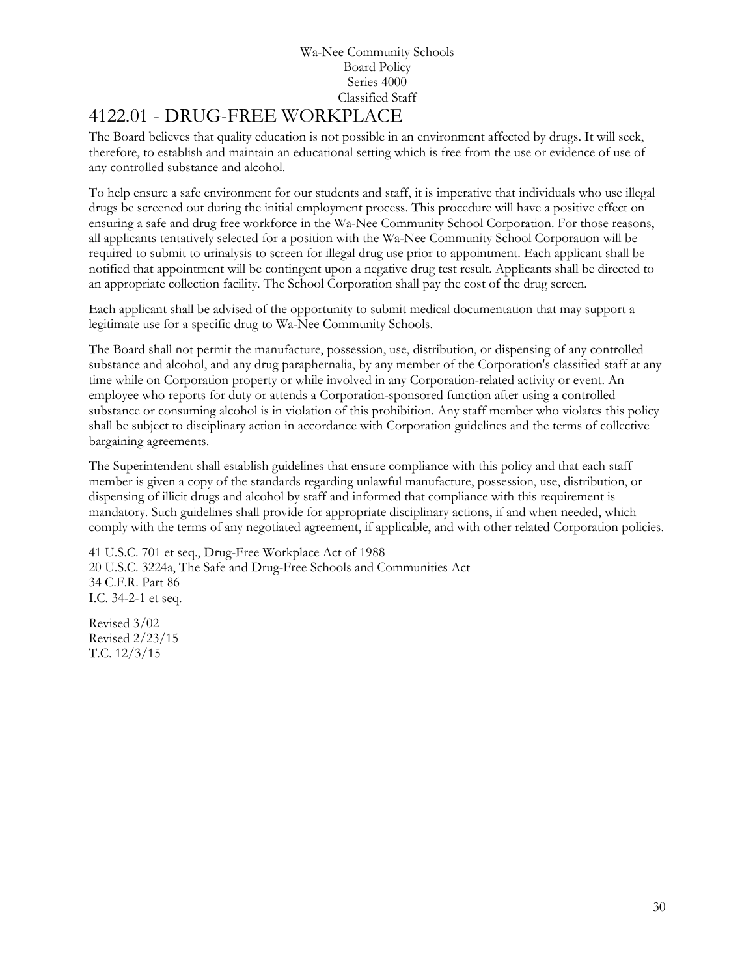# <span id="page-29-0"></span>[4122.01](http://www.neola.com/wanee-in/search/ag/ag4122.01.htm) - DRUG-FREE WORKPLACE

The Board believes that quality education is not possible in an environment affected by drugs. It will seek, therefore, to establish and maintain an educational setting which is free from the use or evidence of use of any controlled substance and alcohol.

To help ensure a safe environment for our students and staff, it is imperative that individuals who use illegal drugs be screened out during the initial employment process. This procedure will have a positive effect on ensuring a safe and drug free workforce in the Wa-Nee Community School Corporation. For those reasons, all applicants tentatively selected for a position with the Wa-Nee Community School Corporation will be required to submit to urinalysis to screen for illegal drug use prior to appointment. Each applicant shall be notified that appointment will be contingent upon a negative drug test result. Applicants shall be directed to an appropriate collection facility. The School Corporation shall pay the cost of the drug screen.

Each applicant shall be advised of the opportunity to submit medical documentation that may support a legitimate use for a specific drug to Wa-Nee Community Schools.

The Board shall not permit the manufacture, possession, use, distribution, or dispensing of any controlled substance and alcohol, and any drug paraphernalia, by any member of the Corporation's classified staff at any time while on Corporation property or while involved in any Corporation-related activity or event. An employee who reports for duty or attends a Corporation-sponsored function after using a controlled substance or consuming alcohol is in violation of this prohibition. Any staff member who violates this policy shall be subject to disciplinary action in accordance with Corporation guidelines and the terms of collective bargaining agreements.

The Superintendent shall establish guidelines that ensure compliance with this policy and that each staff member is given a copy of the standards regarding unlawful manufacture, possession, use, distribution, or dispensing of illicit drugs and alcohol by staff and informed that compliance with this requirement is mandatory. Such guidelines shall provide for appropriate disciplinary actions, if and when needed, which comply with the terms of any negotiated agreement, if applicable, and with other related Corporation policies.

41 U.S.C. 701 et seq., Drug-Free Workplace Act of 1988 20 U.S.C. 3224a, The Safe and Drug-Free Schools and Communities Act 34 C.F.R. Part 86 I.C. 34-2-1 et seq.

Revised 3/02 Revised 2/23/15 T.C. 12/3/15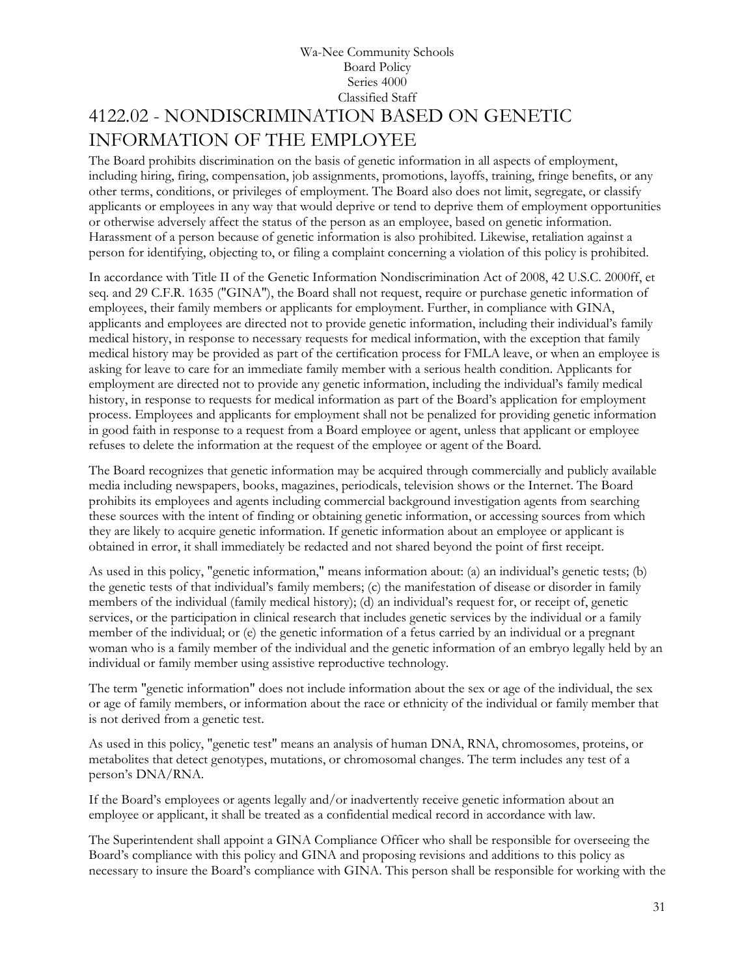## Wa-Nee Community Schools Board Policy Series 4000 Classified Staff 4122.02 - NONDISCRIMINATION BASED ON GENETIC INFORMATION OF THE EMPLOYEE

<span id="page-30-0"></span>The Board prohibits discrimination on the basis of genetic information in all aspects of employment, including hiring, firing, compensation, job assignments, promotions, layoffs, training, fringe benefits, or any other terms, conditions, or privileges of employment. The Board also does not limit, segregate, or classify applicants or employees in any way that would deprive or tend to deprive them of employment opportunities or otherwise adversely affect the status of the person as an employee, based on genetic information. Harassment of a person because of genetic information is also prohibited. Likewise, retaliation against a person for identifying, objecting to, or filing a complaint concerning a violation of this policy is prohibited.

In accordance with Title II of the Genetic Information Nondiscrimination Act of 2008, 42 U.S.C. 2000ff, et seq. and 29 C.F.R. 1635 ("GINA"), the Board shall not request, require or purchase genetic information of employees, their family members or applicants for employment. Further, in compliance with GINA, applicants and employees are directed not to provide genetic information, including their individual's family medical history, in response to necessary requests for medical information, with the exception that family medical history may be provided as part of the certification process for FMLA leave, or when an employee is asking for leave to care for an immediate family member with a serious health condition. Applicants for employment are directed not to provide any genetic information, including the individual's family medical history, in response to requests for medical information as part of the Board's application for employment process. Employees and applicants for employment shall not be penalized for providing genetic information in good faith in response to a request from a Board employee or agent, unless that applicant or employee refuses to delete the information at the request of the employee or agent of the Board.

The Board recognizes that genetic information may be acquired through commercially and publicly available media including newspapers, books, magazines, periodicals, television shows or the Internet. The Board prohibits its employees and agents including commercial background investigation agents from searching these sources with the intent of finding or obtaining genetic information, or accessing sources from which they are likely to acquire genetic information. If genetic information about an employee or applicant is obtained in error, it shall immediately be redacted and not shared beyond the point of first receipt.

As used in this policy, "genetic information," means information about: (a) an individual's genetic tests; (b) the genetic tests of that individual's family members; (c) the manifestation of disease or disorder in family members of the individual (family medical history); (d) an individual's request for, or receipt of, genetic services, or the participation in clinical research that includes genetic services by the individual or a family member of the individual; or (e) the genetic information of a fetus carried by an individual or a pregnant woman who is a family member of the individual and the genetic information of an embryo legally held by an individual or family member using assistive reproductive technology.

The term "genetic information" does not include information about the sex or age of the individual, the sex or age of family members, or information about the race or ethnicity of the individual or family member that is not derived from a genetic test.

As used in this policy, "genetic test" means an analysis of human DNA, RNA, chromosomes, proteins, or metabolites that detect genotypes, mutations, or chromosomal changes. The term includes any test of a person's DNA/RNA.

If the Board's employees or agents legally and/or inadvertently receive genetic information about an employee or applicant, it shall be treated as a confidential medical record in accordance with law.

The Superintendent shall appoint a GINA Compliance Officer who shall be responsible for overseeing the Board's compliance with this policy and GINA and proposing revisions and additions to this policy as necessary to insure the Board's compliance with GINA. This person shall be responsible for working with the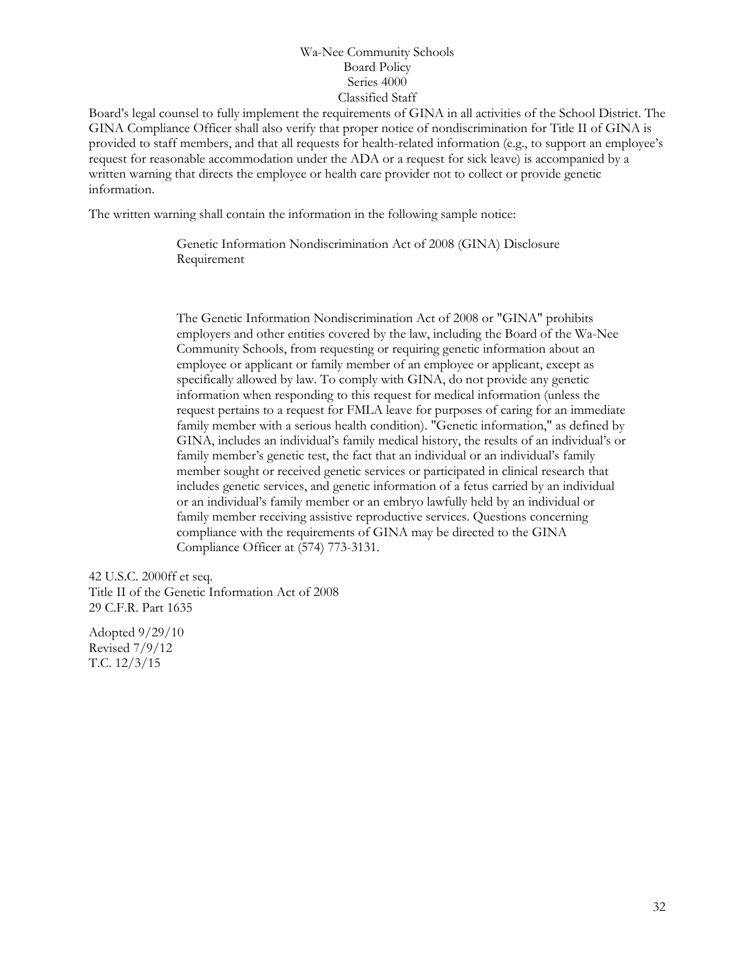Board's legal counsel to fully implement the requirements of GINA in all activities of the School District. The GINA Compliance Officer shall also verify that proper notice of nondiscrimination for Title II of GINA is provided to staff members, and that all requests for health-related information (e.g., to support an employee's request for reasonable accommodation under the ADA or a request for sick leave) is accompanied by a written warning that directs the employee or health care provider not to collect or provide genetic information.

The written warning shall contain the information in the following sample notice:

Genetic Information Nondiscrimination Act of 2008 (GINA) Disclosure Requirement

The Genetic Information Nondiscrimination Act of 2008 or "GINA" prohibits employers and other entities covered by the law, including the Board of the Wa-Nee Community Schools, from requesting or requiring genetic information about an employee or applicant or family member of an employee or applicant, except as specifically allowed by law. To comply with GINA, do not provide any genetic information when responding to this request for medical information (unless the request pertains to a request for FMLA leave for purposes of caring for an immediate family member with a serious health condition). "Genetic information," as defined by GINA, includes an individual's family medical history, the results of an individual's or family member's genetic test, the fact that an individual or an individual's family member sought or received genetic services or participated in clinical research that includes genetic services, and genetic information of a fetus carried by an individual or an individual's family member or an embryo lawfully held by an individual or family member receiving assistive reproductive services. Questions concerning compliance with the requirements of GINA may be directed to the GINA Compliance Officer at (574) 773-3131.

42 U.S.C. 2000ff et seq. Title II of the Genetic Information Act of 2008 29 C.F.R. Part 1635

Adopted 9/29/10 Revised 7/9/12 T.C. 12/3/15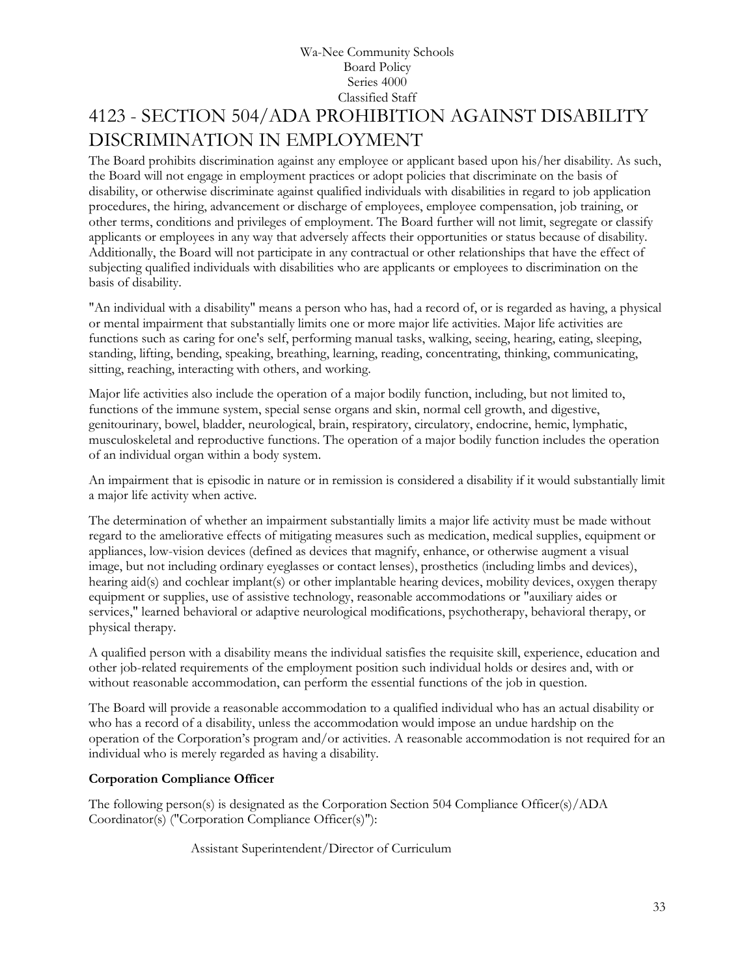## Wa-Nee Community Schools Board Policy Series 4000 Classified Staff 4123 - SECTION 504/ADA PROHIBITION AGAINST DISABILITY DISCRIMINATION IN EMPLOYMENT

<span id="page-32-0"></span>The Board prohibits discrimination against any employee or applicant based upon his/her disability. As such, the Board will not engage in employment practices or adopt policies that discriminate on the basis of disability, or otherwise discriminate against qualified individuals with disabilities in regard to job application procedures, the hiring, advancement or discharge of employees, employee compensation, job training, or other terms, conditions and privileges of employment. The Board further will not limit, segregate or classify applicants or employees in any way that adversely affects their opportunities or status because of disability. Additionally, the Board will not participate in any contractual or other relationships that have the effect of subjecting qualified individuals with disabilities who are applicants or employees to discrimination on the basis of disability.

"An individual with a disability" means a person who has, had a record of, or is regarded as having, a physical or mental impairment that substantially limits one or more major life activities. Major life activities are functions such as caring for one's self, performing manual tasks, walking, seeing, hearing, eating, sleeping, standing, lifting, bending, speaking, breathing, learning, reading, concentrating, thinking, communicating, sitting, reaching, interacting with others, and working.

Major life activities also include the operation of a major bodily function, including, but not limited to, functions of the immune system, special sense organs and skin, normal cell growth, and digestive, genitourinary, bowel, bladder, neurological, brain, respiratory, circulatory, endocrine, hemic, lymphatic, musculoskeletal and reproductive functions. The operation of a major bodily function includes the operation of an individual organ within a body system.

An impairment that is episodic in nature or in remission is considered a disability if it would substantially limit a major life activity when active.

The determination of whether an impairment substantially limits a major life activity must be made without regard to the ameliorative effects of mitigating measures such as medication, medical supplies, equipment or appliances, low-vision devices (defined as devices that magnify, enhance, or otherwise augment a visual image, but not including ordinary eyeglasses or contact lenses), prosthetics (including limbs and devices), hearing aid(s) and cochlear implant(s) or other implantable hearing devices, mobility devices, oxygen therapy equipment or supplies, use of assistive technology, reasonable accommodations or "auxiliary aides or services," learned behavioral or adaptive neurological modifications, psychotherapy, behavioral therapy, or physical therapy.

A qualified person with a disability means the individual satisfies the requisite skill, experience, education and other job-related requirements of the employment position such individual holds or desires and, with or without reasonable accommodation, can perform the essential functions of the job in question.

The Board will provide a reasonable accommodation to a qualified individual who has an actual disability or who has a record of a disability, unless the accommodation would impose an undue hardship on the operation of the Corporation's program and/or activities. A reasonable accommodation is not required for an individual who is merely regarded as having a disability.

#### **Corporation Compliance Officer**

The following person(s) is designated as the Corporation Section 504 Compliance Officer(s)/ADA Coordinator(s) ("Corporation Compliance Officer(s)"):

Assistant Superintendent/Director of Curriculum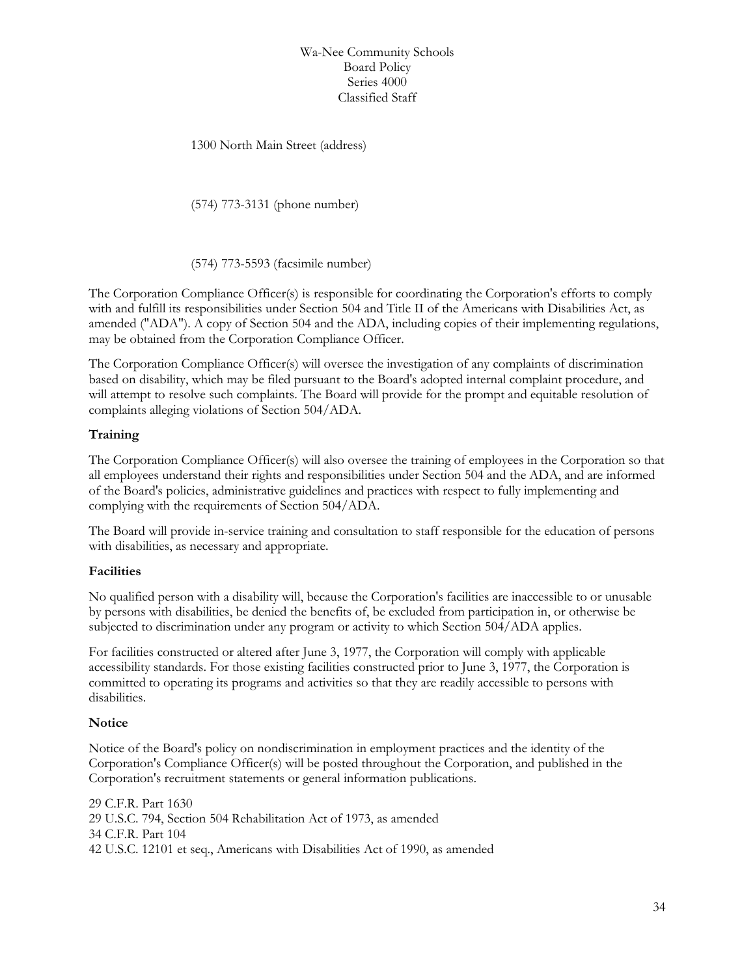1300 North Main Street (address)

(574) 773-3131 (phone number)

(574) 773-5593 (facsimile number)

The Corporation Compliance Officer(s) is responsible for coordinating the Corporation's efforts to comply with and fulfill its responsibilities under Section 504 and Title II of the Americans with Disabilities Act, as amended ("ADA"). A copy of Section 504 and the ADA, including copies of their implementing regulations, may be obtained from the Corporation Compliance Officer.

The Corporation Compliance Officer(s) will oversee the investigation of any complaints of discrimination based on disability, which may be filed pursuant to the Board's adopted internal complaint procedure, and will attempt to resolve such complaints. The Board will provide for the prompt and equitable resolution of complaints alleging violations of Section 504/ADA.

#### **Training**

The Corporation Compliance Officer(s) will also oversee the training of employees in the Corporation so that all employees understand their rights and responsibilities under Section 504 and the ADA, and are informed of the Board's policies, administrative guidelines and practices with respect to fully implementing and complying with the requirements of Section 504/ADA.

The Board will provide in-service training and consultation to staff responsible for the education of persons with disabilities, as necessary and appropriate.

#### **Facilities**

No qualified person with a disability will, because the Corporation's facilities are inaccessible to or unusable by persons with disabilities, be denied the benefits of, be excluded from participation in, or otherwise be subjected to discrimination under any program or activity to which Section 504/ADA applies.

For facilities constructed or altered after June 3, 1977, the Corporation will comply with applicable accessibility standards. For those existing facilities constructed prior to June 3, 1977, the Corporation is committed to operating its programs and activities so that they are readily accessible to persons with disabilities.

#### **Notice**

Notice of the Board's policy on nondiscrimination in employment practices and the identity of the Corporation's Compliance Officer(s) will be posted throughout the Corporation, and published in the Corporation's recruitment statements or general information publications.

29 C.F.R. Part 1630 29 U.S.C. 794, Section 504 Rehabilitation Act of 1973, as amended 34 C.F.R. Part 104 42 U.S.C. 12101 et seq., Americans with Disabilities Act of 1990, as amended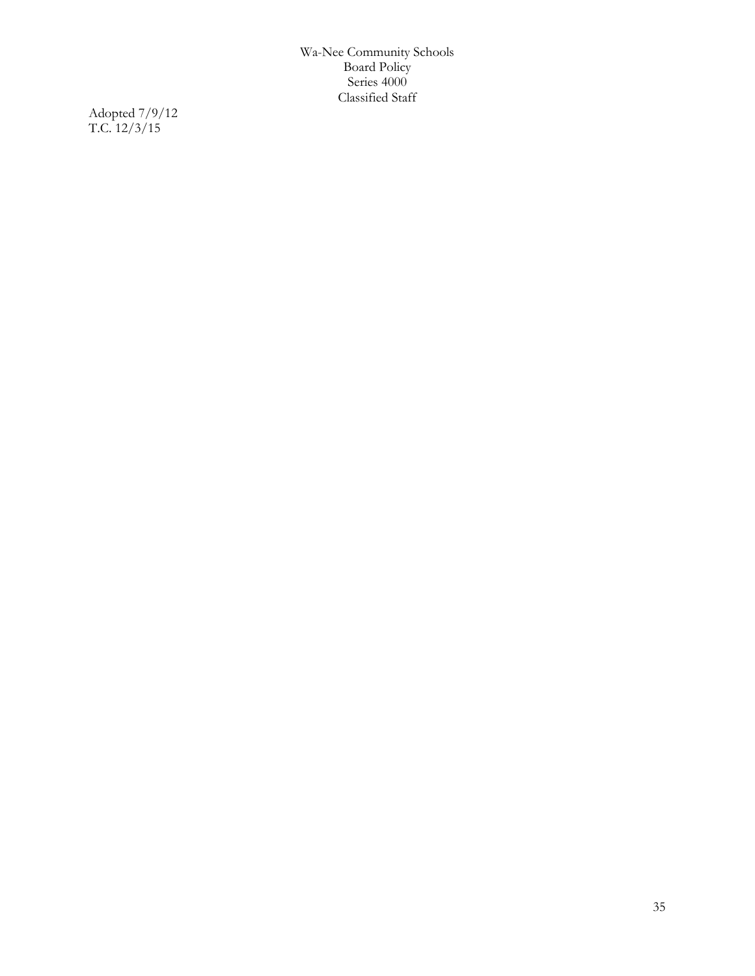Adopted 7/9/12 T.C. 12/3/15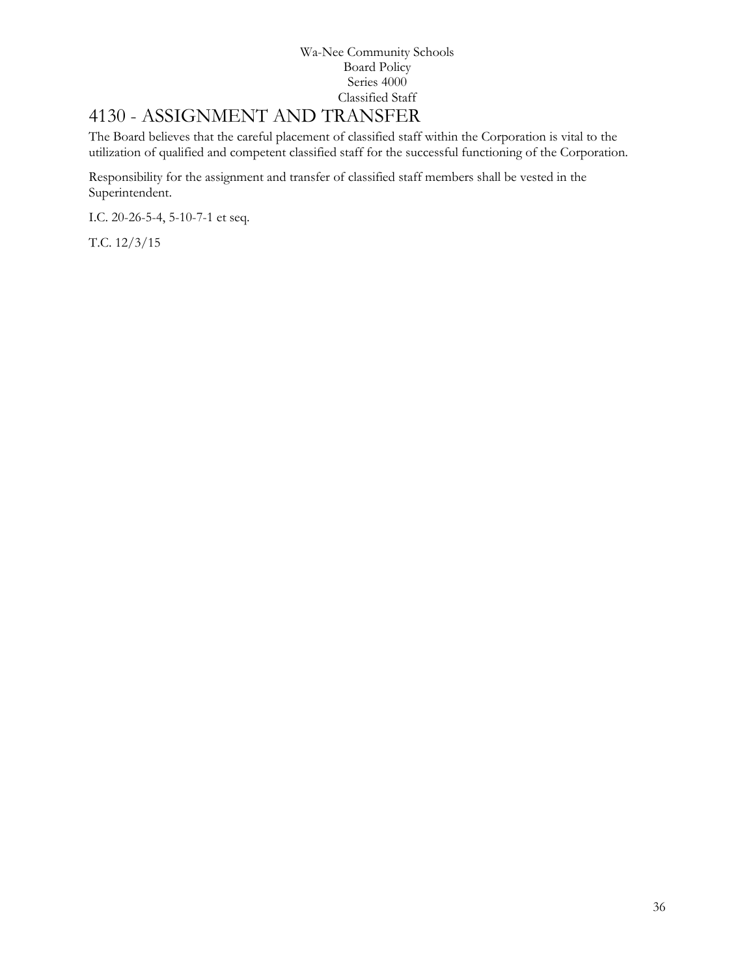# <span id="page-35-0"></span>[4130](http://www.neola.com/wanee-in/search/ag/ag4130.htm) - ASSIGNMENT AND TRANSFER

The Board believes that the careful placement of classified staff within the Corporation is vital to the utilization of qualified and competent classified staff for the successful functioning of the Corporation.

Responsibility for the assignment and transfer of classified staff members shall be vested in the Superintendent.

I.C. 20-26-5-4, 5-10-7-1 et seq.

T.C. 12/3/15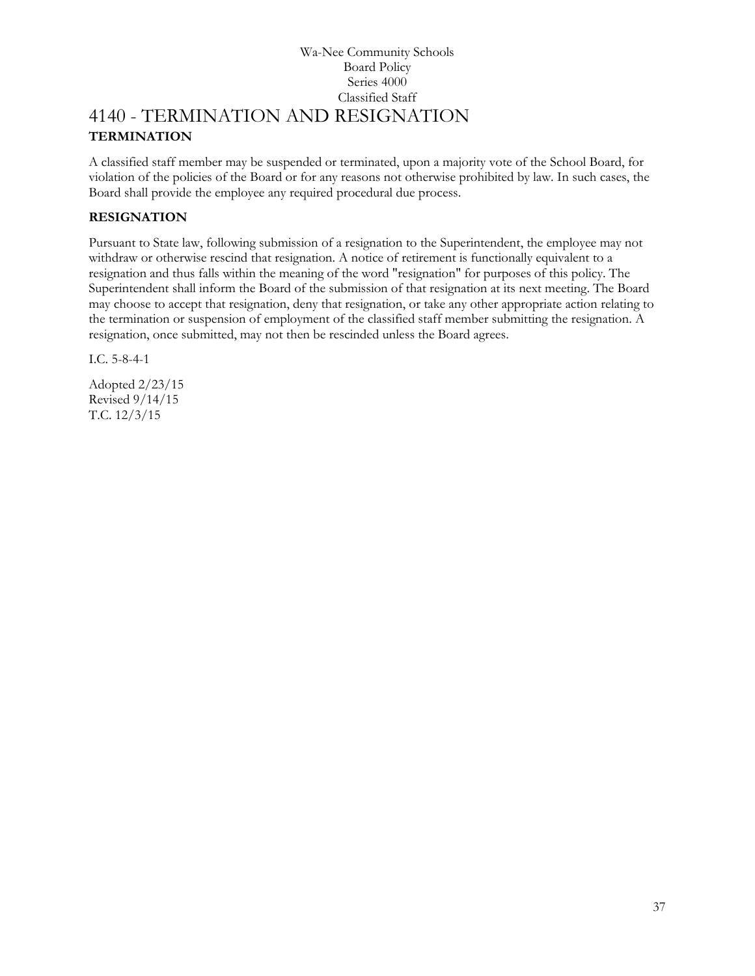### Wa-Nee Community Schools Board Policy Series 4000 Classified Staff [4140](http://www.neola.com/wanee-in/search/ag/ag4140.htm) - TERMINATION AND RESIGNATION **TERMINATION**

A classified staff member may be suspended or terminated, upon a majority vote of the School Board, for violation of the policies of the Board or for any reasons not otherwise prohibited by law. In such cases, the Board shall provide the employee any required procedural due process.

## **RESIGNATION**

Pursuant to State law, following submission of a resignation to the Superintendent, the employee may not withdraw or otherwise rescind that resignation. A notice of retirement is functionally equivalent to a resignation and thus falls within the meaning of the word "resignation" for purposes of this policy. The Superintendent shall inform the Board of the submission of that resignation at its next meeting. The Board may choose to accept that resignation, deny that resignation, or take any other appropriate action relating to the termination or suspension of employment of the classified staff member submitting the resignation. A resignation, once submitted, may not then be rescinded unless the Board agrees.

I.C. 5-8-4-1

Adopted 2/23/15 Revised 9/14/15 T.C. 12/3/15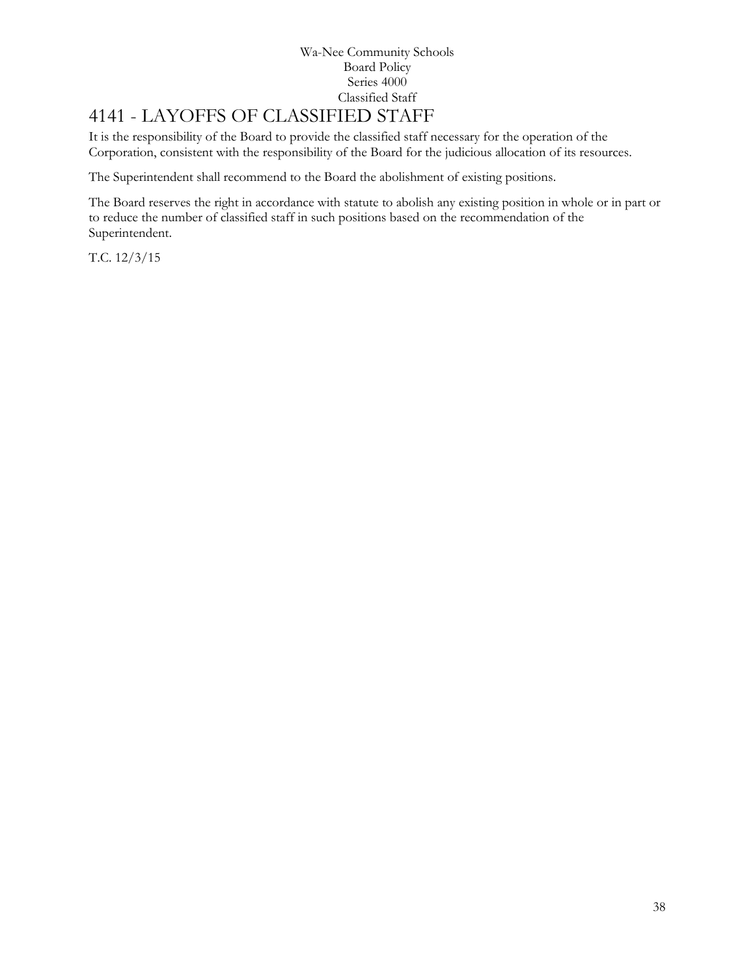# 4141 - LAYOFFS OF CLASSIFIED STAFF

It is the responsibility of the Board to provide the classified staff necessary for the operation of the Corporation, consistent with the responsibility of the Board for the judicious allocation of its resources.

The Superintendent shall recommend to the Board the abolishment of existing positions.

The Board reserves the right in accordance with statute to abolish any existing position in whole or in part or to reduce the number of classified staff in such positions based on the recommendation of the Superintendent.

T.C. 12/3/15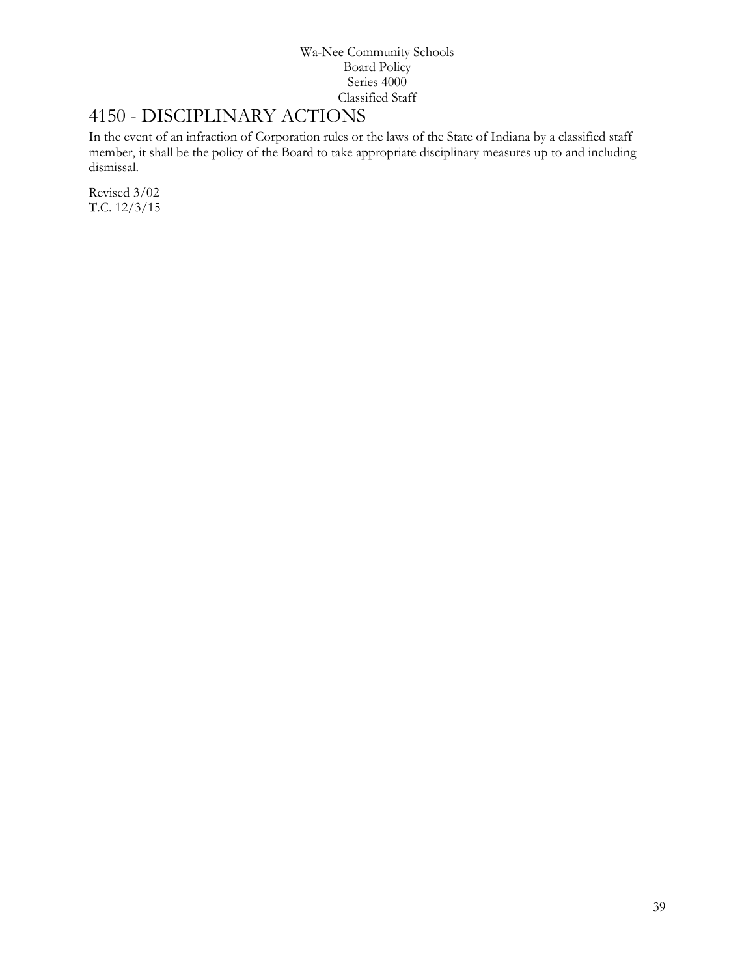## 4150 - DISCIPLINARY ACTIONS

In the event of an infraction of Corporation rules or the laws of the State of Indiana by a classified staff member, it shall be the policy of the Board to take appropriate disciplinary measures up to and including dismissal.

Revised 3/02 T.C. 12/3/15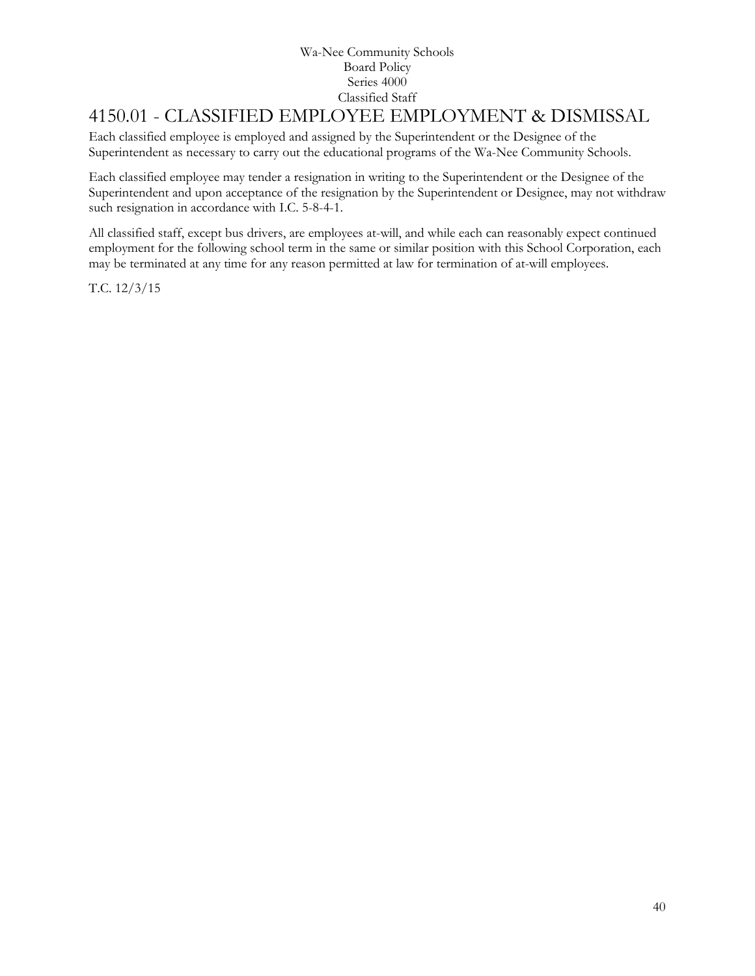# 4150.01 - CLASSIFIED EMPLOYEE EMPLOYMENT & DISMISSAL

Each classified employee is employed and assigned by the Superintendent or the Designee of the Superintendent as necessary to carry out the educational programs of the Wa-Nee Community Schools.

Each classified employee may tender a resignation in writing to the Superintendent or the Designee of the Superintendent and upon acceptance of the resignation by the Superintendent or Designee, may not withdraw such resignation in accordance with I.C. 5-8-4-1.

All classified staff, except bus drivers, are employees at-will, and while each can reasonably expect continued employment for the following school term in the same or similar position with this School Corporation, each may be terminated at any time for any reason permitted at law for termination of at-will employees.

T.C. 12/3/15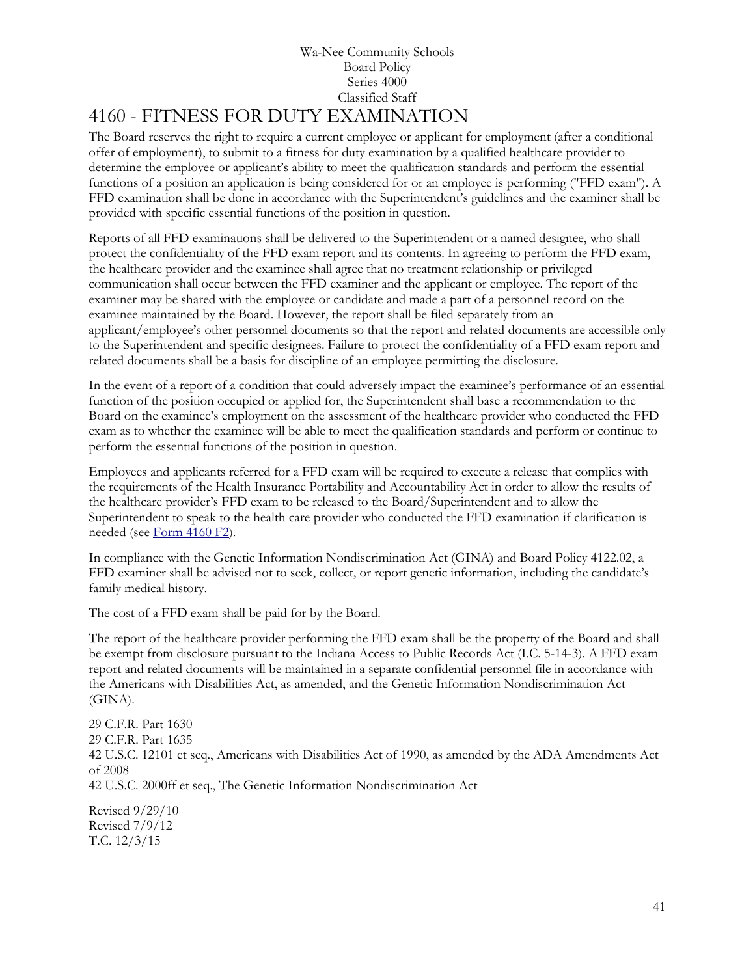### Wa-Nee Community Schools Board Policy Series 4000 Classified Staff 4160 - FITNESS FOR DUTY EXAMINATION

The Board reserves the right to require a current employee or applicant for employment (after a conditional offer of employment), to submit to a fitness for duty examination by a qualified healthcare provider to determine the employee or applicant's ability to meet the qualification standards and perform the essential functions of a position an application is being considered for or an employee is performing ("FFD exam"). A FFD examination shall be done in accordance with the Superintendent's guidelines and the examiner shall be provided with specific essential functions of the position in question.

Reports of all FFD examinations shall be delivered to the Superintendent or a named designee, who shall protect the confidentiality of the FFD exam report and its contents. In agreeing to perform the FFD exam, the healthcare provider and the examinee shall agree that no treatment relationship or privileged communication shall occur between the FFD examiner and the applicant or employee. The report of the examiner may be shared with the employee or candidate and made a part of a personnel record on the examinee maintained by the Board. However, the report shall be filed separately from an applicant/employee's other personnel documents so that the report and related documents are accessible only to the Superintendent and specific designees. Failure to protect the confidentiality of a FFD exam report and related documents shall be a basis for discipline of an employee permitting the disclosure.

In the event of a report of a condition that could adversely impact the examinee's performance of an essential function of the position occupied or applied for, the Superintendent shall base a recommendation to the Board on the examinee's employment on the assessment of the healthcare provider who conducted the FFD exam as to whether the examinee will be able to meet the qualification standards and perform or continue to perform the essential functions of the position in question.

Employees and applicants referred for a FFD exam will be required to execute a release that complies with the requirements of the Health Insurance Portability and Accountability Act in order to allow the results of the healthcare provider's FFD exam to be released to the Board/Superintendent and to allow the Superintendent to speak to the health care provider who conducted the FFD examination if clarification is needed (see [Form 4160 F2\)](http://www.neola.com/wanee-in/search/forms/fm4160F2.pdf).

In compliance with the Genetic Information Nondiscrimination Act (GINA) and Board Policy 4122.02, a FFD examiner shall be advised not to seek, collect, or report genetic information, including the candidate's family medical history.

The cost of a FFD exam shall be paid for by the Board.

The report of the healthcare provider performing the FFD exam shall be the property of the Board and shall be exempt from disclosure pursuant to the Indiana Access to Public Records Act (I.C. 5-14-3). A FFD exam report and related documents will be maintained in a separate confidential personnel file in accordance with the Americans with Disabilities Act, as amended, and the Genetic Information Nondiscrimination Act (GINA).

29 C.F.R. Part 1630 29 C.F.R. Part 1635 42 U.S.C. 12101 et seq., Americans with Disabilities Act of 1990, as amended by the ADA Amendments Act of 2008 42 U.S.C. 2000ff et seq., The Genetic Information Nondiscrimination Act

Revised 9/29/10 Revised 7/9/12 T.C. 12/3/15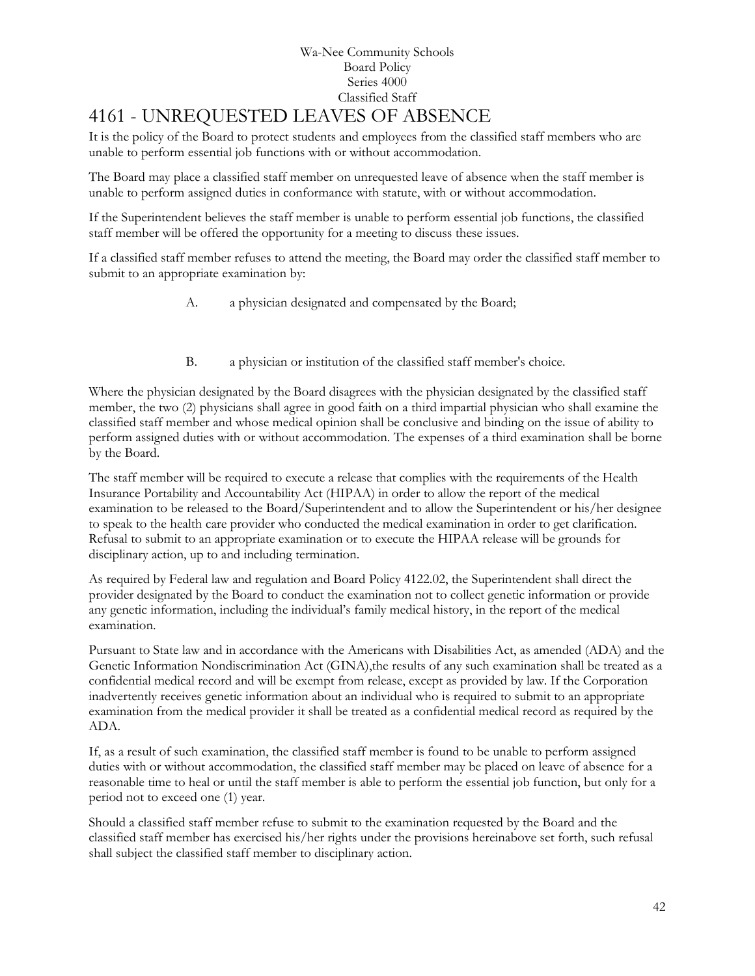### Wa-Nee Community Schools Board Policy Series 4000 Classified Staff 4161 - UNREQUESTED LEAVES OF ABSENCE

It is the policy of the Board to protect students and employees from the classified staff members who are unable to perform essential job functions with or without accommodation.

The Board may place a classified staff member on unrequested leave of absence when the staff member is unable to perform assigned duties in conformance with statute, with or without accommodation.

If the Superintendent believes the staff member is unable to perform essential job functions, the classified staff member will be offered the opportunity for a meeting to discuss these issues.

If a classified staff member refuses to attend the meeting, the Board may order the classified staff member to submit to an appropriate examination by:

- A. a physician designated and compensated by the Board;
- B. a physician or institution of the classified staff member's choice.

Where the physician designated by the Board disagrees with the physician designated by the classified staff member, the two (2) physicians shall agree in good faith on a third impartial physician who shall examine the classified staff member and whose medical opinion shall be conclusive and binding on the issue of ability to perform assigned duties with or without accommodation. The expenses of a third examination shall be borne by the Board.

The staff member will be required to execute a release that complies with the requirements of the Health Insurance Portability and Accountability Act (HIPAA) in order to allow the report of the medical examination to be released to the Board/Superintendent and to allow the Superintendent or his/her designee to speak to the health care provider who conducted the medical examination in order to get clarification. Refusal to submit to an appropriate examination or to execute the HIPAA release will be grounds for disciplinary action, up to and including termination.

As required by Federal law and regulation and Board Policy 4122.02, the Superintendent shall direct the provider designated by the Board to conduct the examination not to collect genetic information or provide any genetic information, including the individual's family medical history, in the report of the medical examination.

Pursuant to State law and in accordance with the Americans with Disabilities Act, as amended (ADA) and the Genetic Information Nondiscrimination Act (GINA), the results of any such examination shall be treated as a confidential medical record and will be exempt from release, except as provided by law. If the Corporation inadvertently receives genetic information about an individual who is required to submit to an appropriate examination from the medical provider it shall be treated as a confidential medical record as required by the ADA.

If, as a result of such examination, the classified staff member is found to be unable to perform assigned duties with or without accommodation, the classified staff member may be placed on leave of absence for a reasonable time to heal or until the staff member is able to perform the essential job function, but only for a period not to exceed one (1) year.

Should a classified staff member refuse to submit to the examination requested by the Board and the classified staff member has exercised his/her rights under the provisions hereinabove set forth, such refusal shall subject the classified staff member to disciplinary action.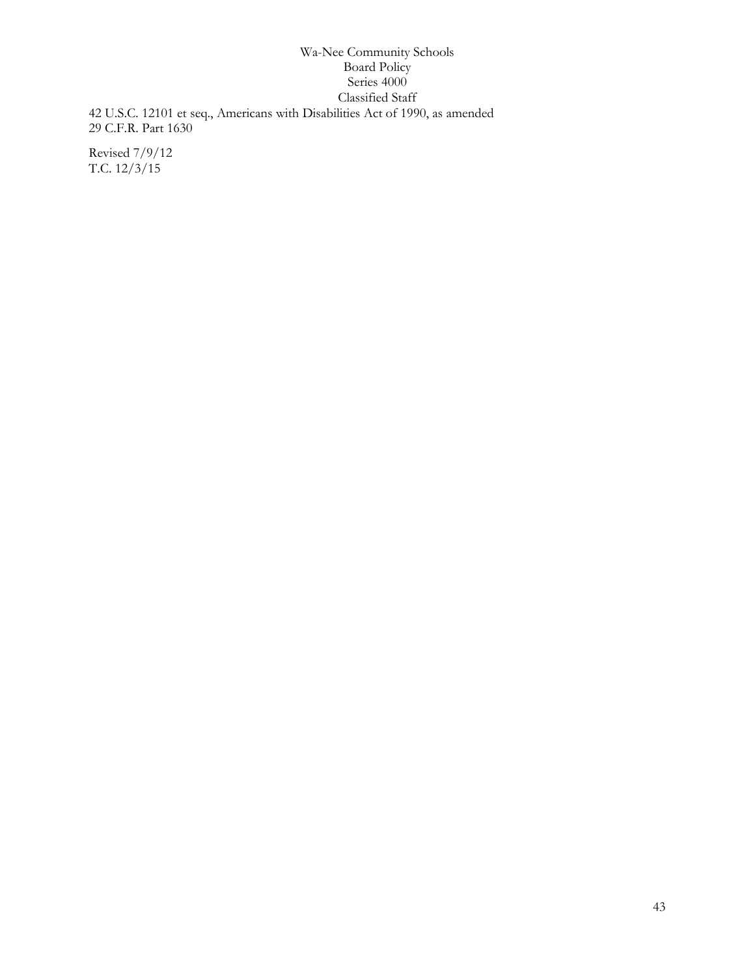### Wa-Nee Community Schools Board Policy Series 4000 Classified Staff 42 U.S.C. 12101 et seq., Americans with Disabilities Act of 1990, as amended 29 C.F.R. Part 1630

Revised 7/9/12 T.C. 12/3/15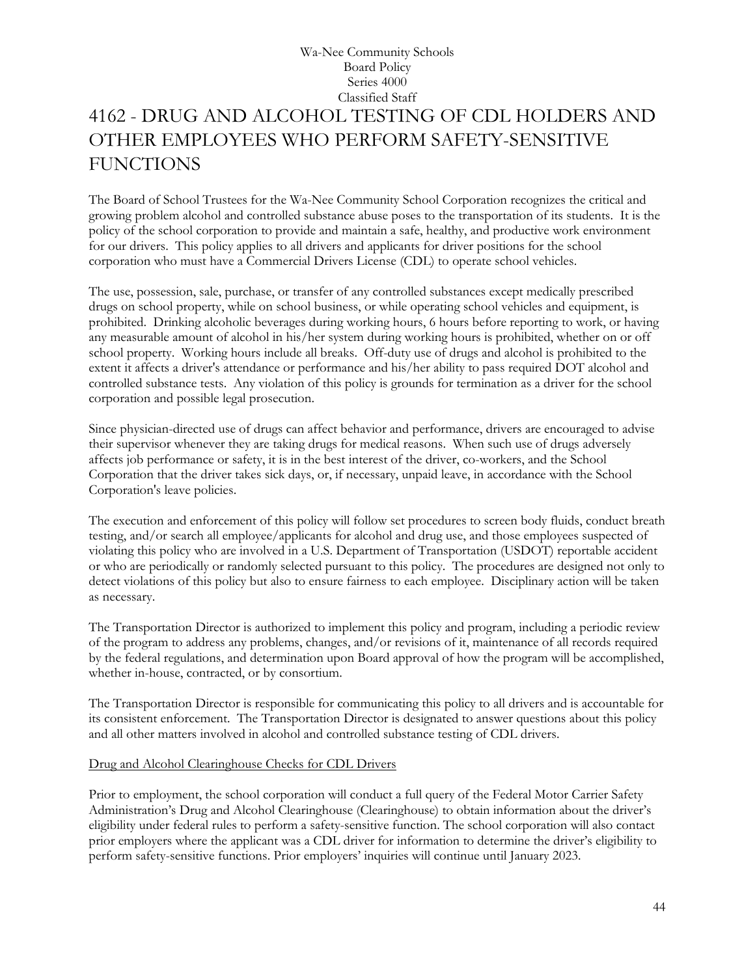## Wa-Nee Community Schools Board Policy Series 4000 Classified Staff 4162 - DRUG AND ALCOHOL TESTING OF CDL HOLDERS AND OTHER EMPLOYEES WHO PERFORM SAFETY-SENSITIVE **FUNCTIONS**

The Board of School Trustees for the Wa-Nee Community School Corporation recognizes the critical and growing problem alcohol and controlled substance abuse poses to the transportation of its students. It is the policy of the school corporation to provide and maintain a safe, healthy, and productive work environment for our drivers. This policy applies to all drivers and applicants for driver positions for the school corporation who must have a Commercial Drivers License (CDL) to operate school vehicles.

The use, possession, sale, purchase, or transfer of any controlled substances except medically prescribed drugs on school property, while on school business, or while operating school vehicles and equipment, is prohibited. Drinking alcoholic beverages during working hours, 6 hours before reporting to work, or having any measurable amount of alcohol in his/her system during working hours is prohibited, whether on or off school property. Working hours include all breaks. Off-duty use of drugs and alcohol is prohibited to the extent it affects a driver's attendance or performance and his/her ability to pass required DOT alcohol and controlled substance tests. Any violation of this policy is grounds for termination as a driver for the school corporation and possible legal prosecution.

Since physician-directed use of drugs can affect behavior and performance, drivers are encouraged to advise their supervisor whenever they are taking drugs for medical reasons. When such use of drugs adversely affects job performance or safety, it is in the best interest of the driver, co-workers, and the School Corporation that the driver takes sick days, or, if necessary, unpaid leave, in accordance with the School Corporation's leave policies.

The execution and enforcement of this policy will follow set procedures to screen body fluids, conduct breath testing, and/or search all employee/applicants for alcohol and drug use, and those employees suspected of violating this policy who are involved in a U.S. Department of Transportation (USDOT) reportable accident or who are periodically or randomly selected pursuant to this policy. The procedures are designed not only to detect violations of this policy but also to ensure fairness to each employee. Disciplinary action will be taken as necessary.

The Transportation Director is authorized to implement this policy and program, including a periodic review of the program to address any problems, changes, and/or revisions of it, maintenance of all records required by the federal regulations, and determination upon Board approval of how the program will be accomplished, whether in-house, contracted, or by consortium.

The Transportation Director is responsible for communicating this policy to all drivers and is accountable for its consistent enforcement. The Transportation Director is designated to answer questions about this policy and all other matters involved in alcohol and controlled substance testing of CDL drivers.

#### Drug and Alcohol Clearinghouse Checks for CDL Drivers

Prior to employment, the school corporation will conduct a full query of the Federal Motor Carrier Safety Administration's Drug and Alcohol Clearinghouse (Clearinghouse) to obtain information about the driver's eligibility under federal rules to perform a safety-sensitive function. The school corporation will also contact prior employers where the applicant was a CDL driver for information to determine the driver's eligibility to perform safety-sensitive functions. Prior employers' inquiries will continue until January 2023.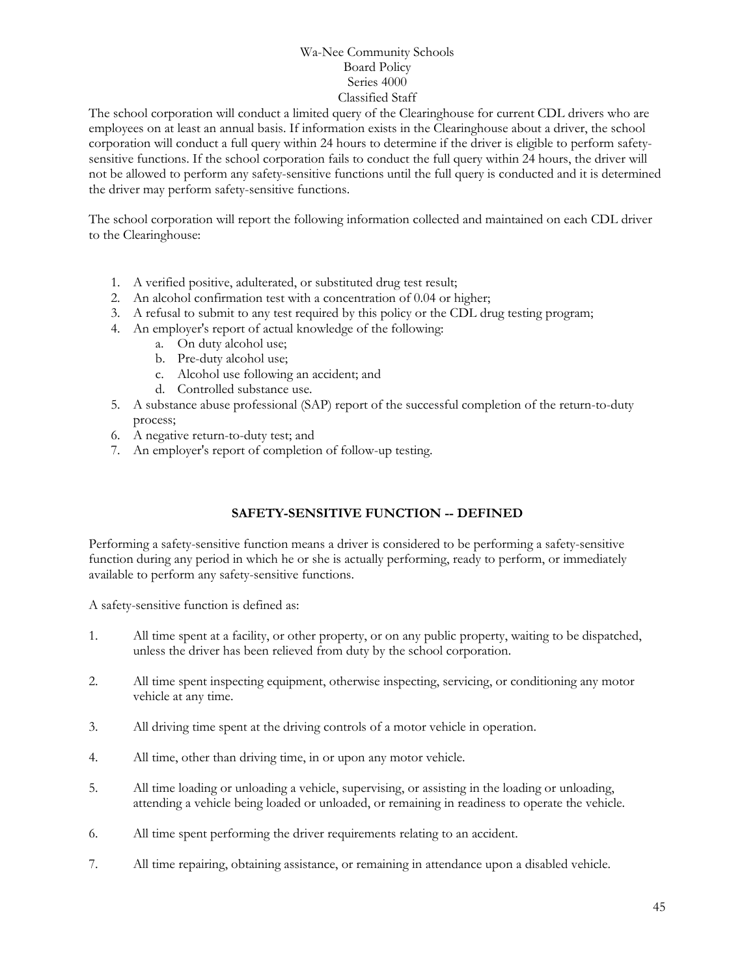The school corporation will conduct a limited query of the Clearinghouse for current CDL drivers who are employees on at least an annual basis. If information exists in the Clearinghouse about a driver, the school corporation will conduct a full query within 24 hours to determine if the driver is eligible to perform safetysensitive functions. If the school corporation fails to conduct the full query within 24 hours, the driver will not be allowed to perform any safety-sensitive functions until the full query is conducted and it is determined the driver may perform safety-sensitive functions.

The school corporation will report the following information collected and maintained on each CDL driver to the Clearinghouse:

- 1. A verified positive, adulterated, or substituted drug test result;
- 2. An alcohol confirmation test with a concentration of 0.04 or higher;
- 3. A refusal to submit to any test required by this policy or the CDL drug testing program;
- 4. An employer's report of actual knowledge of the following:
	- a. On duty alcohol use;
	- b. Pre-duty alcohol use;
	- c. Alcohol use following an accident; and
	- d. Controlled substance use.
- 5. A substance abuse professional (SAP) report of the successful completion of the return-to-duty process;
- 6. A negative return-to-duty test; and
- 7. An employer's report of completion of follow-up testing.

### **SAFETY-SENSITIVE FUNCTION -- DEFINED**

Performing a safety-sensitive function means a driver is considered to be performing a safety-sensitive function during any period in which he or she is actually performing, ready to perform, or immediately available to perform any safety-sensitive functions.

A safety-sensitive function is defined as:

- 1. All time spent at a facility, or other property, or on any public property, waiting to be dispatched, unless the driver has been relieved from duty by the school corporation.
- 2. All time spent inspecting equipment, otherwise inspecting, servicing, or conditioning any motor vehicle at any time.
- 3. All driving time spent at the driving controls of a motor vehicle in operation.
- 4. All time, other than driving time, in or upon any motor vehicle.
- 5. All time loading or unloading a vehicle, supervising, or assisting in the loading or unloading, attending a vehicle being loaded or unloaded, or remaining in readiness to operate the vehicle.
- 6. All time spent performing the driver requirements relating to an accident.
- 7. All time repairing, obtaining assistance, or remaining in attendance upon a disabled vehicle.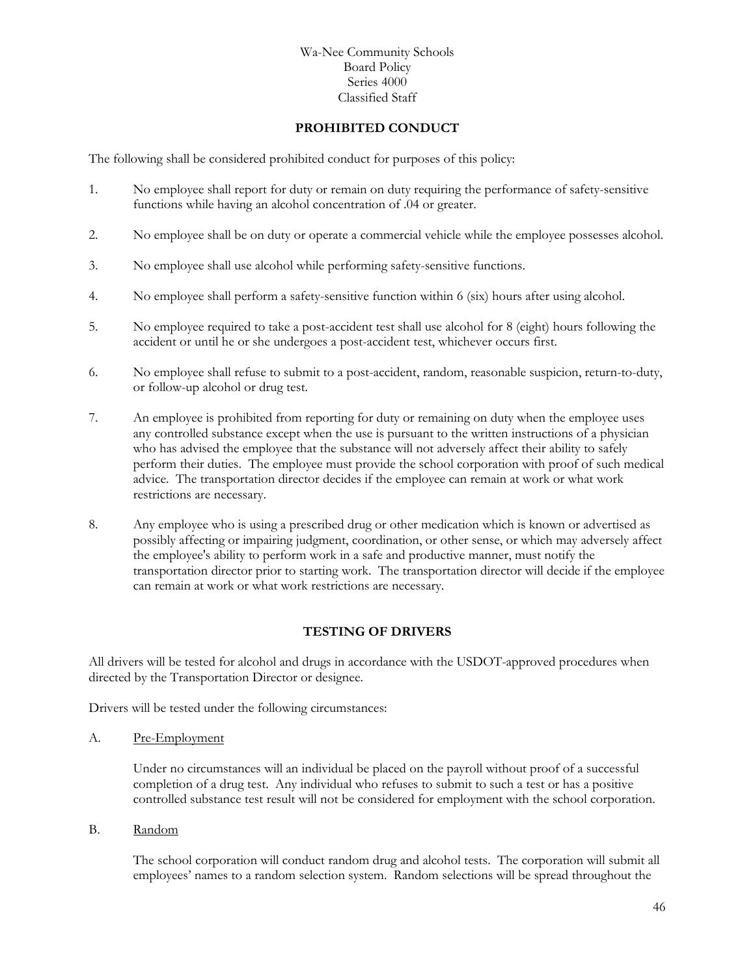#### **PROHIBITED CONDUCT**

The following shall be considered prohibited conduct for purposes of this policy:

- 1. No employee shall report for duty or remain on duty requiring the performance of safety-sensitive functions while having an alcohol concentration of .04 or greater.
- 2. No employee shall be on duty or operate a commercial vehicle while the employee possesses alcohol.
- 3. No employee shall use alcohol while performing safety-sensitive functions.
- 4. No employee shall perform a safety-sensitive function within 6 (six) hours after using alcohol.
- 5. No employee required to take a post-accident test shall use alcohol for 8 (eight) hours following the accident or until he or she undergoes a post-accident test, whichever occurs first.
- 6. No employee shall refuse to submit to a post-accident, random, reasonable suspicion, return-to-duty, or follow-up alcohol or drug test.
- 7. An employee is prohibited from reporting for duty or remaining on duty when the employee uses any controlled substance except when the use is pursuant to the written instructions of a physician who has advised the employee that the substance will not adversely affect their ability to safely perform their duties. The employee must provide the school corporation with proof of such medical advice. The transportation director decides if the employee can remain at work or what work restrictions are necessary.
- 8. Any employee who is using a prescribed drug or other medication which is known or advertised as possibly affecting or impairing judgment, coordination, or other sense, or which may adversely affect the employee's ability to perform work in a safe and productive manner, must notify the transportation director prior to starting work. The transportation director will decide if the employee can remain at work or what work restrictions are necessary.

#### **TESTING OF DRIVERS**

All drivers will be tested for alcohol and drugs in accordance with the USDOT-approved procedures when directed by the Transportation Director or designee.

Drivers will be tested under the following circumstances:

A. Pre-Employment

Under no circumstances will an individual be placed on the payroll without proof of a successful completion of a drug test. Any individual who refuses to submit to such a test or has a positive controlled substance test result will not be considered for employment with the school corporation.

B. Random

The school corporation will conduct random drug and alcohol tests. The corporation will submit all employees' names to a random selection system. Random selections will be spread throughout the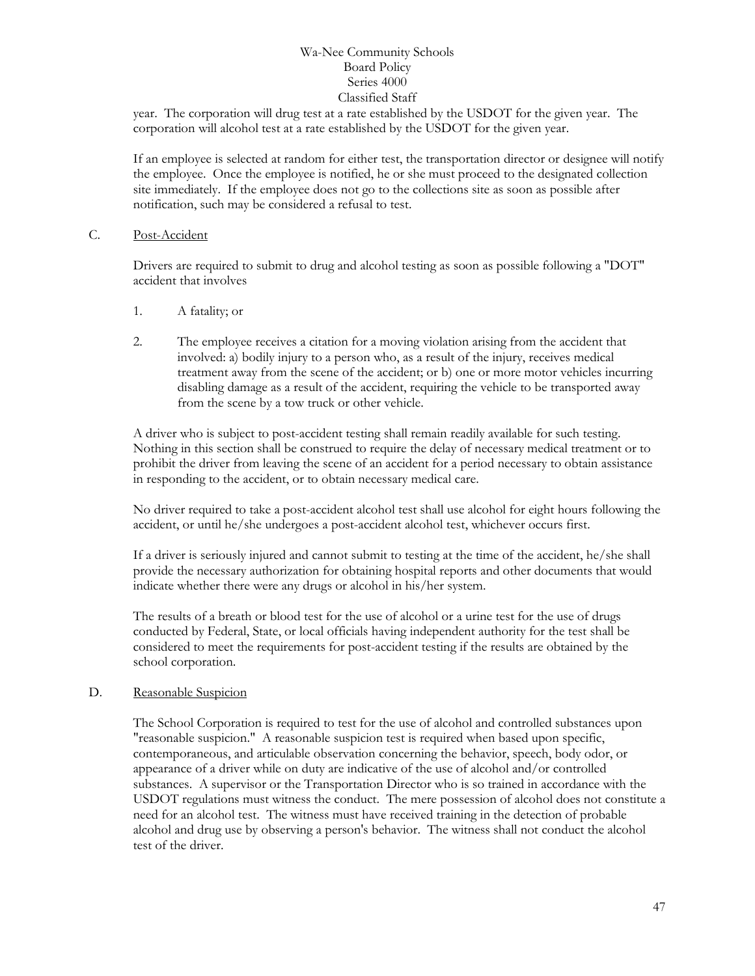year. The corporation will drug test at a rate established by the USDOT for the given year. The corporation will alcohol test at a rate established by the USDOT for the given year.

If an employee is selected at random for either test, the transportation director or designee will notify the employee. Once the employee is notified, he or she must proceed to the designated collection site immediately. If the employee does not go to the collections site as soon as possible after notification, such may be considered a refusal to test.

#### C. Post-Accident

Drivers are required to submit to drug and alcohol testing as soon as possible following a "DOT" accident that involves

- 1. A fatality; or
- 2. The employee receives a citation for a moving violation arising from the accident that involved: a) bodily injury to a person who, as a result of the injury, receives medical treatment away from the scene of the accident; or b) one or more motor vehicles incurring disabling damage as a result of the accident, requiring the vehicle to be transported away from the scene by a tow truck or other vehicle.

A driver who is subject to post-accident testing shall remain readily available for such testing. Nothing in this section shall be construed to require the delay of necessary medical treatment or to prohibit the driver from leaving the scene of an accident for a period necessary to obtain assistance in responding to the accident, or to obtain necessary medical care.

No driver required to take a post-accident alcohol test shall use alcohol for eight hours following the accident, or until he/she undergoes a post-accident alcohol test, whichever occurs first.

If a driver is seriously injured and cannot submit to testing at the time of the accident, he/she shall provide the necessary authorization for obtaining hospital reports and other documents that would indicate whether there were any drugs or alcohol in his/her system.

The results of a breath or blood test for the use of alcohol or a urine test for the use of drugs conducted by Federal, State, or local officials having independent authority for the test shall be considered to meet the requirements for post-accident testing if the results are obtained by the school corporation.

#### D. Reasonable Suspicion

The School Corporation is required to test for the use of alcohol and controlled substances upon "reasonable suspicion." A reasonable suspicion test is required when based upon specific, contemporaneous, and articulable observation concerning the behavior, speech, body odor, or appearance of a driver while on duty are indicative of the use of alcohol and/or controlled substances. A supervisor or the Transportation Director who is so trained in accordance with the USDOT regulations must witness the conduct. The mere possession of alcohol does not constitute a need for an alcohol test. The witness must have received training in the detection of probable alcohol and drug use by observing a person's behavior. The witness shall not conduct the alcohol test of the driver.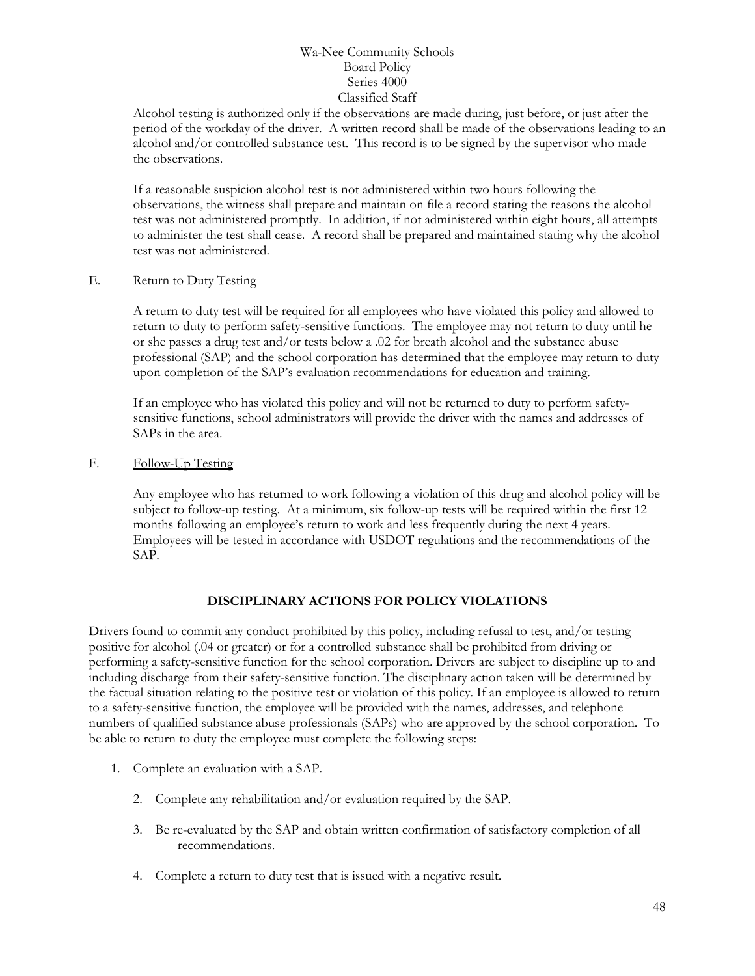Alcohol testing is authorized only if the observations are made during, just before, or just after the period of the workday of the driver. A written record shall be made of the observations leading to an alcohol and/or controlled substance test. This record is to be signed by the supervisor who made the observations.

If a reasonable suspicion alcohol test is not administered within two hours following the observations, the witness shall prepare and maintain on file a record stating the reasons the alcohol test was not administered promptly. In addition, if not administered within eight hours, all attempts to administer the test shall cease. A record shall be prepared and maintained stating why the alcohol test was not administered.

#### E. Return to Duty Testing

A return to duty test will be required for all employees who have violated this policy and allowed to return to duty to perform safety-sensitive functions. The employee may not return to duty until he or she passes a drug test and/or tests below a .02 for breath alcohol and the substance abuse professional (SAP) and the school corporation has determined that the employee may return to duty upon completion of the SAP's evaluation recommendations for education and training.

If an employee who has violated this policy and will not be returned to duty to perform safetysensitive functions, school administrators will provide the driver with the names and addresses of SAPs in the area.

#### F. Follow-Up Testing

Any employee who has returned to work following a violation of this drug and alcohol policy will be subject to follow-up testing. At a minimum, six follow-up tests will be required within the first 12 months following an employee's return to work and less frequently during the next 4 years. Employees will be tested in accordance with USDOT regulations and the recommendations of the SAP.

#### **DISCIPLINARY ACTIONS FOR POLICY VIOLATIONS**

Drivers found to commit any conduct prohibited by this policy, including refusal to test, and/or testing positive for alcohol (.04 or greater) or for a controlled substance shall be prohibited from driving or performing a safety-sensitive function for the school corporation. Drivers are subject to discipline up to and including discharge from their safety-sensitive function. The disciplinary action taken will be determined by the factual situation relating to the positive test or violation of this policy. If an employee is allowed to return to a safety-sensitive function, the employee will be provided with the names, addresses, and telephone numbers of qualified substance abuse professionals (SAPs) who are approved by the school corporation. To be able to return to duty the employee must complete the following steps:

- 1. Complete an evaluation with a SAP.
	- 2. Complete any rehabilitation and/or evaluation required by the SAP.
	- 3. Be re-evaluated by the SAP and obtain written confirmation of satisfactory completion of all recommendations.
	- 4. Complete a return to duty test that is issued with a negative result.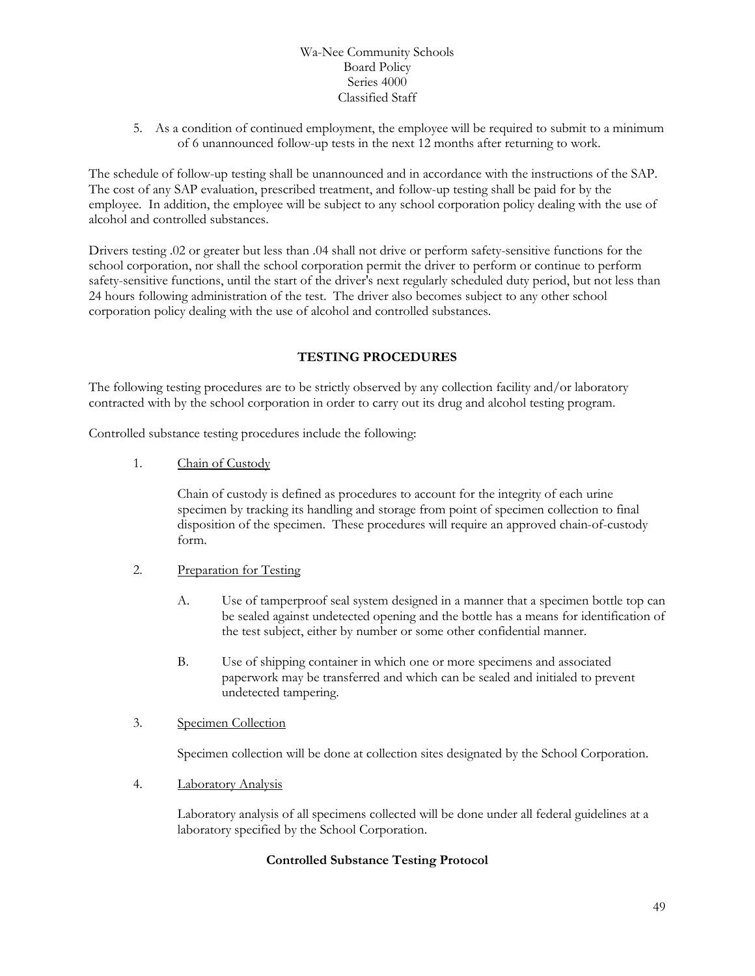5. As a condition of continued employment, the employee will be required to submit to a minimum of 6 unannounced follow-up tests in the next 12 months after returning to work.

The schedule of follow-up testing shall be unannounced and in accordance with the instructions of the SAP. The cost of any SAP evaluation, prescribed treatment, and follow-up testing shall be paid for by the employee. In addition, the employee will be subject to any school corporation policy dealing with the use of alcohol and controlled substances.

Drivers testing .02 or greater but less than .04 shall not drive or perform safety-sensitive functions for the school corporation, nor shall the school corporation permit the driver to perform or continue to perform safety-sensitive functions, until the start of the driver's next regularly scheduled duty period, but not less than 24 hours following administration of the test. The driver also becomes subject to any other school corporation policy dealing with the use of alcohol and controlled substances.

### **TESTING PROCEDURES**

The following testing procedures are to be strictly observed by any collection facility and/or laboratory contracted with by the school corporation in order to carry out its drug and alcohol testing program.

Controlled substance testing procedures include the following:

1. Chain of Custody

Chain of custody is defined as procedures to account for the integrity of each urine specimen by tracking its handling and storage from point of specimen collection to final disposition of the specimen. These procedures will require an approved chain-of-custody form.

- 2. Preparation for Testing
	- A. Use of tamperproof seal system designed in a manner that a specimen bottle top can be sealed against undetected opening and the bottle has a means for identification of the test subject, either by number or some other confidential manner.
	- B. Use of shipping container in which one or more specimens and associated paperwork may be transferred and which can be sealed and initialed to prevent undetected tampering.
- 3. Specimen Collection

Specimen collection will be done at collection sites designated by the School Corporation.

4. Laboratory Analysis

Laboratory analysis of all specimens collected will be done under all federal guidelines at a laboratory specified by the School Corporation.

#### **Controlled Substance Testing Protocol**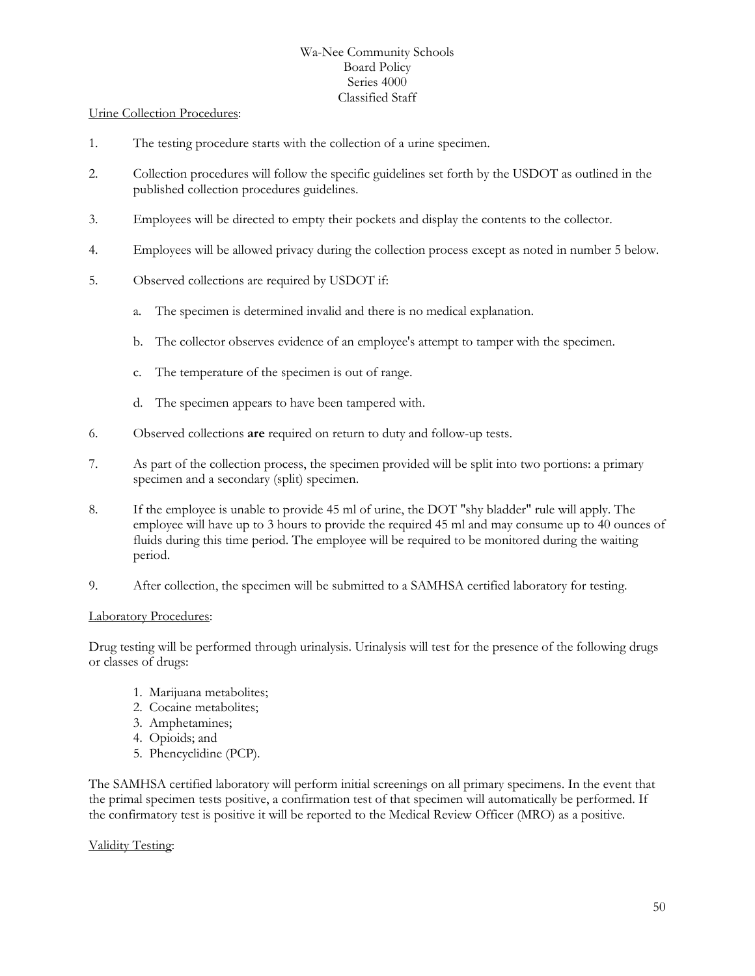#### Urine Collection Procedures:

- 1. The testing procedure starts with the collection of a urine specimen.
- 2. Collection procedures will follow the specific guidelines set forth by the USDOT as outlined in the published collection procedures guidelines.
- 3. Employees will be directed to empty their pockets and display the contents to the collector.
- 4. Employees will be allowed privacy during the collection process except as noted in number 5 below.
- 5. Observed collections are required by USDOT if:
	- a. The specimen is determined invalid and there is no medical explanation.
	- b. The collector observes evidence of an employee's attempt to tamper with the specimen.
	- c. The temperature of the specimen is out of range.
	- d. The specimen appears to have been tampered with.
- 6. Observed collections **are** required on return to duty and follow-up tests.
- 7. As part of the collection process, the specimen provided will be split into two portions: a primary specimen and a secondary (split) specimen.
- 8. If the employee is unable to provide 45 ml of urine, the DOT "shy bladder" rule will apply. The employee will have up to 3 hours to provide the required 45 ml and may consume up to 40 ounces of fluids during this time period. The employee will be required to be monitored during the waiting period.
- 9. After collection, the specimen will be submitted to a SAMHSA certified laboratory for testing.

#### Laboratory Procedures:

Drug testing will be performed through urinalysis. Urinalysis will test for the presence of the following drugs or classes of drugs:

- 1. Marijuana metabolites;
- 2. Cocaine metabolites;
- 3. Amphetamines;
- 4. Opioids; and
- 5. Phencyclidine (PCP).

The SAMHSA certified laboratory will perform initial screenings on all primary specimens. In the event that the primal specimen tests positive, a confirmation test of that specimen will automatically be performed. If the confirmatory test is positive it will be reported to the Medical Review Officer (MRO) as a positive.

#### Validity Testing: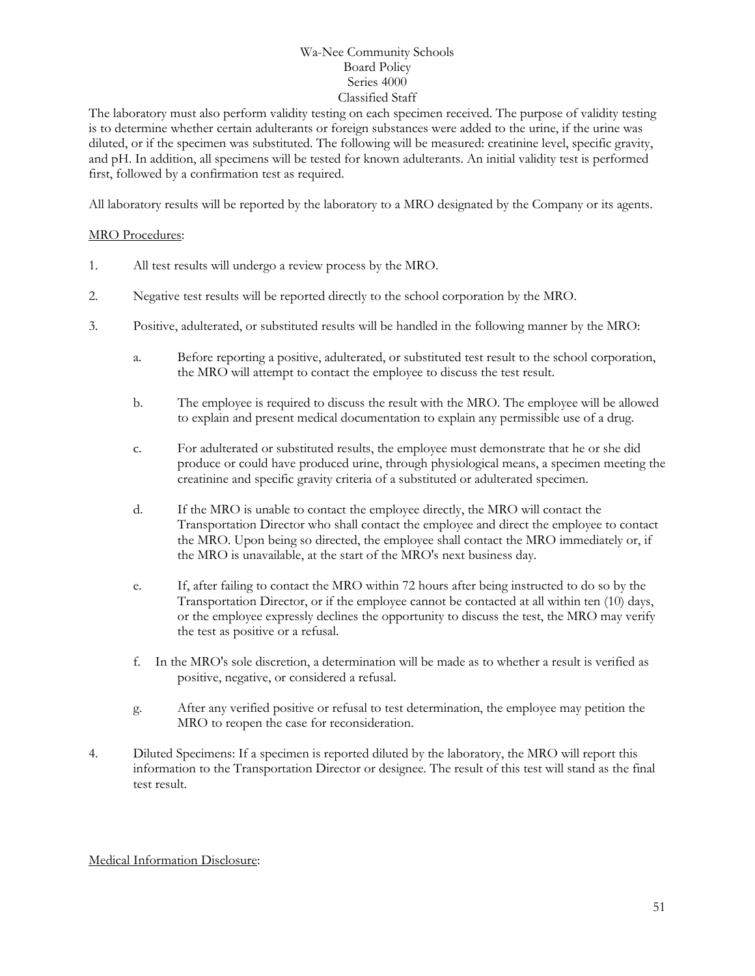The laboratory must also perform validity testing on each specimen received. The purpose of validity testing is to determine whether certain adulterants or foreign substances were added to the urine, if the urine was diluted, or if the specimen was substituted. The following will be measured: creatinine level, specific gravity, and pH. In addition, all specimens will be tested for known adulterants. An initial validity test is performed first, followed by a confirmation test as required.

All laboratory results will be reported by the laboratory to a MRO designated by the Company or its agents.

#### MRO Procedures:

- 1. All test results will undergo a review process by the MRO.
- 2. Negative test results will be reported directly to the school corporation by the MRO.
- 3. Positive, adulterated, or substituted results will be handled in the following manner by the MRO:
	- a. Before reporting a positive, adulterated, or substituted test result to the school corporation, the MRO will attempt to contact the employee to discuss the test result.
	- b. The employee is required to discuss the result with the MRO. The employee will be allowed to explain and present medical documentation to explain any permissible use of a drug.
	- c. For adulterated or substituted results, the employee must demonstrate that he or she did produce or could have produced urine, through physiological means, a specimen meeting the creatinine and specific gravity criteria of a substituted or adulterated specimen.
	- d. If the MRO is unable to contact the employee directly, the MRO will contact the Transportation Director who shall contact the employee and direct the employee to contact the MRO. Upon being so directed, the employee shall contact the MRO immediately or, if the MRO is unavailable, at the start of the MRO's next business day.
	- e. If, after failing to contact the MRO within 72 hours after being instructed to do so by the Transportation Director, or if the employee cannot be contacted at all within ten (10) days, or the employee expressly declines the opportunity to discuss the test, the MRO may verify the test as positive or a refusal.
	- f. In the MRO's sole discretion, a determination will be made as to whether a result is verified as positive, negative, or considered a refusal.
	- g. After any verified positive or refusal to test determination, the employee may petition the MRO to reopen the case for reconsideration.
- 4. Diluted Specimens: If a specimen is reported diluted by the laboratory, the MRO will report this information to the Transportation Director or designee. The result of this test will stand as the final test result.

#### Medical Information Disclosure: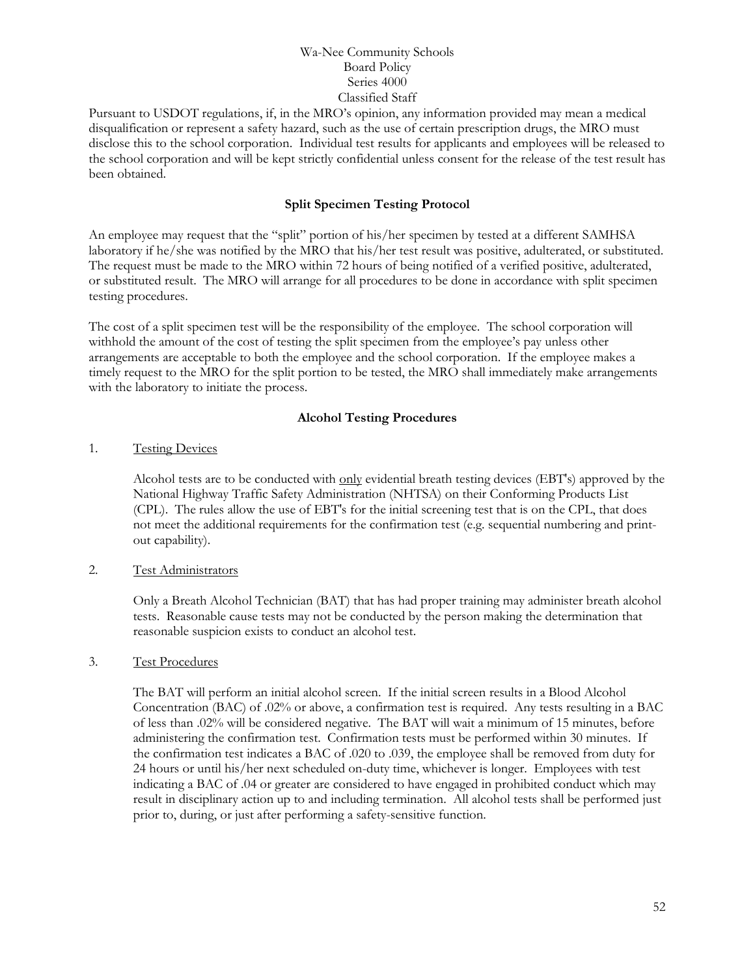Pursuant to USDOT regulations, if, in the MRO's opinion, any information provided may mean a medical disqualification or represent a safety hazard, such as the use of certain prescription drugs, the MRO must disclose this to the school corporation. Individual test results for applicants and employees will be released to the school corporation and will be kept strictly confidential unless consent for the release of the test result has been obtained.

#### **Split Specimen Testing Protocol**

An employee may request that the "split" portion of his/her specimen by tested at a different SAMHSA laboratory if he/she was notified by the MRO that his/her test result was positive, adulterated, or substituted. The request must be made to the MRO within 72 hours of being notified of a verified positive, adulterated, or substituted result. The MRO will arrange for all procedures to be done in accordance with split specimen testing procedures.

The cost of a split specimen test will be the responsibility of the employee. The school corporation will withhold the amount of the cost of testing the split specimen from the employee's pay unless other arrangements are acceptable to both the employee and the school corporation. If the employee makes a timely request to the MRO for the split portion to be tested, the MRO shall immediately make arrangements with the laboratory to initiate the process.

#### **Alcohol Testing Procedures**

#### 1. Testing Devices

Alcohol tests are to be conducted with only evidential breath testing devices (EBT's) approved by the National Highway Traffic Safety Administration (NHTSA) on their Conforming Products List (CPL). The rules allow the use of EBT's for the initial screening test that is on the CPL, that does not meet the additional requirements for the confirmation test (e.g. sequential numbering and printout capability).

#### 2. Test Administrators

Only a Breath Alcohol Technician (BAT) that has had proper training may administer breath alcohol tests. Reasonable cause tests may not be conducted by the person making the determination that reasonable suspicion exists to conduct an alcohol test.

#### 3. Test Procedures

The BAT will perform an initial alcohol screen. If the initial screen results in a Blood Alcohol Concentration (BAC) of .02% or above, a confirmation test is required. Any tests resulting in a BAC of less than .02% will be considered negative. The BAT will wait a minimum of 15 minutes, before administering the confirmation test. Confirmation tests must be performed within 30 minutes. If the confirmation test indicates a BAC of .020 to .039, the employee shall be removed from duty for 24 hours or until his/her next scheduled on-duty time, whichever is longer. Employees with test indicating a BAC of .04 or greater are considered to have engaged in prohibited conduct which may result in disciplinary action up to and including termination. All alcohol tests shall be performed just prior to, during, or just after performing a safety-sensitive function.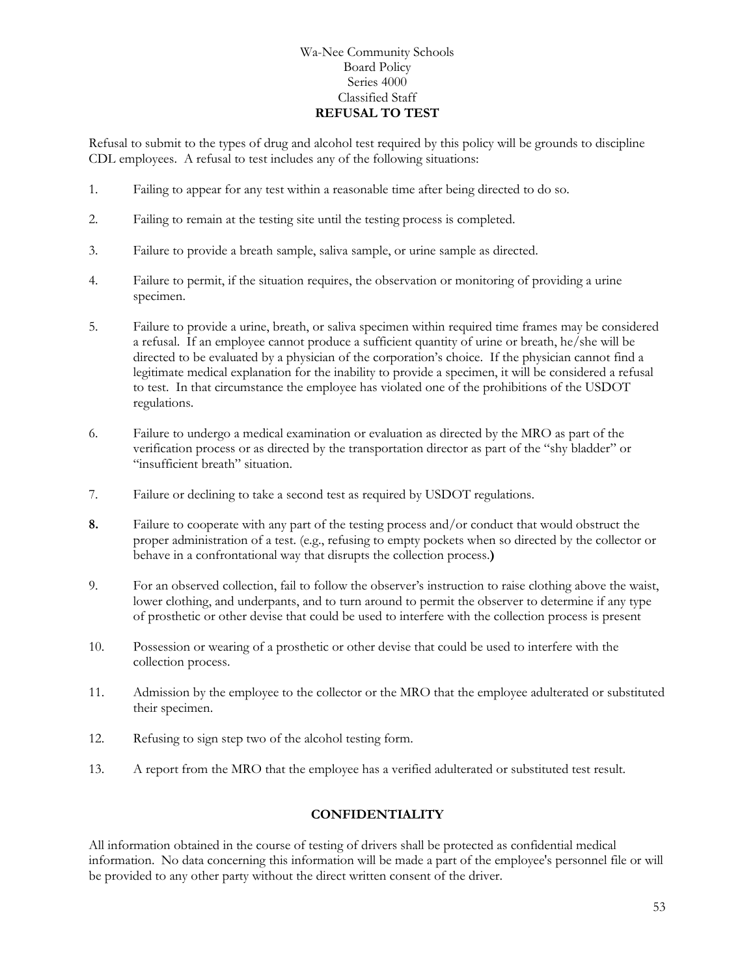#### Wa-Nee Community Schools Board Policy Series 4000 Classified Staff **REFUSAL TO TEST**

Refusal to submit to the types of drug and alcohol test required by this policy will be grounds to discipline CDL employees. A refusal to test includes any of the following situations:

- 1. Failing to appear for any test within a reasonable time after being directed to do so.
- 2. Failing to remain at the testing site until the testing process is completed.
- 3. Failure to provide a breath sample, saliva sample, or urine sample as directed.
- 4. Failure to permit, if the situation requires, the observation or monitoring of providing a urine specimen.
- 5. Failure to provide a urine, breath, or saliva specimen within required time frames may be considered a refusal. If an employee cannot produce a sufficient quantity of urine or breath, he/she will be directed to be evaluated by a physician of the corporation's choice. If the physician cannot find a legitimate medical explanation for the inability to provide a specimen, it will be considered a refusal to test. In that circumstance the employee has violated one of the prohibitions of the USDOT regulations.
- 6. Failure to undergo a medical examination or evaluation as directed by the MRO as part of the verification process or as directed by the transportation director as part of the "shy bladder" or "insufficient breath" situation.
- 7. Failure or declining to take a second test as required by USDOT regulations.
- **8.** Failure to cooperate with any part of the testing process and/or conduct that would obstruct the proper administration of a test. (e.g., refusing to empty pockets when so directed by the collector or behave in a confrontational way that disrupts the collection process.**)**
- 9. For an observed collection, fail to follow the observer's instruction to raise clothing above the waist, lower clothing, and underpants, and to turn around to permit the observer to determine if any type of prosthetic or other devise that could be used to interfere with the collection process is present
- 10. Possession or wearing of a prosthetic or other devise that could be used to interfere with the collection process.
- 11. Admission by the employee to the collector or the MRO that the employee adulterated or substituted their specimen.
- 12. Refusing to sign step two of the alcohol testing form.
- 13. A report from the MRO that the employee has a verified adulterated or substituted test result.

#### **CONFIDENTIALITY**

All information obtained in the course of testing of drivers shall be protected as confidential medical information. No data concerning this information will be made a part of the employee's personnel file or will be provided to any other party without the direct written consent of the driver.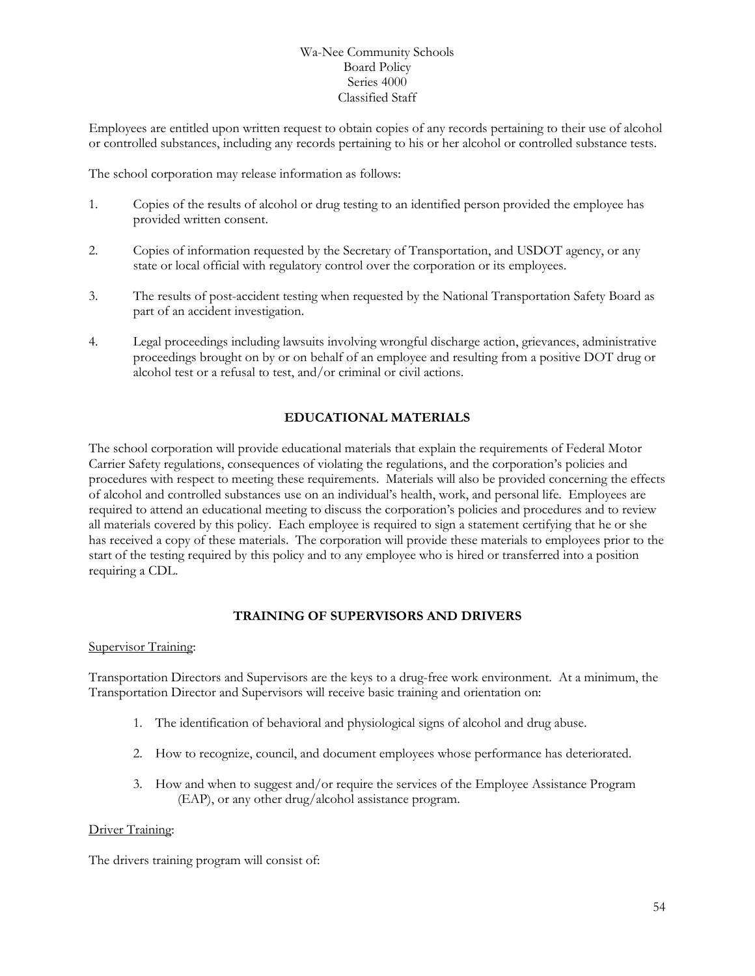Employees are entitled upon written request to obtain copies of any records pertaining to their use of alcohol or controlled substances, including any records pertaining to his or her alcohol or controlled substance tests.

The school corporation may release information as follows:

- 1. Copies of the results of alcohol or drug testing to an identified person provided the employee has provided written consent.
- 2. Copies of information requested by the Secretary of Transportation, and USDOT agency, or any state or local official with regulatory control over the corporation or its employees.
- 3. The results of post-accident testing when requested by the National Transportation Safety Board as part of an accident investigation.
- 4. Legal proceedings including lawsuits involving wrongful discharge action, grievances, administrative proceedings brought on by or on behalf of an employee and resulting from a positive DOT drug or alcohol test or a refusal to test, and/or criminal or civil actions.

#### **EDUCATIONAL MATERIALS**

The school corporation will provide educational materials that explain the requirements of Federal Motor Carrier Safety regulations, consequences of violating the regulations, and the corporation's policies and procedures with respect to meeting these requirements. Materials will also be provided concerning the effects of alcohol and controlled substances use on an individual's health, work, and personal life. Employees are required to attend an educational meeting to discuss the corporation's policies and procedures and to review all materials covered by this policy. Each employee is required to sign a statement certifying that he or she has received a copy of these materials. The corporation will provide these materials to employees prior to the start of the testing required by this policy and to any employee who is hired or transferred into a position requiring a CDL.

#### **TRAINING OF SUPERVISORS AND DRIVERS**

#### Supervisor Training:

Transportation Directors and Supervisors are the keys to a drug-free work environment. At a minimum, the Transportation Director and Supervisors will receive basic training and orientation on:

- 1. The identification of behavioral and physiological signs of alcohol and drug abuse.
- 2. How to recognize, council, and document employees whose performance has deteriorated.
- 3. How and when to suggest and/or require the services of the Employee Assistance Program (EAP), or any other drug/alcohol assistance program.

#### Driver Training:

The drivers training program will consist of: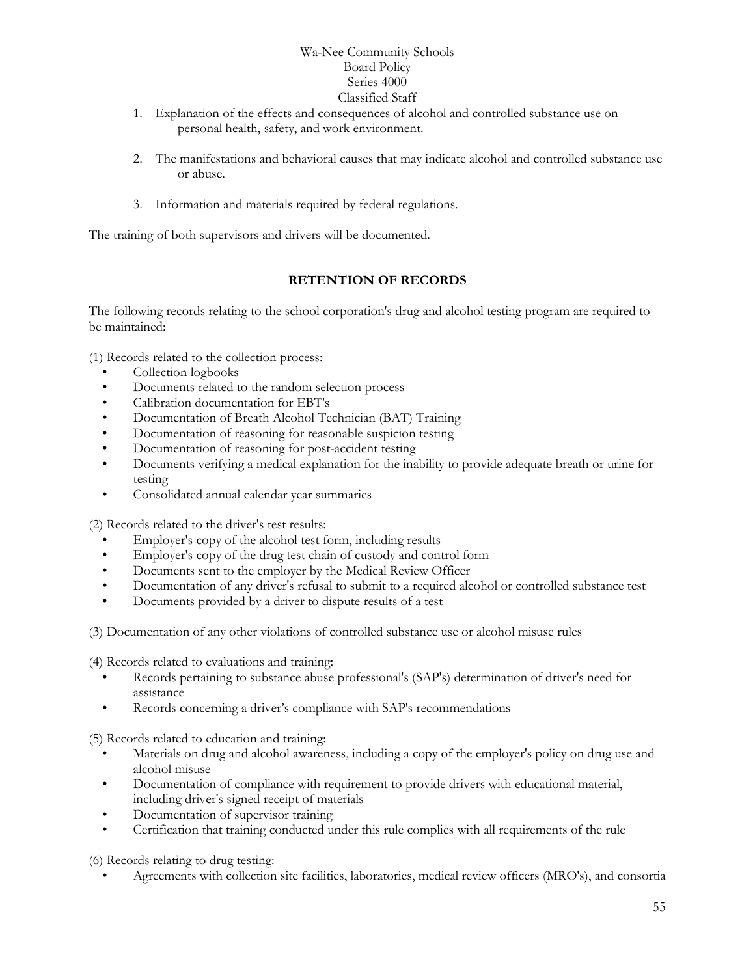- 1. Explanation of the effects and consequences of alcohol and controlled substance use on personal health, safety, and work environment.
- 2. The manifestations and behavioral causes that may indicate alcohol and controlled substance use or abuse.
- 3. Information and materials required by federal regulations.

The training of both supervisors and drivers will be documented.

### **RETENTION OF RECORDS**

The following records relating to the school corporation's drug and alcohol testing program are required to be maintained:

(1) Records related to the collection process:

- Collection logbooks
- Documents related to the random selection process
- Calibration documentation for EBT's
- Documentation of Breath Alcohol Technician (BAT) Training
- Documentation of reasoning for reasonable suspicion testing
- Documentation of reasoning for post-accident testing
- Documents verifying a medical explanation for the inability to provide adequate breath or urine for testing
- Consolidated annual calendar year summaries

(2) Records related to the driver's test results:

- Employer's copy of the alcohol test form, including results
- Employer's copy of the drug test chain of custody and control form
- Documents sent to the employer by the Medical Review Officer
- Documentation of any driver's refusal to submit to a required alcohol or controlled substance test
- Documents provided by a driver to dispute results of a test

(3) Documentation of any other violations of controlled substance use or alcohol misuse rules

(4) Records related to evaluations and training:

- Records pertaining to substance abuse professional's (SAP's) determination of driver's need for assistance
- Records concerning a driver's compliance with SAP's recommendations

(5) Records related to education and training:

- Materials on drug and alcohol awareness, including a copy of the employer's policy on drug use and alcohol misuse
- Documentation of compliance with requirement to provide drivers with educational material, including driver's signed receipt of materials
- Documentation of supervisor training
- Certification that training conducted under this rule complies with all requirements of the rule

(6) Records relating to drug testing:

• Agreements with collection site facilities, laboratories, medical review officers (MRO's), and consortia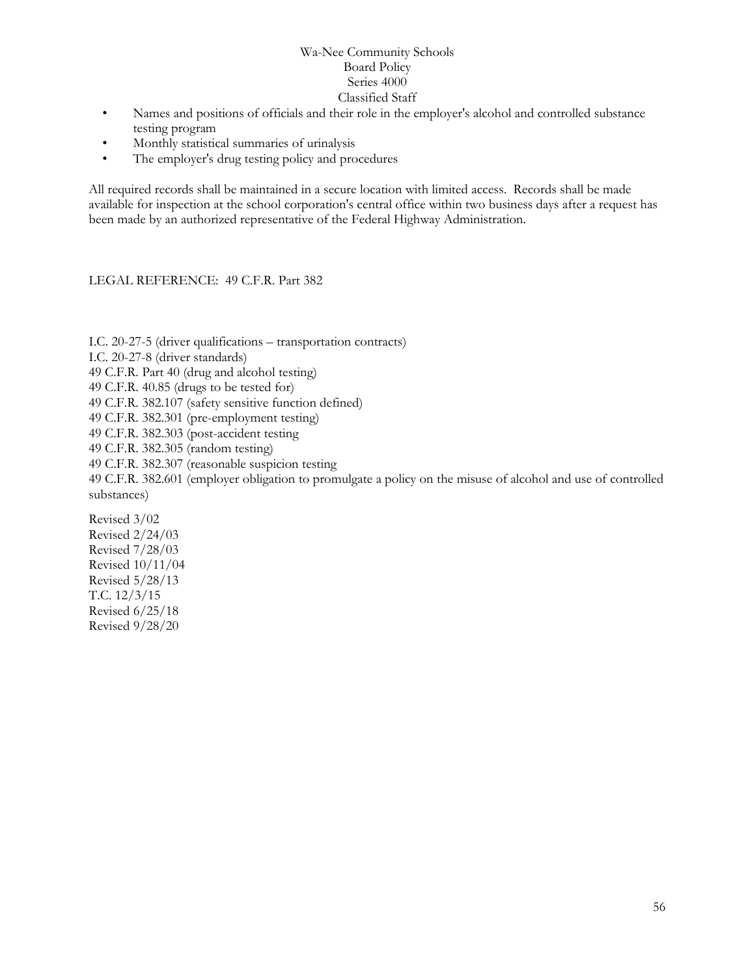- Names and positions of officials and their role in the employer's alcohol and controlled substance testing program
- Monthly statistical summaries of urinalysis
- The employer's drug testing policy and procedures

All required records shall be maintained in a secure location with limited access. Records shall be made available for inspection at the school corporation's central office within two business days after a request has been made by an authorized representative of the Federal Highway Administration.

#### LEGAL REFERENCE: 49 C.F.R. Part 382

I.C. 20-27-5 (driver qualifications – transportation contracts)

I.C. 20-27-8 (driver standards)

49 C.F.R. Part 40 (drug and alcohol testing)

- 49 C.F.R. 40.85 (drugs to be tested for)
- 49 C.F.R. 382.107 (safety sensitive function defined)
- 49 C.F.R. 382.301 (pre-employment testing)
- 49 C.F.R. 382.303 (post-accident testing
- 49 C.F.R. 382.305 (random testing)
- 49 C.F.R. 382.307 (reasonable suspicion testing

49 C.F.R. 382.601 (employer obligation to promulgate a policy on the misuse of alcohol and use of controlled substances)

Revised 3/02 Revised 2/24/03 Revised 7/28/03 Revised 10/11/04 Revised 5/28/13 T.C. 12/3/15 Revised 6/25/18 Revised 9/28/20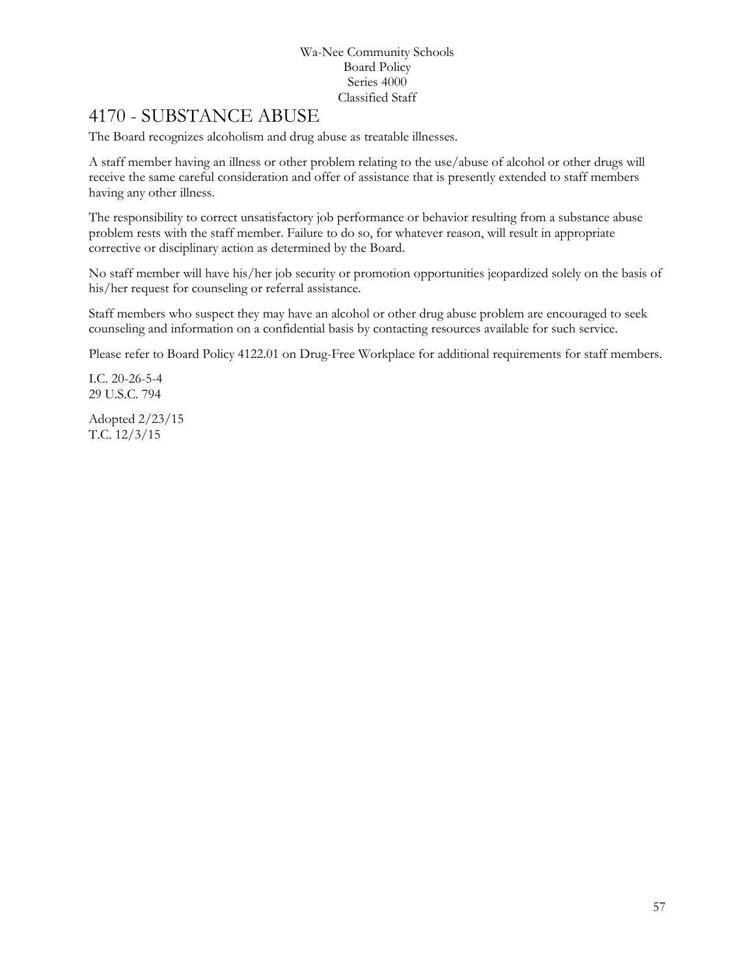## 4170 - SUBSTANCE ABUSE

The Board recognizes alcoholism and drug abuse as treatable illnesses.

A staff member having an illness or other problem relating to the use/abuse of alcohol or other drugs will receive the same careful consideration and offer of assistance that is presently extended to staff members having any other illness.

The responsibility to correct unsatisfactory job performance or behavior resulting from a substance abuse problem rests with the staff member. Failure to do so, for whatever reason, will result in appropriate corrective or disciplinary action as determined by the Board.

No staff member will have his/her job security or promotion opportunities jeopardized solely on the basis of his/her request for counseling or referral assistance.

Staff members who suspect they may have an alcohol or other drug abuse problem are encouraged to seek counseling and information on a confidential basis by contacting resources available for such service.

Please refer to Board Policy 4122.01 on Drug-Free Workplace for additional requirements for staff members.

I.C. 20-26-5-4 29 U.S.C. 794

Adopted 2/23/15 T.C. 12/3/15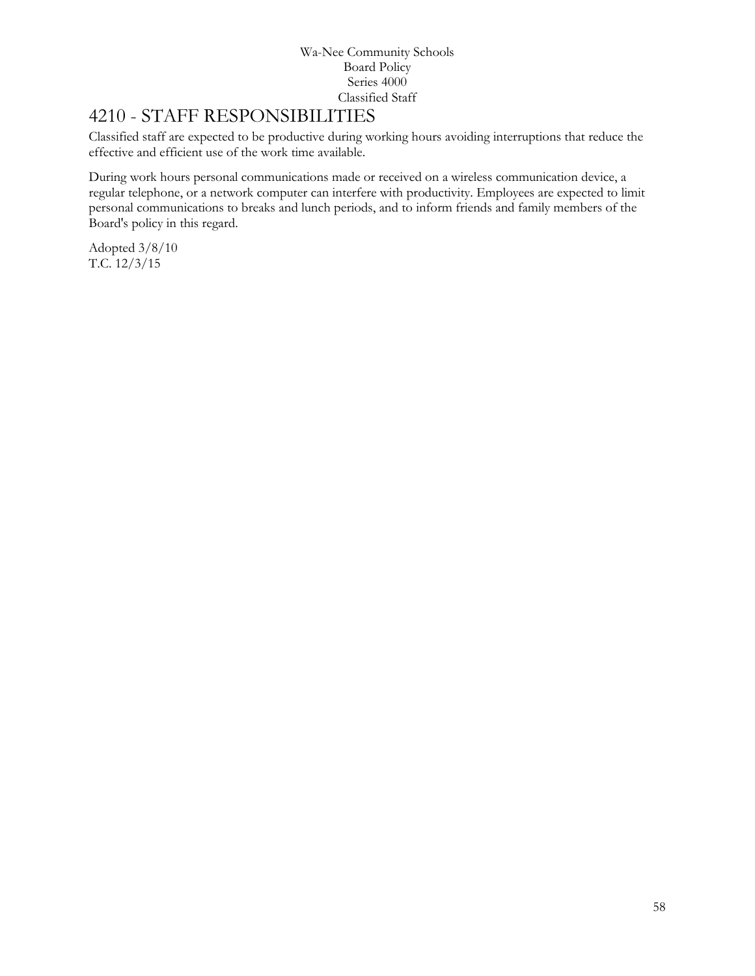# 4210 - STAFF RESPONSIBILITIES

Classified staff are expected to be productive during working hours avoiding interruptions that reduce the effective and efficient use of the work time available.

During work hours personal communications made or received on a wireless communication device, a regular telephone, or a network computer can interfere with productivity. Employees are expected to limit personal communications to breaks and lunch periods, and to inform friends and family members of the Board's policy in this regard.

Adopted 3/8/10 T.C. 12/3/15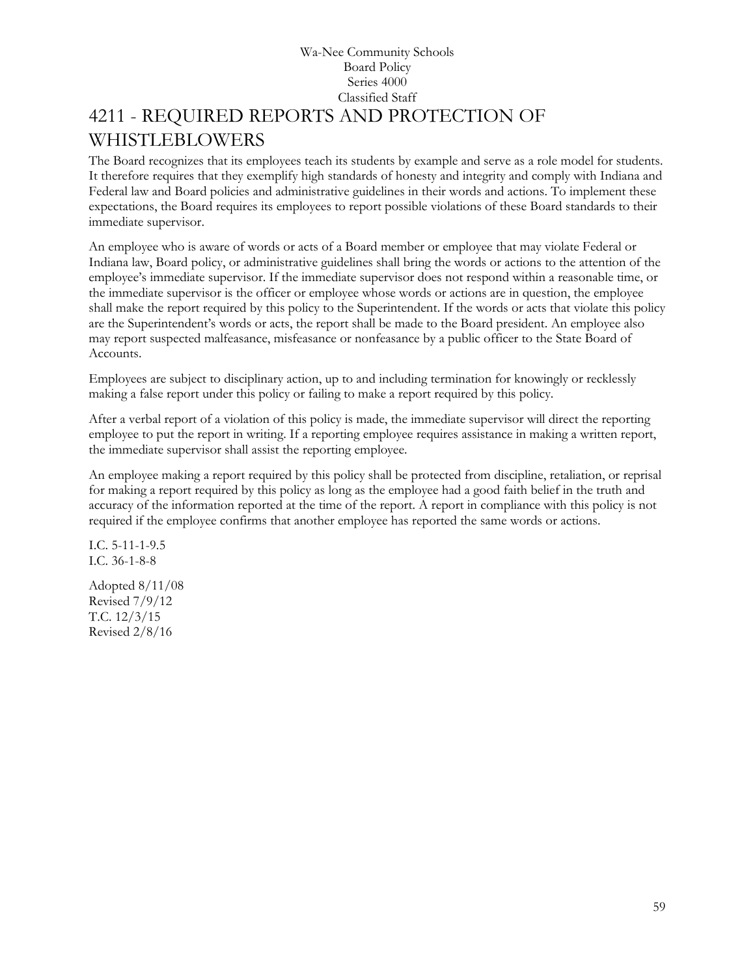## Wa-Nee Community Schools Board Policy Series 4000 Classified Staff [4211](http://www.neola.com/wanee-in/search/ag/ag4211.htm) - REQUIRED REPORTS AND PROTECTION OF WHISTLEBLOWERS

The Board recognizes that its employees teach its students by example and serve as a role model for students. It therefore requires that they exemplify high standards of honesty and integrity and comply with Indiana and Federal law and Board policies and administrative guidelines in their words and actions. To implement these expectations, the Board requires its employees to report possible violations of these Board standards to their immediate supervisor.

An employee who is aware of words or acts of a Board member or employee that may violate Federal or Indiana law, Board policy, or administrative guidelines shall bring the words or actions to the attention of the employee's immediate supervisor. If the immediate supervisor does not respond within a reasonable time, or the immediate supervisor is the officer or employee whose words or actions are in question, the employee shall make the report required by this policy to the Superintendent. If the words or acts that violate this policy are the Superintendent's words or acts, the report shall be made to the Board president. An employee also may report suspected malfeasance, misfeasance or nonfeasance by a public officer to the State Board of Accounts.

Employees are subject to disciplinary action, up to and including termination for knowingly or recklessly making a false report under this policy or failing to make a report required by this policy.

After a verbal report of a violation of this policy is made, the immediate supervisor will direct the reporting employee to put the report in writing. If a reporting employee requires assistance in making a written report, the immediate supervisor shall assist the reporting employee.

An employee making a report required by this policy shall be protected from discipline, retaliation, or reprisal for making a report required by this policy as long as the employee had a good faith belief in the truth and accuracy of the information reported at the time of the report. A report in compliance with this policy is not required if the employee confirms that another employee has reported the same words or actions.

I.C. 5-11-1-9.5 I.C. 36-1-8-8

Adopted 8/11/08 Revised 7/9/12 T.C. 12/3/15 Revised 2/8/16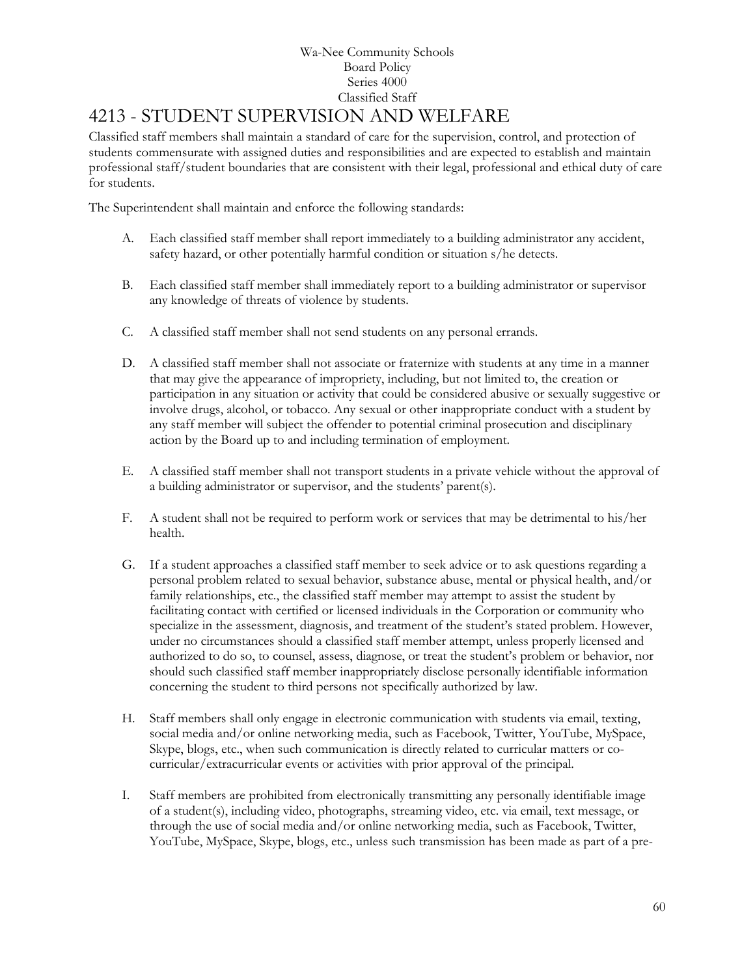# 4213 - STUDENT SUPERVISION AND WELFARE

Classified staff members shall maintain a standard of care for the supervision, control, and protection of students commensurate with assigned duties and responsibilities and are expected to establish and maintain professional staff/student boundaries that are consistent with their legal, professional and ethical duty of care for students.

The Superintendent shall maintain and enforce the following standards:

- A. Each classified staff member shall report immediately to a building administrator any accident, safety hazard, or other potentially harmful condition or situation s/he detects.
- B. Each classified staff member shall immediately report to a building administrator or supervisor any knowledge of threats of violence by students.
- C. A classified staff member shall not send students on any personal errands.
- D. A classified staff member shall not associate or fraternize with students at any time in a manner that may give the appearance of impropriety, including, but not limited to, the creation or participation in any situation or activity that could be considered abusive or sexually suggestive or involve drugs, alcohol, or tobacco. Any sexual or other inappropriate conduct with a student by any staff member will subject the offender to potential criminal prosecution and disciplinary action by the Board up to and including termination of employment.
- E. A classified staff member shall not transport students in a private vehicle without the approval of a building administrator or supervisor, and the students' parent(s).
- F. A student shall not be required to perform work or services that may be detrimental to his/her health.
- G. If a student approaches a classified staff member to seek advice or to ask questions regarding a personal problem related to sexual behavior, substance abuse, mental or physical health, and/or family relationships, etc., the classified staff member may attempt to assist the student by facilitating contact with certified or licensed individuals in the Corporation or community who specialize in the assessment, diagnosis, and treatment of the student's stated problem. However, under no circumstances should a classified staff member attempt, unless properly licensed and authorized to do so, to counsel, assess, diagnose, or treat the student's problem or behavior, nor should such classified staff member inappropriately disclose personally identifiable information concerning the student to third persons not specifically authorized by law.
- H. Staff members shall only engage in electronic communication with students via email, texting, social media and/or online networking media, such as Facebook, Twitter, YouTube, MySpace, Skype, blogs, etc., when such communication is directly related to curricular matters or cocurricular/extracurricular events or activities with prior approval of the principal.
- I. Staff members are prohibited from electronically transmitting any personally identifiable image of a student(s), including video, photographs, streaming video, etc. via email, text message, or through the use of social media and/or online networking media, such as Facebook, Twitter, YouTube, MySpace, Skype, blogs, etc., unless such transmission has been made as part of a pre-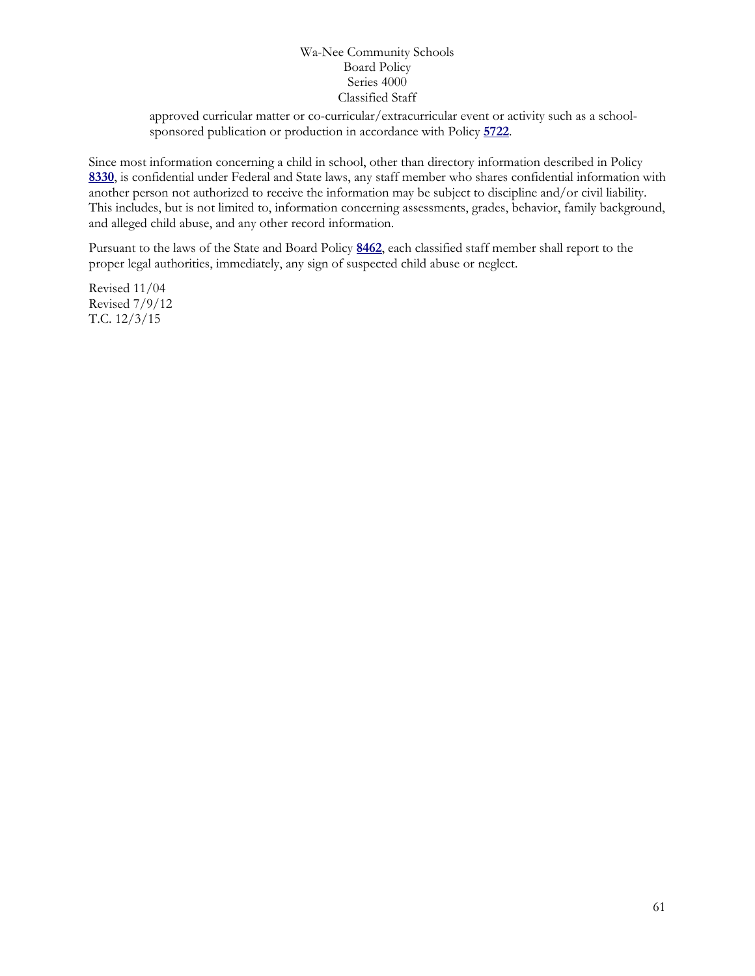approved curricular matter or co-curricular/extracurricular event or activity such as a schoolsponsored publication or production in accordance with Policy **[5722](http://www.neola.com/wanee-in/search/policies/po5722.htm)**.

Since most information concerning a child in school, other than directory information described in Policy **[8330](http://www.neola.com/wanee-in/search/policies/po8330.htm)**, is confidential under Federal and State laws, any staff member who shares confidential information with another person not authorized to receive the information may be subject to discipline and/or civil liability. This includes, but is not limited to, information concerning assessments, grades, behavior, family background, and alleged child abuse, and any other record information.

Pursuant to the laws of the State and Board Policy **[8462](http://www.neola.com/wanee-in/search/policies/po8462.htm)**, each classified staff member shall report to the proper legal authorities, immediately, any sign of suspected child abuse or neglect.

Revised 11/04 Revised 7/9/12 T.C. 12/3/15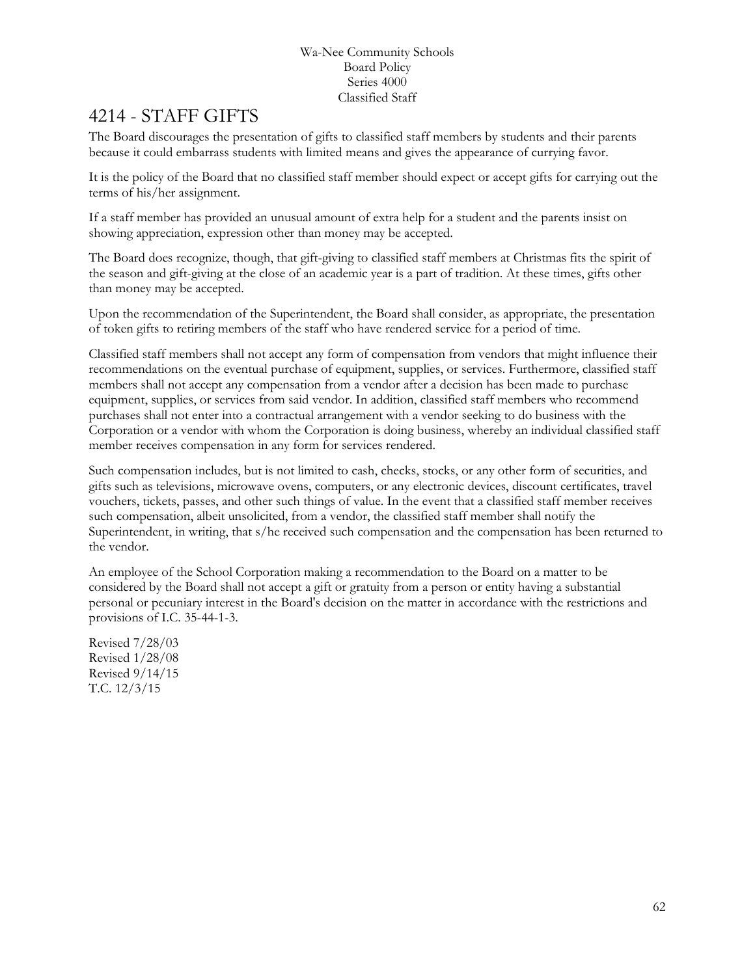# 4214 - STAFF GIFTS

The Board discourages the presentation of gifts to classified staff members by students and their parents because it could embarrass students with limited means and gives the appearance of currying favor.

It is the policy of the Board that no classified staff member should expect or accept gifts for carrying out the terms of his/her assignment.

If a staff member has provided an unusual amount of extra help for a student and the parents insist on showing appreciation, expression other than money may be accepted.

The Board does recognize, though, that gift-giving to classified staff members at Christmas fits the spirit of the season and gift-giving at the close of an academic year is a part of tradition. At these times, gifts other than money may be accepted.

Upon the recommendation of the Superintendent, the Board shall consider, as appropriate, the presentation of token gifts to retiring members of the staff who have rendered service for a period of time.

Classified staff members shall not accept any form of compensation from vendors that might influence their recommendations on the eventual purchase of equipment, supplies, or services. Furthermore, classified staff members shall not accept any compensation from a vendor after a decision has been made to purchase equipment, supplies, or services from said vendor. In addition, classified staff members who recommend purchases shall not enter into a contractual arrangement with a vendor seeking to do business with the Corporation or a vendor with whom the Corporation is doing business, whereby an individual classified staff member receives compensation in any form for services rendered.

Such compensation includes, but is not limited to cash, checks, stocks, or any other form of securities, and gifts such as televisions, microwave ovens, computers, or any electronic devices, discount certificates, travel vouchers, tickets, passes, and other such things of value. In the event that a classified staff member receives such compensation, albeit unsolicited, from a vendor, the classified staff member shall notify the Superintendent, in writing, that s/he received such compensation and the compensation has been returned to the vendor.

An employee of the School Corporation making a recommendation to the Board on a matter to be considered by the Board shall not accept a gift or gratuity from a person or entity having a substantial personal or pecuniary interest in the Board's decision on the matter in accordance with the restrictions and provisions of I.C. 35-44-1-3.

Revised 7/28/03 Revised 1/28/08 Revised 9/14/15 T.C. 12/3/15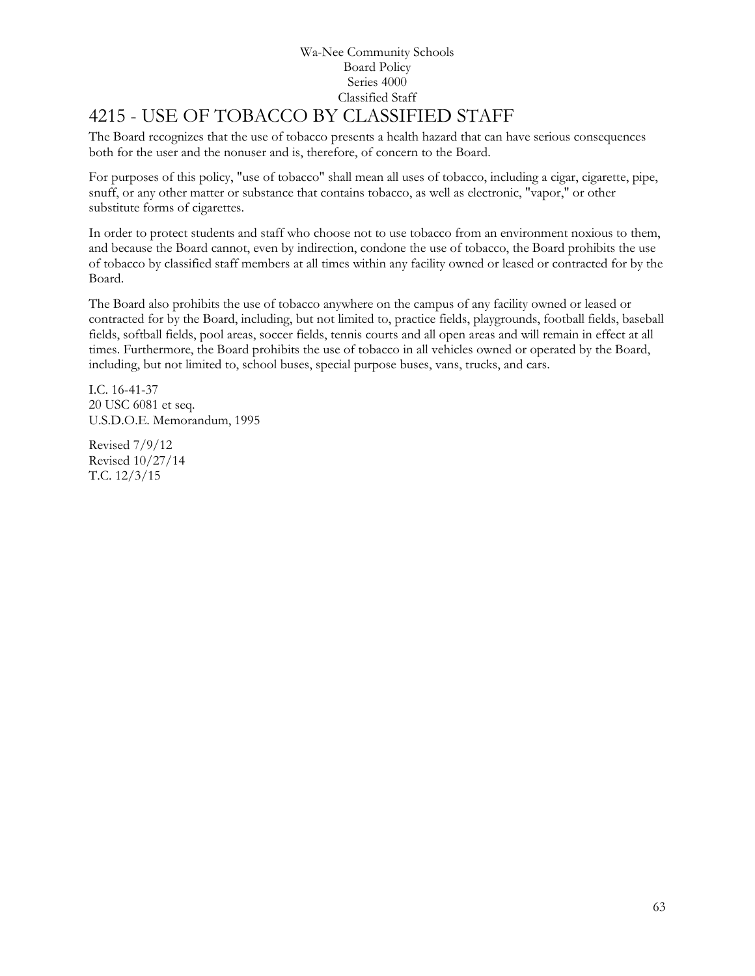# 4215 - USE OF TOBACCO BY CLASSIFIED STAFF

The Board recognizes that the use of tobacco presents a health hazard that can have serious consequences both for the user and the nonuser and is, therefore, of concern to the Board.

For purposes of this policy, "use of tobacco" shall mean all uses of tobacco, including a cigar, cigarette, pipe, snuff, or any other matter or substance that contains tobacco, as well as electronic, "vapor," or other substitute forms of cigarettes.

In order to protect students and staff who choose not to use tobacco from an environment noxious to them, and because the Board cannot, even by indirection, condone the use of tobacco, the Board prohibits the use of tobacco by classified staff members at all times within any facility owned or leased or contracted for by the Board.

The Board also prohibits the use of tobacco anywhere on the campus of any facility owned or leased or contracted for by the Board, including, but not limited to, practice fields, playgrounds, football fields, baseball fields, softball fields, pool areas, soccer fields, tennis courts and all open areas and will remain in effect at all times. Furthermore, the Board prohibits the use of tobacco in all vehicles owned or operated by the Board, including, but not limited to, school buses, special purpose buses, vans, trucks, and cars.

I.C. 16-41-37 20 USC 6081 et seq. U.S.D.O.E. Memorandum, 1995

Revised 7/9/12 Revised 10/27/14 T.C. 12/3/15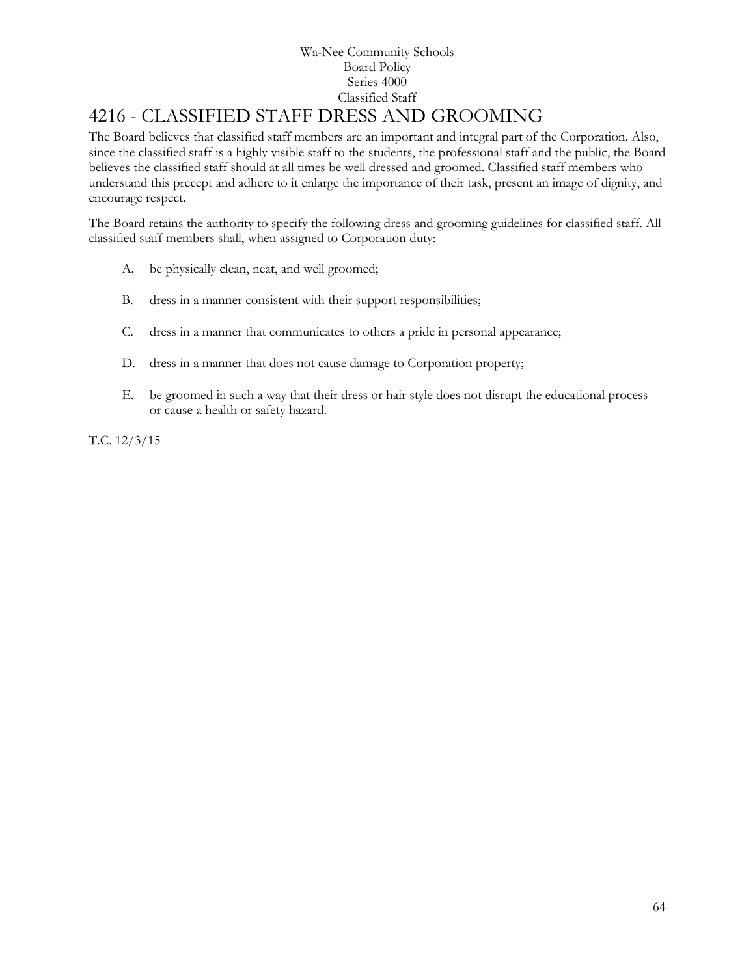# 4216 - CLASSIFIED STAFF DRESS AND GROOMING

The Board believes that classified staff members are an important and integral part of the Corporation. Also, since the classified staff is a highly visible staff to the students, the professional staff and the public, the Board believes the classified staff should at all times be well dressed and groomed. Classified staff members who understand this precept and adhere to it enlarge the importance of their task, present an image of dignity, and encourage respect.

The Board retains the authority to specify the following dress and grooming guidelines for classified staff. All classified staff members shall, when assigned to Corporation duty:

- A. be physically clean, neat, and well groomed;
- B. dress in a manner consistent with their support responsibilities;
- C. dress in a manner that communicates to others a pride in personal appearance;
- D. dress in a manner that does not cause damage to Corporation property;
- E. be groomed in such a way that their dress or hair style does not disrupt the educational process or cause a health or safety hazard.

T.C. 12/3/15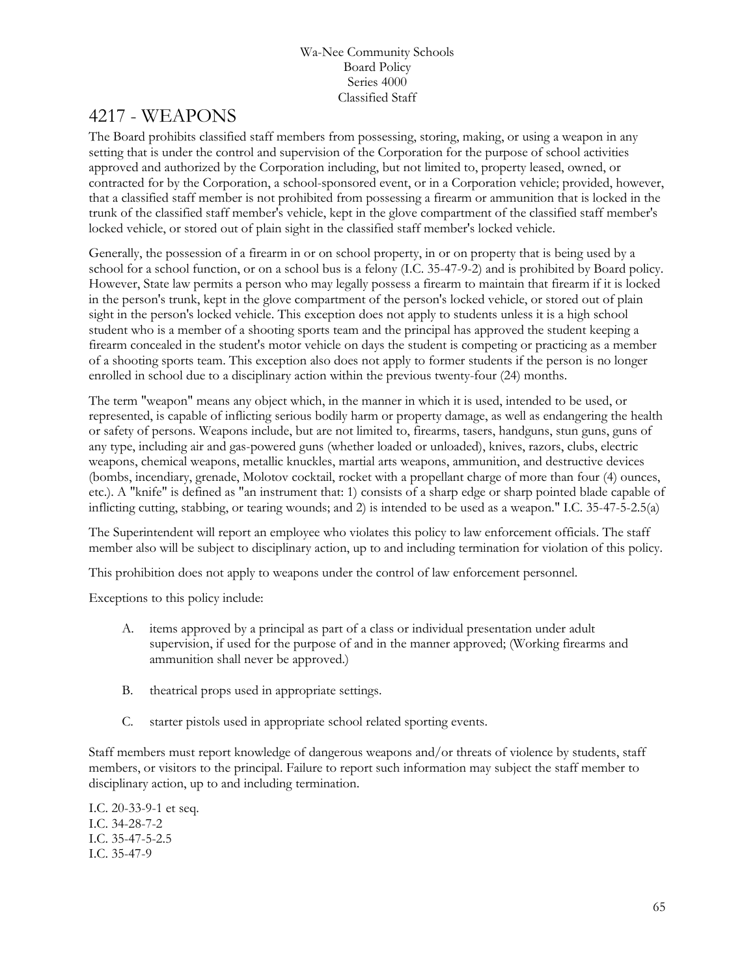## 4217 - WEAPONS

The Board prohibits classified staff members from possessing, storing, making, or using a weapon in any setting that is under the control and supervision of the Corporation for the purpose of school activities approved and authorized by the Corporation including, but not limited to, property leased, owned, or contracted for by the Corporation, a school-sponsored event, or in a Corporation vehicle; provided, however, that a classified staff member is not prohibited from possessing a firearm or ammunition that is locked in the trunk of the classified staff member's vehicle, kept in the glove compartment of the classified staff member's locked vehicle, or stored out of plain sight in the classified staff member's locked vehicle.

Generally, the possession of a firearm in or on school property, in or on property that is being used by a school for a school function, or on a school bus is a felony (I.C. 35-47-9-2) and is prohibited by Board policy. However, State law permits a person who may legally possess a firearm to maintain that firearm if it is locked in the person's trunk, kept in the glove compartment of the person's locked vehicle, or stored out of plain sight in the person's locked vehicle. This exception does not apply to students unless it is a high school student who is a member of a shooting sports team and the principal has approved the student keeping a firearm concealed in the student's motor vehicle on days the student is competing or practicing as a member of a shooting sports team. This exception also does not apply to former students if the person is no longer enrolled in school due to a disciplinary action within the previous twenty-four (24) months.

The term "weapon" means any object which, in the manner in which it is used, intended to be used, or represented, is capable of inflicting serious bodily harm or property damage, as well as endangering the health or safety of persons. Weapons include, but are not limited to, firearms, tasers, handguns, stun guns, guns of any type, including air and gas-powered guns (whether loaded or unloaded), knives, razors, clubs, electric weapons, chemical weapons, metallic knuckles, martial arts weapons, ammunition, and destructive devices (bombs, incendiary, grenade, Molotov cocktail, rocket with a propellant charge of more than four (4) ounces, etc.). A "knife" is defined as "an instrument that: 1) consists of a sharp edge or sharp pointed blade capable of inflicting cutting, stabbing, or tearing wounds; and 2) is intended to be used as a weapon." I.C. 35-47-5-2.5(a)

The Superintendent will report an employee who violates this policy to law enforcement officials. The staff member also will be subject to disciplinary action, up to and including termination for violation of this policy.

This prohibition does not apply to weapons under the control of law enforcement personnel.

Exceptions to this policy include:

- A. items approved by a principal as part of a class or individual presentation under adult supervision, if used for the purpose of and in the manner approved; (Working firearms and ammunition shall never be approved.)
- B. theatrical props used in appropriate settings.
- C. starter pistols used in appropriate school related sporting events.

Staff members must report knowledge of dangerous weapons and/or threats of violence by students, staff members, or visitors to the principal. Failure to report such information may subject the staff member to disciplinary action, up to and including termination.

I.C. 20-33-9-1 et seq. I.C. 34-28-7-2 I.C. 35-47-5-2.5 I.C. 35-47-9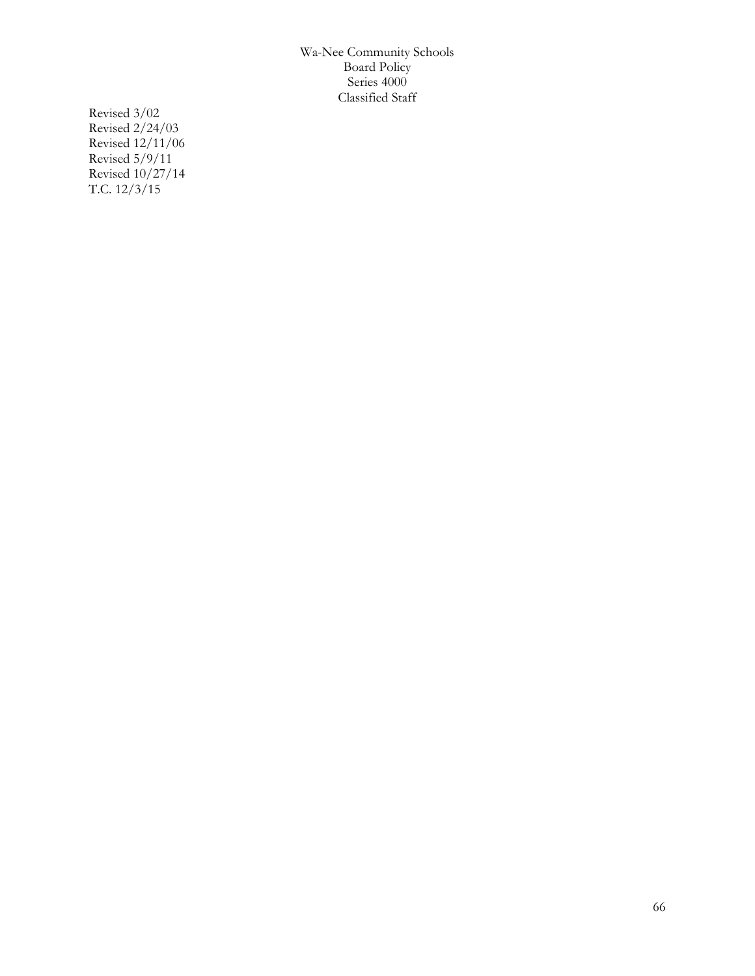Revised 3/02 Revised 2/24/03 Revised 12/11/06 Revised 5/9/11 Revised 10/27/14 T.C. 12/3/15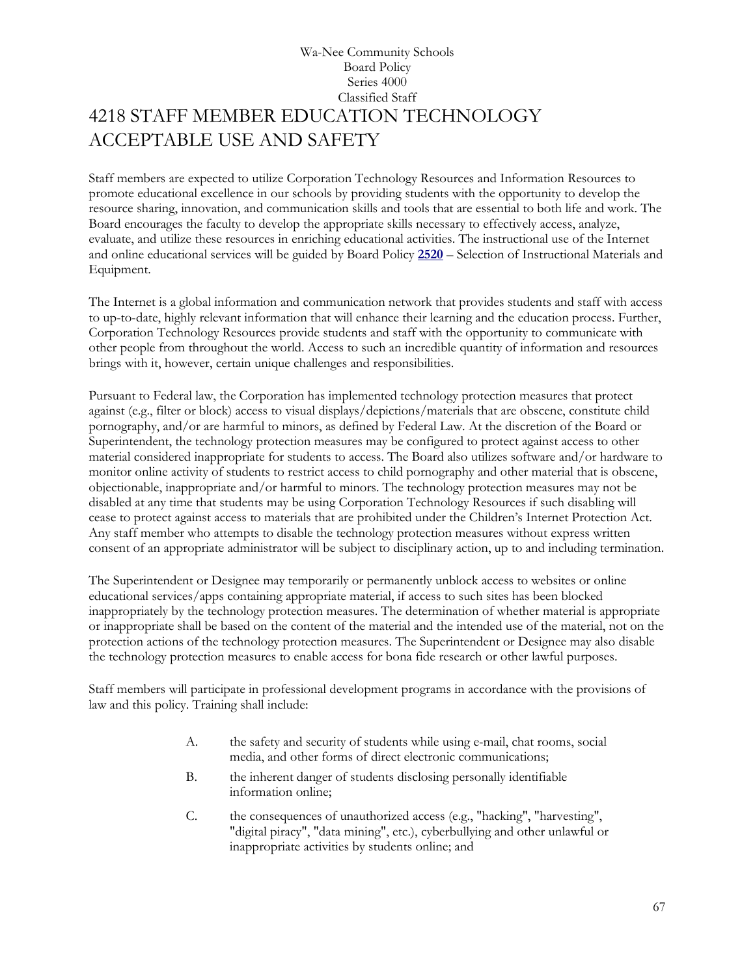## Wa-Nee Community Schools Board Policy Series 4000 Classified Staff 4218 STAFF MEMBER EDUCATION TECHNOLOGY ACCEPTABLE USE AND SAFETY

Staff members are expected to utilize Corporation Technology Resources and Information Resources to promote educational excellence in our schools by providing students with the opportunity to develop the resource sharing, innovation, and communication skills and tools that are essential to both life and work. The Board encourages the faculty to develop the appropriate skills necessary to effectively access, analyze, evaluate, and utilize these resources in enriching educational activities. The instructional use of the Internet and online educational services will be guided by Board Policy **[2520](http://www.neola.com/wanee-in/search/policies/po2520.htm)** – Selection of Instructional Materials and Equipment.

The Internet is a global information and communication network that provides students and staff with access to up-to-date, highly relevant information that will enhance their learning and the education process. Further, Corporation Technology Resources provide students and staff with the opportunity to communicate with other people from throughout the world. Access to such an incredible quantity of information and resources brings with it, however, certain unique challenges and responsibilities.

Pursuant to Federal law, the Corporation has implemented technology protection measures that protect against (e.g., filter or block) access to visual displays/depictions/materials that are obscene, constitute child pornography, and/or are harmful to minors, as defined by Federal Law. At the discretion of the Board or Superintendent, the technology protection measures may be configured to protect against access to other material considered inappropriate for students to access. The Board also utilizes software and/or hardware to monitor online activity of students to restrict access to child pornography and other material that is obscene, objectionable, inappropriate and/or harmful to minors. The technology protection measures may not be disabled at any time that students may be using Corporation Technology Resources if such disabling will cease to protect against access to materials that are prohibited under the Children's Internet Protection Act. Any staff member who attempts to disable the technology protection measures without express written consent of an appropriate administrator will be subject to disciplinary action, up to and including termination.

The Superintendent or Designee may temporarily or permanently unblock access to websites or online educational services/apps containing appropriate material, if access to such sites has been blocked inappropriately by the technology protection measures. The determination of whether material is appropriate or inappropriate shall be based on the content of the material and the intended use of the material, not on the protection actions of the technology protection measures. The Superintendent or Designee may also disable the technology protection measures to enable access for bona fide research or other lawful purposes.

Staff members will participate in professional development programs in accordance with the provisions of law and this policy. Training shall include:

- A. the safety and security of students while using e-mail, chat rooms, social media, and other forms of direct electronic communications;
- B. the inherent danger of students disclosing personally identifiable information online;
- C. the consequences of unauthorized access (e.g., "hacking", "harvesting", "digital piracy", "data mining", etc.), cyberbullying and other unlawful or inappropriate activities by students online; and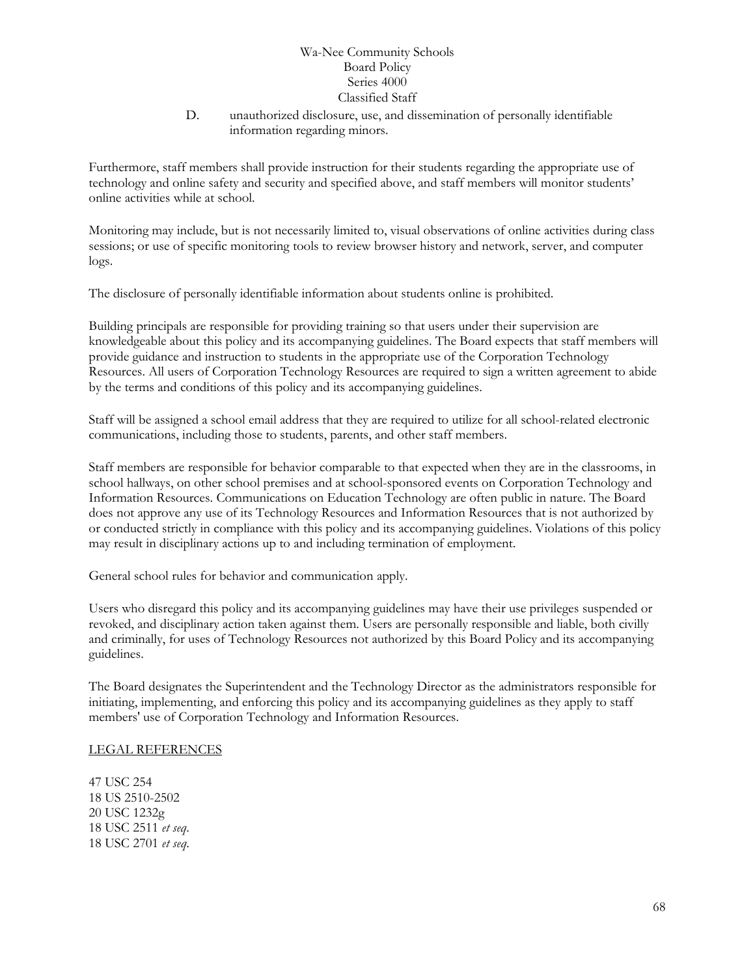D. unauthorized disclosure, use, and dissemination of personally identifiable information regarding minors.

Furthermore, staff members shall provide instruction for their students regarding the appropriate use of technology and online safety and security and specified above, and staff members will monitor students' online activities while at school.

Monitoring may include, but is not necessarily limited to, visual observations of online activities during class sessions; or use of specific monitoring tools to review browser history and network, server, and computer logs.

The disclosure of personally identifiable information about students online is prohibited.

Building principals are responsible for providing training so that users under their supervision are knowledgeable about this policy and its accompanying guidelines. The Board expects that staff members will provide guidance and instruction to students in the appropriate use of the Corporation Technology Resources. All users of Corporation Technology Resources are required to sign a written agreement to abide by the terms and conditions of this policy and its accompanying guidelines.

Staff will be assigned a school email address that they are required to utilize for all school-related electronic communications, including those to students, parents, and other staff members.

Staff members are responsible for behavior comparable to that expected when they are in the classrooms, in school hallways, on other school premises and at school-sponsored events on Corporation Technology and Information Resources. Communications on Education Technology are often public in nature. The Board does not approve any use of its Technology Resources and Information Resources that is not authorized by or conducted strictly in compliance with this policy and its accompanying guidelines. Violations of this policy may result in disciplinary actions up to and including termination of employment.

General school rules for behavior and communication apply.

Users who disregard this policy and its accompanying guidelines may have their use privileges suspended or revoked, and disciplinary action taken against them. Users are personally responsible and liable, both civilly and criminally, for uses of Technology Resources not authorized by this Board Policy and its accompanying guidelines.

The Board designates the Superintendent and the Technology Director as the administrators responsible for initiating, implementing, and enforcing this policy and its accompanying guidelines as they apply to staff members' use of Corporation Technology and Information Resources.

#### LEGAL REFERENCES

47 USC 254 18 US 2510-2502 20 USC 1232g 18 USC 2511 *et seq*. 18 USC 2701 *et seq*.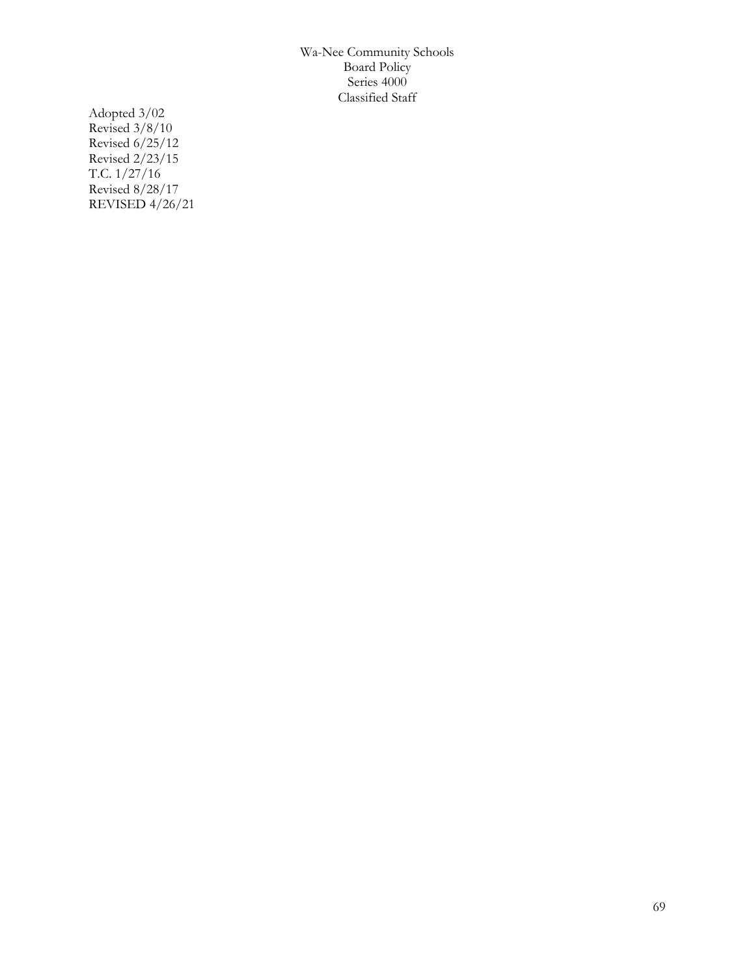Adopted 3/02 Revised 3/8/10 Revised 6/25/12 Revised 2/23/15 T.C. 1/27/16 Revised 8/28/17 REVISED 4/26/21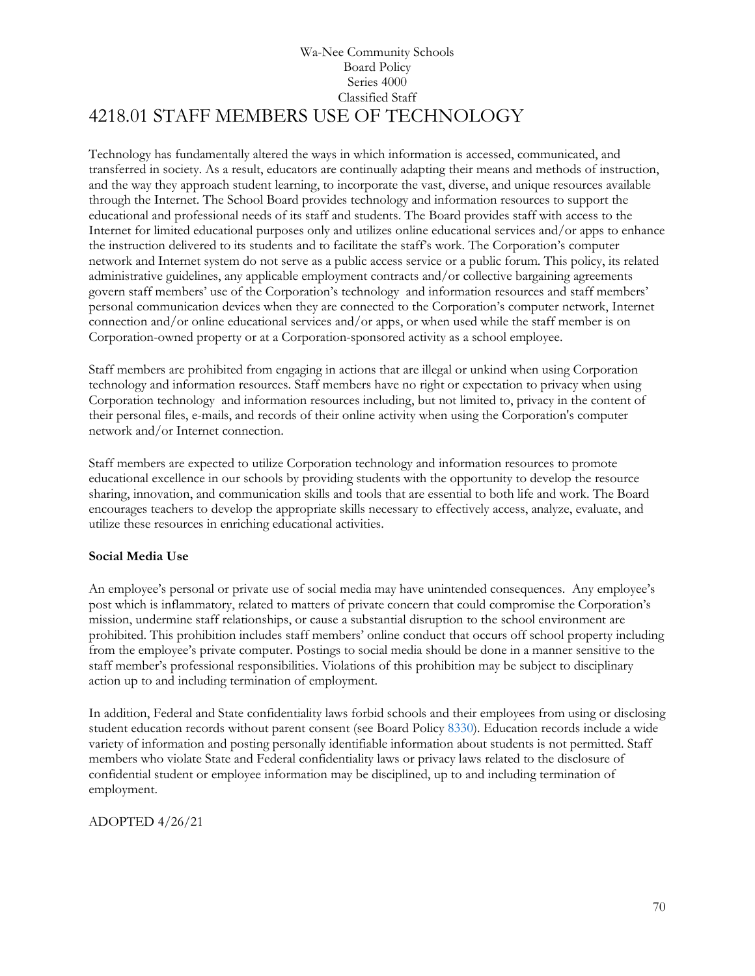## Wa-Nee Community Schools Board Policy Series 4000 Classified Staff 4218.01 STAFF MEMBERS USE OF TECHNOLOGY

Technology has fundamentally altered the ways in which information is accessed, communicated, and transferred in society. As a result, educators are continually adapting their means and methods of instruction, and the way they approach student learning, to incorporate the vast, diverse, and unique resources available through the Internet. The School Board provides technology and information resources to support the educational and professional needs of its staff and students. The Board provides staff with access to the Internet for limited educational purposes only and utilizes online educational services and/or apps to enhance the instruction delivered to its students and to facilitate the staff's work. The Corporation's computer network and Internet system do not serve as a public access service or a public forum. This policy, its related administrative guidelines, any applicable employment contracts and/or collective bargaining agreements govern staff members' use of the Corporation's technology and information resources and staff members' personal communication devices when they are connected to the Corporation's computer network, Internet connection and/or online educational services and/or apps, or when used while the staff member is on Corporation-owned property or at a Corporation-sponsored activity as a school employee.

Staff members are prohibited from engaging in actions that are illegal or unkind when using Corporation technology and information resources. Staff members have no right or expectation to privacy when using Corporation technology and information resources including, but not limited to, privacy in the content of their personal files, e-mails, and records of their online activity when using the Corporation's computer network and/or Internet connection.

Staff members are expected to utilize Corporation technology and information resources to promote educational excellence in our schools by providing students with the opportunity to develop the resource sharing, innovation, and communication skills and tools that are essential to both life and work. The Board encourages teachers to develop the appropriate skills necessary to effectively access, analyze, evaluate, and utilize these resources in enriching educational activities.

#### **Social Media Use**

An employee's personal or private use of social media may have unintended consequences. Any employee's post which is inflammatory, related to matters of private concern that could compromise the Corporation's mission, undermine staff relationships, or cause a substantial disruption to the school environment are prohibited. This prohibition includes staff members' online conduct that occurs off school property including from the employee's private computer. Postings to social media should be done in a manner sensitive to the staff member's professional responsibilities. Violations of this prohibition may be subject to disciplinary action up to and including termination of employment.

In addition, Federal and State confidentiality laws forbid schools and their employees from using or disclosing student education records without parent consent (see Board Policy [8330\)](http://www.neola.com/wanee-in/search/policies/po8330.htm). Education records include a wide variety of information and posting personally identifiable information about students is not permitted. Staff members who violate State and Federal confidentiality laws or privacy laws related to the disclosure of confidential student or employee information may be disciplined, up to and including termination of employment.

ADOPTED 4/26/21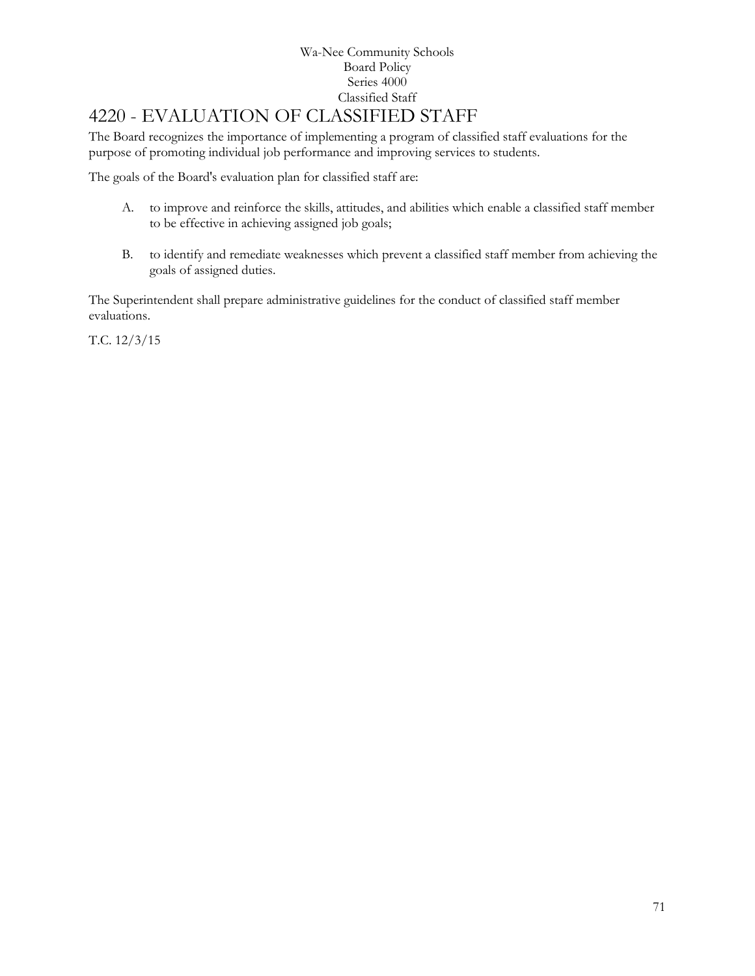### Wa-Nee Community Schools Board Policy Series 4000 Classified Staff [4220](http://www.neola.com/wanee-in/search/ag/ag4220.htm) - EVALUATION OF CLASSIFIED STAFF

### The Board recognizes the importance of implementing a program of classified staff evaluations for the purpose of promoting individual job performance and improving services to students.

The goals of the Board's evaluation plan for classified staff are:

- A. to improve and reinforce the skills, attitudes, and abilities which enable a classified staff member to be effective in achieving assigned job goals;
- B. to identify and remediate weaknesses which prevent a classified staff member from achieving the goals of assigned duties.

The Superintendent shall prepare administrative guidelines for the conduct of classified staff member evaluations.

T.C. 12/3/15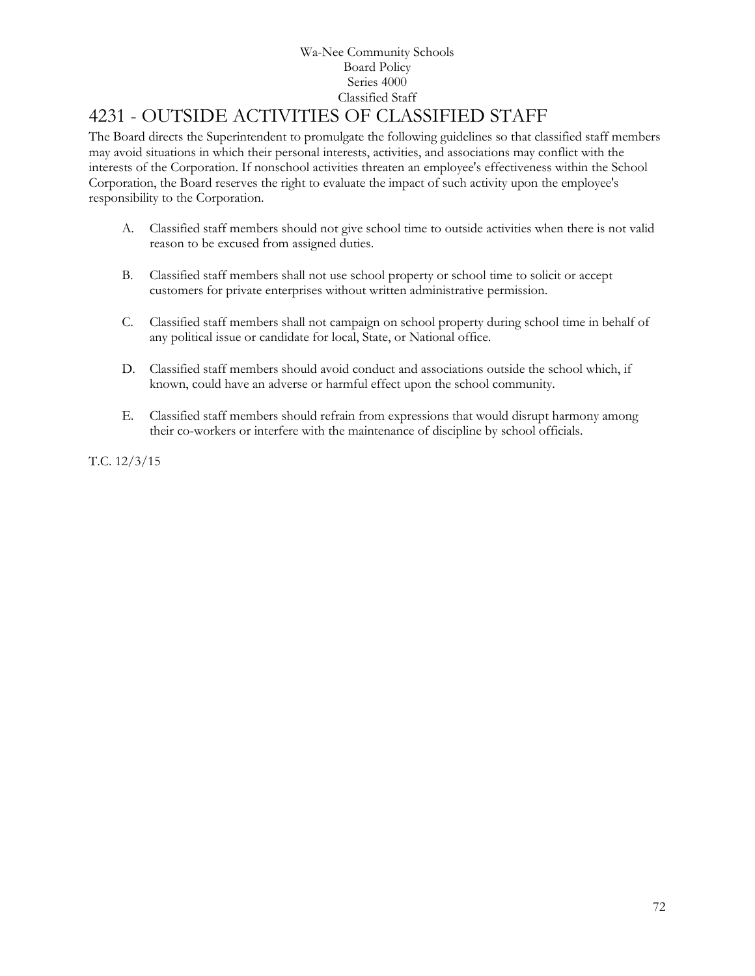# [4231](http://www.neola.com/wanee-in/search/ag/ag4231.htm) - OUTSIDE ACTIVITIES OF CLASSIFIED STAFF

The Board directs the Superintendent to promulgate the following guidelines so that classified staff members may avoid situations in which their personal interests, activities, and associations may conflict with the interests of the Corporation. If nonschool activities threaten an employee's effectiveness within the School Corporation, the Board reserves the right to evaluate the impact of such activity upon the employee's responsibility to the Corporation.

- A. Classified staff members should not give school time to outside activities when there is not valid reason to be excused from assigned duties.
- B. Classified staff members shall not use school property or school time to solicit or accept customers for private enterprises without written administrative permission.
- C. Classified staff members shall not campaign on school property during school time in behalf of any political issue or candidate for local, State, or National office.
- D. Classified staff members should avoid conduct and associations outside the school which, if known, could have an adverse or harmful effect upon the school community.
- E. Classified staff members should refrain from expressions that would disrupt harmony among their co-workers or interfere with the maintenance of discipline by school officials.

T.C. 12/3/15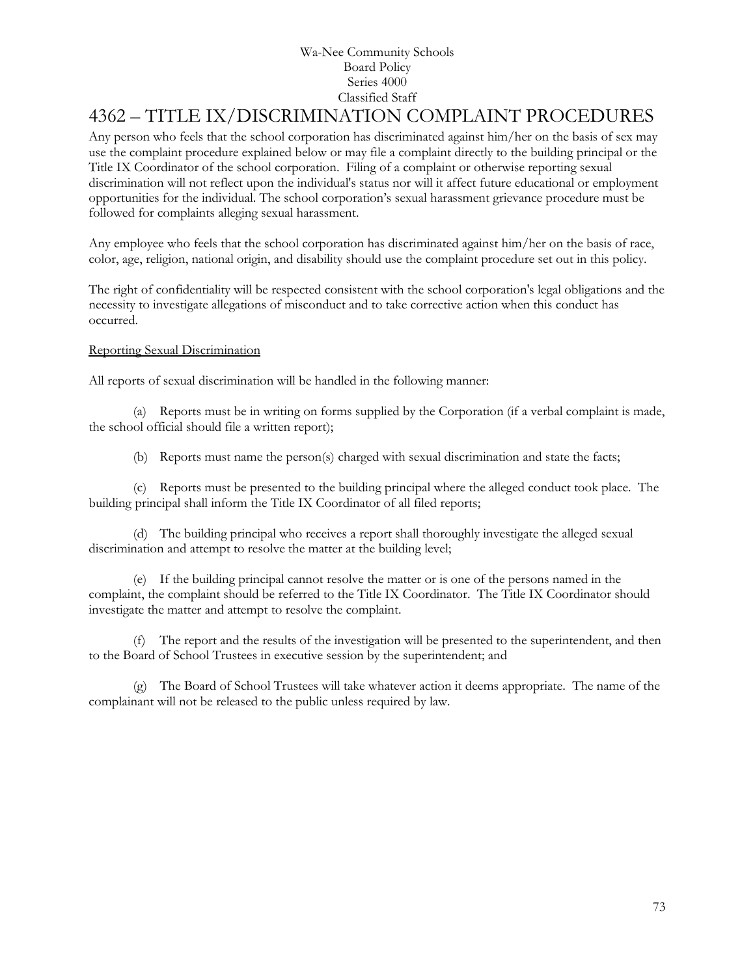# [4362](http://www.neola.com/wanee-in/search/ag/ag4362.htm) – TITLE IX/DISCRIMINATION COMPLAINT PROCEDURES

Any person who feels that the school corporation has discriminated against him/her on the basis of sex may use the complaint procedure explained below or may file a complaint directly to the building principal or the Title IX Coordinator of the school corporation. Filing of a complaint or otherwise reporting sexual discrimination will not reflect upon the individual's status nor will it affect future educational or employment opportunities for the individual. The school corporation's sexual harassment grievance procedure must be followed for complaints alleging sexual harassment.

Any employee who feels that the school corporation has discriminated against him/her on the basis of race, color, age, religion, national origin, and disability should use the complaint procedure set out in this policy.

The right of confidentiality will be respected consistent with the school corporation's legal obligations and the necessity to investigate allegations of misconduct and to take corrective action when this conduct has occurred.

### Reporting Sexual Discrimination

All reports of sexual discrimination will be handled in the following manner:

(a) Reports must be in writing on forms supplied by the Corporation (if a verbal complaint is made, the school official should file a written report);

(b) Reports must name the person(s) charged with sexual discrimination and state the facts;

(c) Reports must be presented to the building principal where the alleged conduct took place. The building principal shall inform the Title IX Coordinator of all filed reports;

(d) The building principal who receives a report shall thoroughly investigate the alleged sexual discrimination and attempt to resolve the matter at the building level;

(e) If the building principal cannot resolve the matter or is one of the persons named in the complaint, the complaint should be referred to the Title IX Coordinator. The Title IX Coordinator should investigate the matter and attempt to resolve the complaint.

(f) The report and the results of the investigation will be presented to the superintendent, and then to the Board of School Trustees in executive session by the superintendent; and

(g) The Board of School Trustees will take whatever action it deems appropriate. The name of the complainant will not be released to the public unless required by law.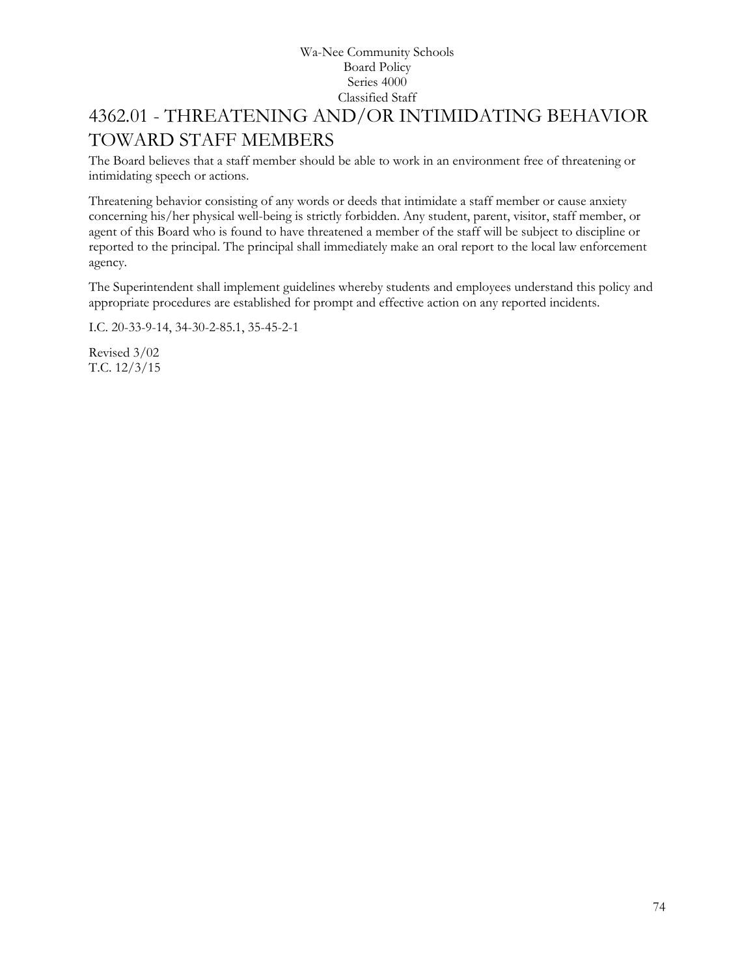# 4362.01 - THREATENING AND/OR INTIMIDATING BEHAVIOR TOWARD STAFF MEMBERS

The Board believes that a staff member should be able to work in an environment free of threatening or intimidating speech or actions.

Threatening behavior consisting of any words or deeds that intimidate a staff member or cause anxiety concerning his/her physical well-being is strictly forbidden. Any student, parent, visitor, staff member, or agent of this Board who is found to have threatened a member of the staff will be subject to discipline or reported to the principal. The principal shall immediately make an oral report to the local law enforcement agency.

The Superintendent shall implement guidelines whereby students and employees understand this policy and appropriate procedures are established for prompt and effective action on any reported incidents.

I.C. 20-33-9-14, 34-30-2-85.1, 35-45-2-1

Revised 3/02 T.C. 12/3/15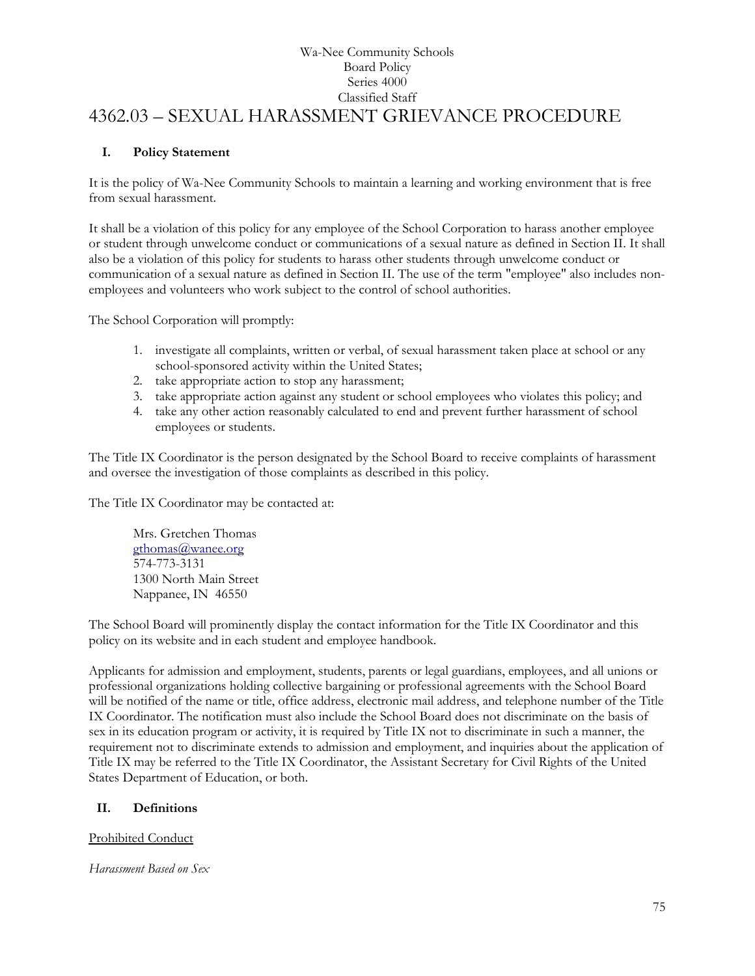## Wa-Nee Community Schools Board Policy Series 4000 Classified Staff 4362.03 – SEXUAL HARASSMENT GRIEVANCE PROCEDURE

## **I. Policy Statement**

It is the policy of Wa-Nee Community Schools to maintain a learning and working environment that is free from sexual harassment.

It shall be a violation of this policy for any employee of the School Corporation to harass another employee or student through unwelcome conduct or communications of a sexual nature as defined in Section II. It shall also be a violation of this policy for students to harass other students through unwelcome conduct or communication of a sexual nature as defined in Section II. The use of the term "employee" also includes nonemployees and volunteers who work subject to the control of school authorities.

The School Corporation will promptly:

- 1. investigate all complaints, written or verbal, of sexual harassment taken place at school or any school-sponsored activity within the United States;
- 2. take appropriate action to stop any harassment;
- 3. take appropriate action against any student or school employees who violates this policy; and
- 4. take any other action reasonably calculated to end and prevent further harassment of school employees or students.

The Title IX Coordinator is the person designated by the School Board to receive complaints of harassment and oversee the investigation of those complaints as described in this policy.

The Title IX Coordinator may be contacted at:

Mrs. Gretchen Thomas [gthomas@wanee.org](mailto:gthomas@wanee.org) 574-773-3131 1300 North Main Street Nappanee, IN 46550

The School Board will prominently display the contact information for the Title IX Coordinator and this policy on its website and in each student and employee handbook.

Applicants for admission and employment, students, parents or legal guardians, employees, and all unions or professional organizations holding collective bargaining or professional agreements with the School Board will be notified of the name or title, office address, electronic mail address, and telephone number of the Title IX Coordinator. The notification must also include the School Board does not discriminate on the basis of sex in its education program or activity, it is required by Title IX not to discriminate in such a manner, the requirement not to discriminate extends to admission and employment, and inquiries about the application of Title IX may be referred to the Title IX Coordinator, the Assistant Secretary for Civil Rights of the United States Department of Education, or both.

## **II. Definitions**

Prohibited Conduct

*Harassment Based on Sex*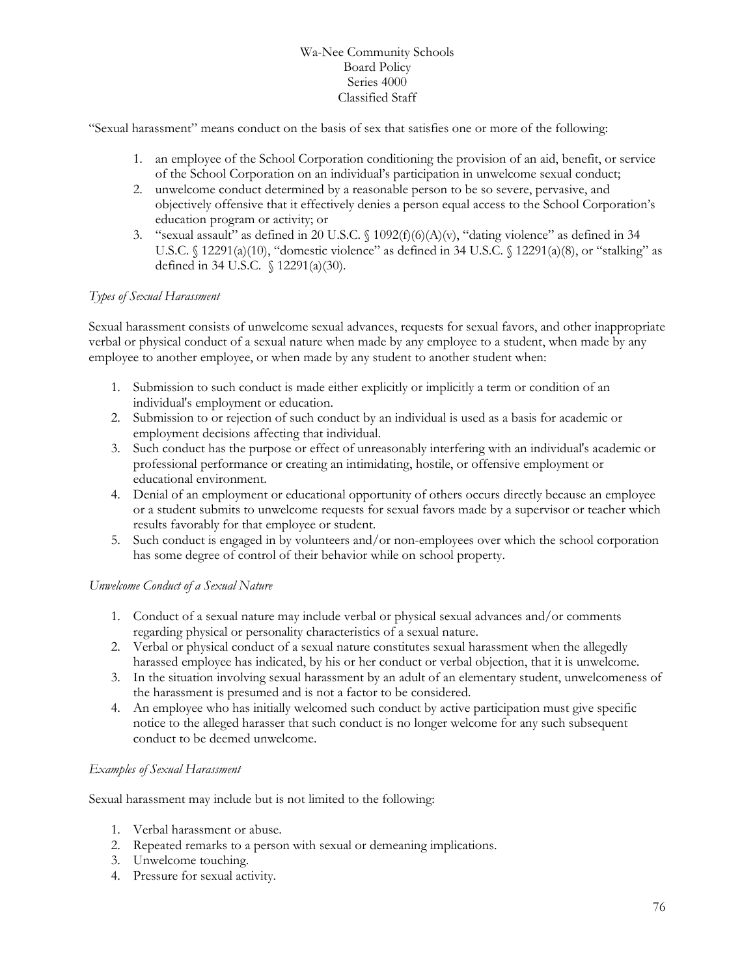"Sexual harassment" means conduct on the basis of sex that satisfies one or more of the following:

- 1. an employee of the School Corporation conditioning the provision of an aid, benefit, or service of the School Corporation on an individual's participation in unwelcome sexual conduct;
- 2. unwelcome conduct determined by a reasonable person to be so severe, pervasive, and objectively offensive that it effectively denies a person equal access to the School Corporation's education program or activity; or
- 3. "sexual assault" as defined in 20 U.S.C.  $\{1092(f)(6)(A)(v), "dating violence" as defined in 34$ U.S.C.  $\{(12291(a)(10),\text{``domestic violence''} \text{ as defined in 34 U.S.C. } \{(12291(a)(8),\text{ or ``stalking''} \text{ as } \text{``statking''} \text{ as } \text{``statking''} \text{ as } \text{``statking''} \text{ as } \text{``statking''} \text{ as } \text{``statking''} \text{ as } \text{``statating''} \text{ as } \text{``statating''} \text{ as } \text{``statating''} \text{ as } \text{``statating''} \text{ as } \text{``statating''} \text{ as } \text{``statating''} \text{ as } \text{``statating''} \$ defined in 34 U.S.C. § 12291(a)(30).

### *Types of Sexual Harassment*

Sexual harassment consists of unwelcome sexual advances, requests for sexual favors, and other inappropriate verbal or physical conduct of a sexual nature when made by any employee to a student, when made by any employee to another employee, or when made by any student to another student when:

- 1. Submission to such conduct is made either explicitly or implicitly a term or condition of an individual's employment or education.
- 2. Submission to or rejection of such conduct by an individual is used as a basis for academic or employment decisions affecting that individual.
- 3. Such conduct has the purpose or effect of unreasonably interfering with an individual's academic or professional performance or creating an intimidating, hostile, or offensive employment or educational environment.
- 4. Denial of an employment or educational opportunity of others occurs directly because an employee or a student submits to unwelcome requests for sexual favors made by a supervisor or teacher which results favorably for that employee or student.
- 5. Such conduct is engaged in by volunteers and/or non-employees over which the school corporation has some degree of control of their behavior while on school property.

### *Unwelcome Conduct of a Sexual Nature*

- 1. Conduct of a sexual nature may include verbal or physical sexual advances and/or comments regarding physical or personality characteristics of a sexual nature.
- 2. Verbal or physical conduct of a sexual nature constitutes sexual harassment when the allegedly harassed employee has indicated, by his or her conduct or verbal objection, that it is unwelcome.
- 3. In the situation involving sexual harassment by an adult of an elementary student, unwelcomeness of the harassment is presumed and is not a factor to be considered.
- 4. An employee who has initially welcomed such conduct by active participation must give specific notice to the alleged harasser that such conduct is no longer welcome for any such subsequent conduct to be deemed unwelcome.

### *Examples of Sexual Harassment*

Sexual harassment may include but is not limited to the following:

- 1. Verbal harassment or abuse.
- 2. Repeated remarks to a person with sexual or demeaning implications.
- 3. Unwelcome touching.
- 4. Pressure for sexual activity.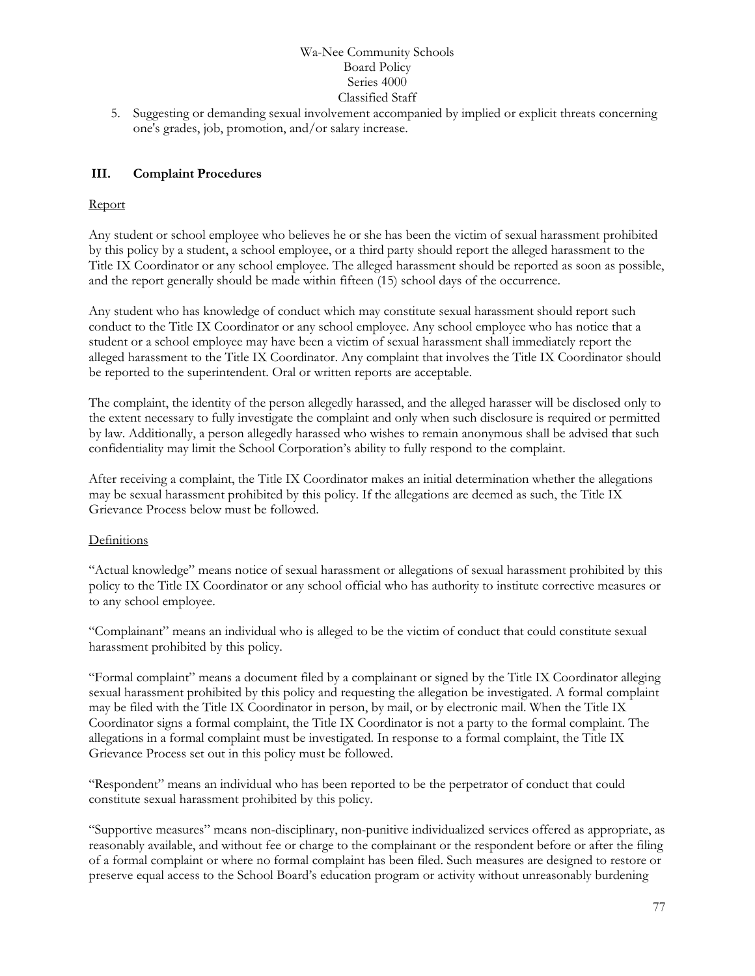5. Suggesting or demanding sexual involvement accompanied by implied or explicit threats concerning one's grades, job, promotion, and/or salary increase.

## **III. Complaint Procedures**

### Report

Any student or school employee who believes he or she has been the victim of sexual harassment prohibited by this policy by a student, a school employee, or a third party should report the alleged harassment to the Title IX Coordinator or any school employee. The alleged harassment should be reported as soon as possible, and the report generally should be made within fifteen (15) school days of the occurrence.

Any student who has knowledge of conduct which may constitute sexual harassment should report such conduct to the Title IX Coordinator or any school employee. Any school employee who has notice that a student or a school employee may have been a victim of sexual harassment shall immediately report the alleged harassment to the Title IX Coordinator. Any complaint that involves the Title IX Coordinator should be reported to the superintendent. Oral or written reports are acceptable.

The complaint, the identity of the person allegedly harassed, and the alleged harasser will be disclosed only to the extent necessary to fully investigate the complaint and only when such disclosure is required or permitted by law. Additionally, a person allegedly harassed who wishes to remain anonymous shall be advised that such confidentiality may limit the School Corporation's ability to fully respond to the complaint.

After receiving a complaint, the Title IX Coordinator makes an initial determination whether the allegations may be sexual harassment prohibited by this policy. If the allegations are deemed as such, the Title IX Grievance Process below must be followed.

### **Definitions**

"Actual knowledge" means notice of sexual harassment or allegations of sexual harassment prohibited by this policy to the Title IX Coordinator or any school official who has authority to institute corrective measures or to any school employee.

"Complainant" means an individual who is alleged to be the victim of conduct that could constitute sexual harassment prohibited by this policy.

"Formal complaint" means a document filed by a complainant or signed by the Title IX Coordinator alleging sexual harassment prohibited by this policy and requesting the allegation be investigated. A formal complaint may be filed with the Title IX Coordinator in person, by mail, or by electronic mail. When the Title IX Coordinator signs a formal complaint, the Title IX Coordinator is not a party to the formal complaint. The allegations in a formal complaint must be investigated. In response to a formal complaint, the Title IX Grievance Process set out in this policy must be followed.

"Respondent" means an individual who has been reported to be the perpetrator of conduct that could constitute sexual harassment prohibited by this policy.

"Supportive measures" means non-disciplinary, non-punitive individualized services offered as appropriate, as reasonably available, and without fee or charge to the complainant or the respondent before or after the filing of a formal complaint or where no formal complaint has been filed. Such measures are designed to restore or preserve equal access to the School Board's education program or activity without unreasonably burdening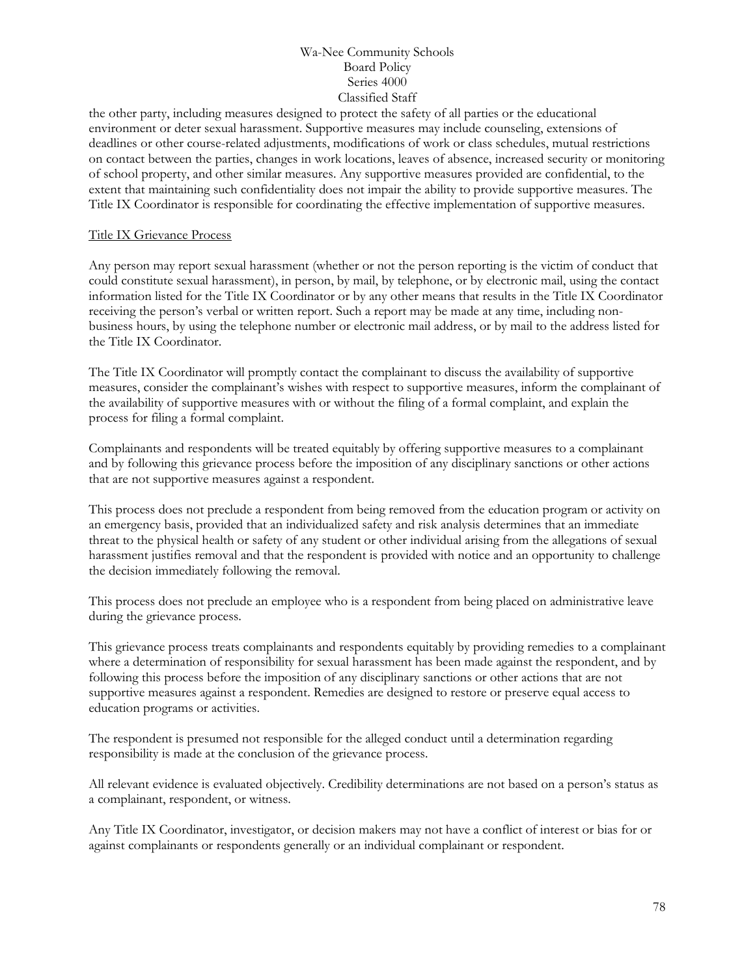the other party, including measures designed to protect the safety of all parties or the educational environment or deter sexual harassment. Supportive measures may include counseling, extensions of deadlines or other course-related adjustments, modifications of work or class schedules, mutual restrictions on contact between the parties, changes in work locations, leaves of absence, increased security or monitoring of school property, and other similar measures. Any supportive measures provided are confidential, to the extent that maintaining such confidentiality does not impair the ability to provide supportive measures. The Title IX Coordinator is responsible for coordinating the effective implementation of supportive measures.

### Title IX Grievance Process

Any person may report sexual harassment (whether or not the person reporting is the victim of conduct that could constitute sexual harassment), in person, by mail, by telephone, or by electronic mail, using the contact information listed for the Title IX Coordinator or by any other means that results in the Title IX Coordinator receiving the person's verbal or written report. Such a report may be made at any time, including nonbusiness hours, by using the telephone number or electronic mail address, or by mail to the address listed for the Title IX Coordinator.

The Title IX Coordinator will promptly contact the complainant to discuss the availability of supportive measures, consider the complainant's wishes with respect to supportive measures, inform the complainant of the availability of supportive measures with or without the filing of a formal complaint, and explain the process for filing a formal complaint.

Complainants and respondents will be treated equitably by offering supportive measures to a complainant and by following this grievance process before the imposition of any disciplinary sanctions or other actions that are not supportive measures against a respondent.

This process does not preclude a respondent from being removed from the education program or activity on an emergency basis, provided that an individualized safety and risk analysis determines that an immediate threat to the physical health or safety of any student or other individual arising from the allegations of sexual harassment justifies removal and that the respondent is provided with notice and an opportunity to challenge the decision immediately following the removal.

This process does not preclude an employee who is a respondent from being placed on administrative leave during the grievance process.

This grievance process treats complainants and respondents equitably by providing remedies to a complainant where a determination of responsibility for sexual harassment has been made against the respondent, and by following this process before the imposition of any disciplinary sanctions or other actions that are not supportive measures against a respondent. Remedies are designed to restore or preserve equal access to education programs or activities.

The respondent is presumed not responsible for the alleged conduct until a determination regarding responsibility is made at the conclusion of the grievance process.

All relevant evidence is evaluated objectively. Credibility determinations are not based on a person's status as a complainant, respondent, or witness.

Any Title IX Coordinator, investigator, or decision makers may not have a conflict of interest or bias for or against complainants or respondents generally or an individual complainant or respondent.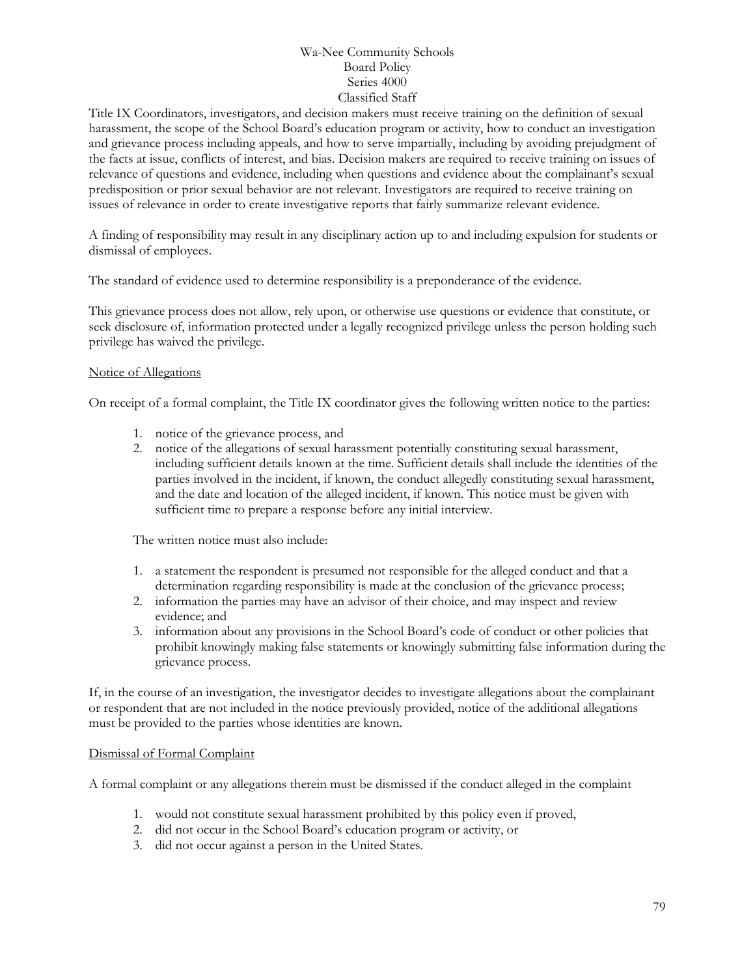Title IX Coordinators, investigators, and decision makers must receive training on the definition of sexual harassment, the scope of the School Board's education program or activity, how to conduct an investigation and grievance process including appeals, and how to serve impartially, including by avoiding prejudgment of the facts at issue, conflicts of interest, and bias. Decision makers are required to receive training on issues of relevance of questions and evidence, including when questions and evidence about the complainant's sexual predisposition or prior sexual behavior are not relevant. Investigators are required to receive training on issues of relevance in order to create investigative reports that fairly summarize relevant evidence.

A finding of responsibility may result in any disciplinary action up to and including expulsion for students or dismissal of employees.

The standard of evidence used to determine responsibility is a preponderance of the evidence.

This grievance process does not allow, rely upon, or otherwise use questions or evidence that constitute, or seek disclosure of, information protected under a legally recognized privilege unless the person holding such privilege has waived the privilege.

### Notice of Allegations

On receipt of a formal complaint, the Title IX coordinator gives the following written notice to the parties:

- 1. notice of the grievance process, and
- 2. notice of the allegations of sexual harassment potentially constituting sexual harassment, including sufficient details known at the time. Sufficient details shall include the identities of the parties involved in the incident, if known, the conduct allegedly constituting sexual harassment, and the date and location of the alleged incident, if known. This notice must be given with sufficient time to prepare a response before any initial interview.

The written notice must also include:

- 1. a statement the respondent is presumed not responsible for the alleged conduct and that a determination regarding responsibility is made at the conclusion of the grievance process;
- 2. information the parties may have an advisor of their choice, and may inspect and review evidence; and
- 3. information about any provisions in the School Board's code of conduct or other policies that prohibit knowingly making false statements or knowingly submitting false information during the grievance process.

If, in the course of an investigation, the investigator decides to investigate allegations about the complainant or respondent that are not included in the notice previously provided, notice of the additional allegations must be provided to the parties whose identities are known.

### Dismissal of Formal Complaint

A formal complaint or any allegations therein must be dismissed if the conduct alleged in the complaint

- 1. would not constitute sexual harassment prohibited by this policy even if proved,
- 2. did not occur in the School Board's education program or activity, or
- 3. did not occur against a person in the United States.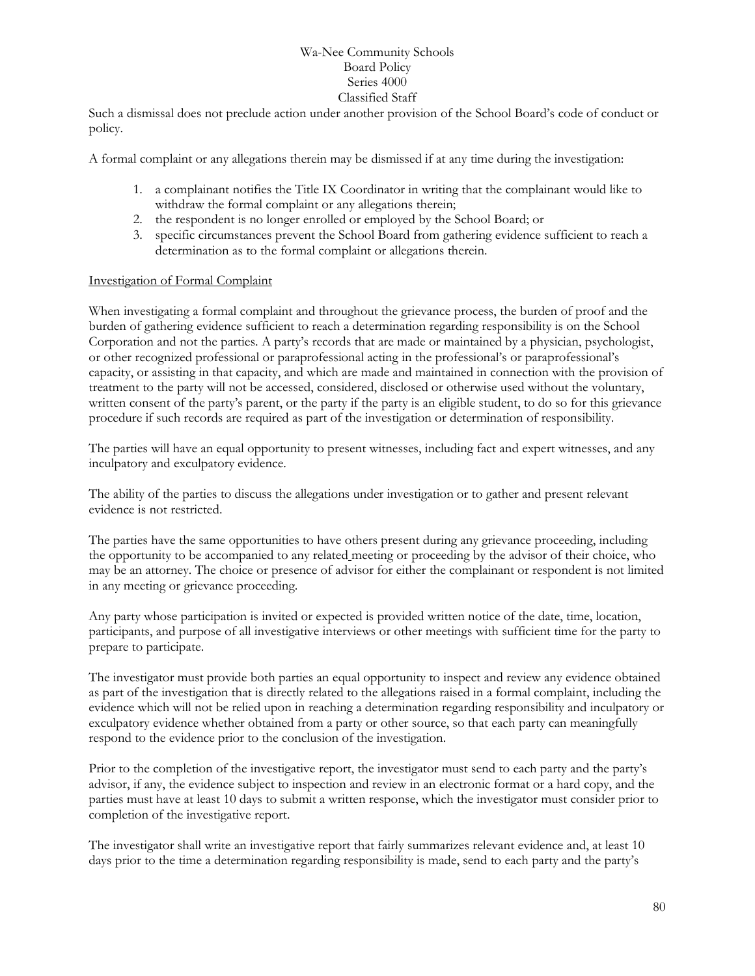Such a dismissal does not preclude action under another provision of the School Board's code of conduct or policy.

A formal complaint or any allegations therein may be dismissed if at any time during the investigation:

- 1. a complainant notifies the Title IX Coordinator in writing that the complainant would like to withdraw the formal complaint or any allegations therein;
- 2. the respondent is no longer enrolled or employed by the School Board; or
- 3. specific circumstances prevent the School Board from gathering evidence sufficient to reach a determination as to the formal complaint or allegations therein.

### Investigation of Formal Complaint

When investigating a formal complaint and throughout the grievance process, the burden of proof and the burden of gathering evidence sufficient to reach a determination regarding responsibility is on the School Corporation and not the parties. A party's records that are made or maintained by a physician, psychologist, or other recognized professional or paraprofessional acting in the professional's or paraprofessional's capacity, or assisting in that capacity, and which are made and maintained in connection with the provision of treatment to the party will not be accessed, considered, disclosed or otherwise used without the voluntary, written consent of the party's parent, or the party if the party is an eligible student, to do so for this grievance procedure if such records are required as part of the investigation or determination of responsibility.

The parties will have an equal opportunity to present witnesses, including fact and expert witnesses, and any inculpatory and exculpatory evidence.

The ability of the parties to discuss the allegations under investigation or to gather and present relevant evidence is not restricted.

The parties have the same opportunities to have others present during any grievance proceeding, including the opportunity to be accompanied to any related meeting or proceeding by the advisor of their choice, who may be an attorney. The choice or presence of advisor for either the complainant or respondent is not limited in any meeting or grievance proceeding.

Any party whose participation is invited or expected is provided written notice of the date, time, location, participants, and purpose of all investigative interviews or other meetings with sufficient time for the party to prepare to participate.

The investigator must provide both parties an equal opportunity to inspect and review any evidence obtained as part of the investigation that is directly related to the allegations raised in a formal complaint, including the evidence which will not be relied upon in reaching a determination regarding responsibility and inculpatory or exculpatory evidence whether obtained from a party or other source, so that each party can meaningfully respond to the evidence prior to the conclusion of the investigation.

Prior to the completion of the investigative report, the investigator must send to each party and the party's advisor, if any, the evidence subject to inspection and review in an electronic format or a hard copy, and the parties must have at least 10 days to submit a written response, which the investigator must consider prior to completion of the investigative report.

The investigator shall write an investigative report that fairly summarizes relevant evidence and, at least 10 days prior to the time a determination regarding responsibility is made, send to each party and the party's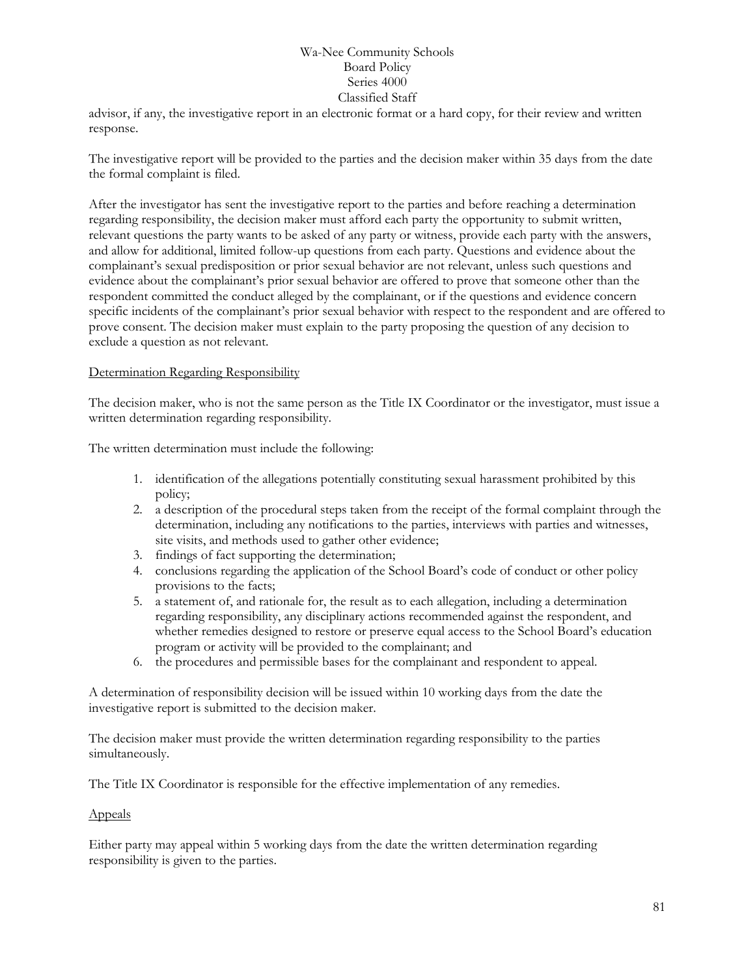advisor, if any, the investigative report in an electronic format or a hard copy, for their review and written response.

The investigative report will be provided to the parties and the decision maker within 35 days from the date the formal complaint is filed.

After the investigator has sent the investigative report to the parties and before reaching a determination regarding responsibility, the decision maker must afford each party the opportunity to submit written, relevant questions the party wants to be asked of any party or witness, provide each party with the answers, and allow for additional, limited follow-up questions from each party. Questions and evidence about the complainant's sexual predisposition or prior sexual behavior are not relevant, unless such questions and evidence about the complainant's prior sexual behavior are offered to prove that someone other than the respondent committed the conduct alleged by the complainant, or if the questions and evidence concern specific incidents of the complainant's prior sexual behavior with respect to the respondent and are offered to prove consent. The decision maker must explain to the party proposing the question of any decision to exclude a question as not relevant.

### Determination Regarding Responsibility

The decision maker, who is not the same person as the Title IX Coordinator or the investigator, must issue a written determination regarding responsibility.

The written determination must include the following:

- 1. identification of the allegations potentially constituting sexual harassment prohibited by this policy;
- 2. a description of the procedural steps taken from the receipt of the formal complaint through the determination, including any notifications to the parties, interviews with parties and witnesses, site visits, and methods used to gather other evidence;
- 3. findings of fact supporting the determination;
- 4. conclusions regarding the application of the School Board's code of conduct or other policy provisions to the facts;
- 5. a statement of, and rationale for, the result as to each allegation, including a determination regarding responsibility, any disciplinary actions recommended against the respondent, and whether remedies designed to restore or preserve equal access to the School Board's education program or activity will be provided to the complainant; and
- 6. the procedures and permissible bases for the complainant and respondent to appeal.

A determination of responsibility decision will be issued within 10 working days from the date the investigative report is submitted to the decision maker.

The decision maker must provide the written determination regarding responsibility to the parties simultaneously.

The Title IX Coordinator is responsible for the effective implementation of any remedies.

### Appeals

Either party may appeal within 5 working days from the date the written determination regarding responsibility is given to the parties.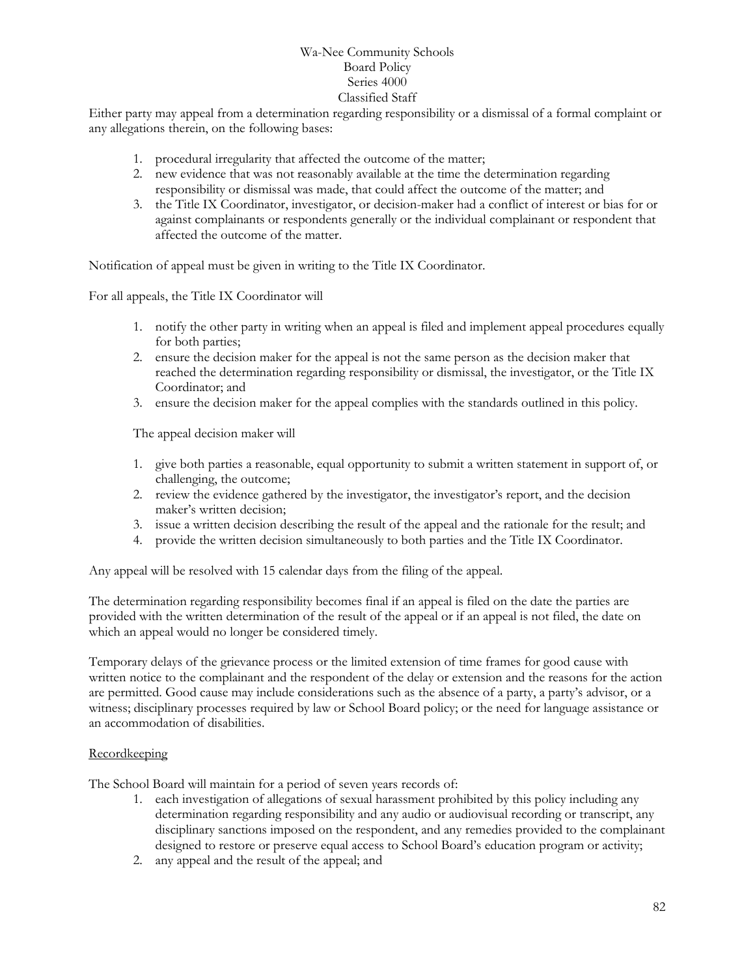Either party may appeal from a determination regarding responsibility or a dismissal of a formal complaint or any allegations therein, on the following bases:

- 1. procedural irregularity that affected the outcome of the matter;
- 2. new evidence that was not reasonably available at the time the determination regarding responsibility or dismissal was made, that could affect the outcome of the matter; and
- 3. the Title IX Coordinator, investigator, or decision-maker had a conflict of interest or bias for or against complainants or respondents generally or the individual complainant or respondent that affected the outcome of the matter.

Notification of appeal must be given in writing to the Title IX Coordinator.

For all appeals, the Title IX Coordinator will

- 1. notify the other party in writing when an appeal is filed and implement appeal procedures equally for both parties;
- 2. ensure the decision maker for the appeal is not the same person as the decision maker that reached the determination regarding responsibility or dismissal, the investigator, or the Title IX Coordinator; and
- 3. ensure the decision maker for the appeal complies with the standards outlined in this policy.

The appeal decision maker will

- 1. give both parties a reasonable, equal opportunity to submit a written statement in support of, or challenging, the outcome;
- 2. review the evidence gathered by the investigator, the investigator's report, and the decision maker's written decision;
- 3. issue a written decision describing the result of the appeal and the rationale for the result; and
- 4. provide the written decision simultaneously to both parties and the Title IX Coordinator.

Any appeal will be resolved with 15 calendar days from the filing of the appeal.

The determination regarding responsibility becomes final if an appeal is filed on the date the parties are provided with the written determination of the result of the appeal or if an appeal is not filed, the date on which an appeal would no longer be considered timely.

Temporary delays of the grievance process or the limited extension of time frames for good cause with written notice to the complainant and the respondent of the delay or extension and the reasons for the action are permitted. Good cause may include considerations such as the absence of a party, a party's advisor, or a witness; disciplinary processes required by law or School Board policy; or the need for language assistance or an accommodation of disabilities.

### **Recordkeeping**

The School Board will maintain for a period of seven years records of:

- 1. each investigation of allegations of sexual harassment prohibited by this policy including any determination regarding responsibility and any audio or audiovisual recording or transcript, any disciplinary sanctions imposed on the respondent, and any remedies provided to the complainant designed to restore or preserve equal access to School Board's education program or activity;
- 2. any appeal and the result of the appeal; and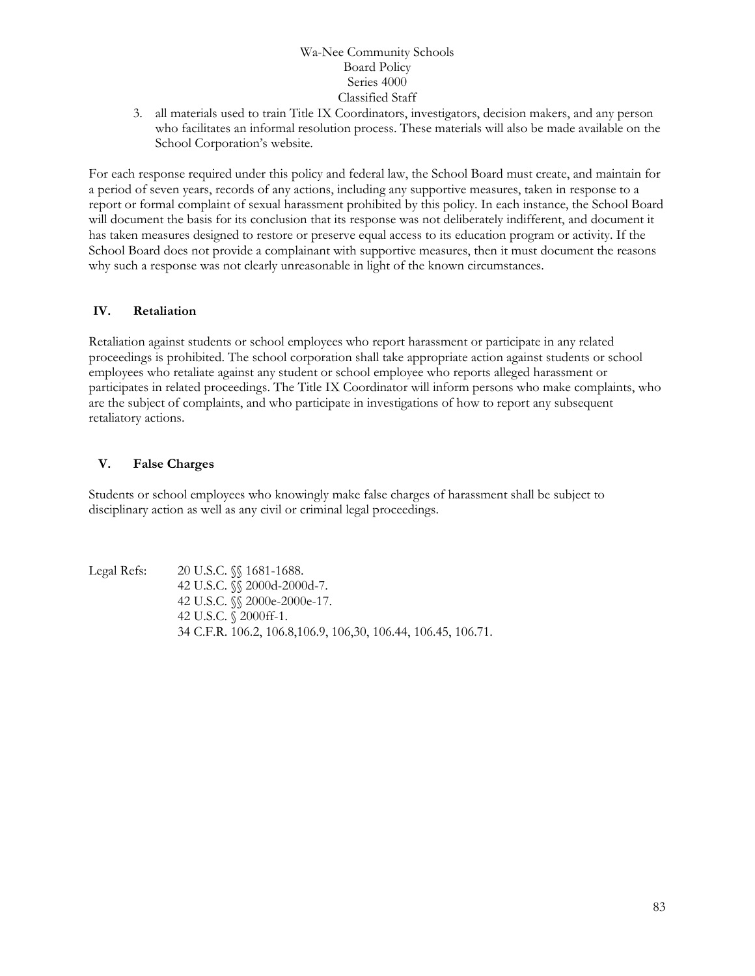3. all materials used to train Title IX Coordinators, investigators, decision makers, and any person who facilitates an informal resolution process. These materials will also be made available on the School Corporation's website.

For each response required under this policy and federal law, the School Board must create, and maintain for a period of seven years, records of any actions, including any supportive measures, taken in response to a report or formal complaint of sexual harassment prohibited by this policy. In each instance, the School Board will document the basis for its conclusion that its response was not deliberately indifferent, and document it has taken measures designed to restore or preserve equal access to its education program or activity. If the School Board does not provide a complainant with supportive measures, then it must document the reasons why such a response was not clearly unreasonable in light of the known circumstances.

### **IV. Retaliation**

Retaliation against students or school employees who report harassment or participate in any related proceedings is prohibited. The school corporation shall take appropriate action against students or school employees who retaliate against any student or school employee who reports alleged harassment or participates in related proceedings. The Title IX Coordinator will inform persons who make complaints, who are the subject of complaints, and who participate in investigations of how to report any subsequent retaliatory actions.

### **V. False Charges**

Students or school employees who knowingly make false charges of harassment shall be subject to disciplinary action as well as any civil or criminal legal proceedings.

Legal Refs: 20 U.S.C. §§ 1681-1688. 42 U.S.C. §§ 2000d-2000d-7. 42 U.S.C. §§ 2000e-2000e-17. 42 U.S.C. § 2000ff-1. 34 C.F.R. 106.2, 106.8,106.9, 106,30, 106.44, 106.45, 106.71.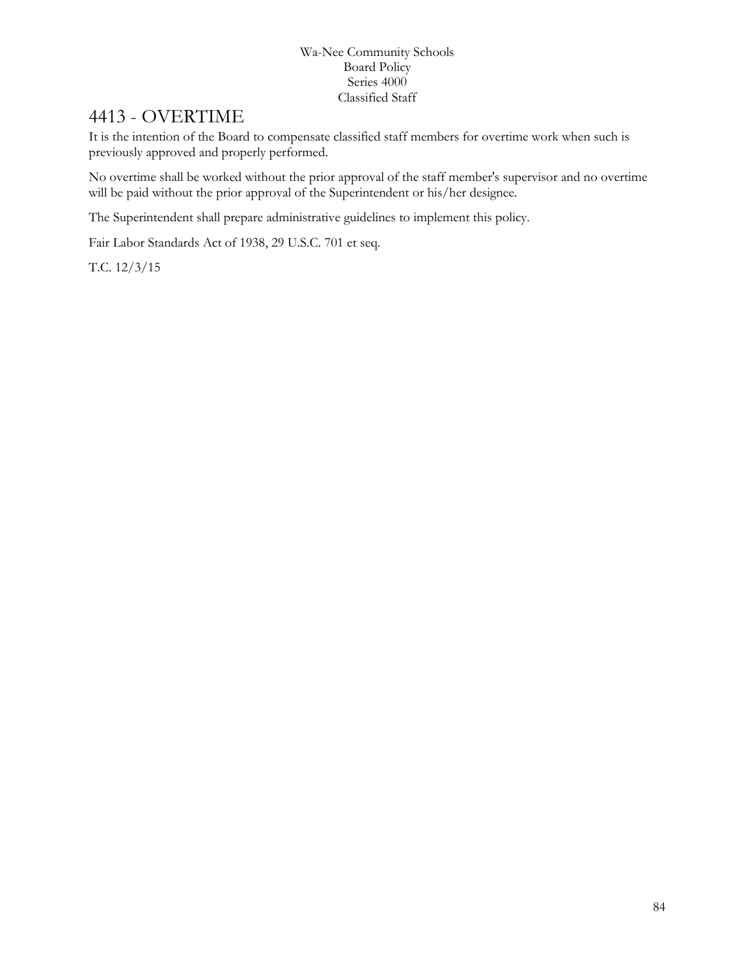# 4413 - OVERTIME

It is the intention of the Board to compensate classified staff members for overtime work when such is previously approved and properly performed.

No overtime shall be worked without the prior approval of the staff member's supervisor and no overtime will be paid without the prior approval of the Superintendent or his/her designee.

The Superintendent shall prepare administrative guidelines to implement this policy.

Fair Labor Standards Act of 1938, 29 U.S.C. 701 et seq.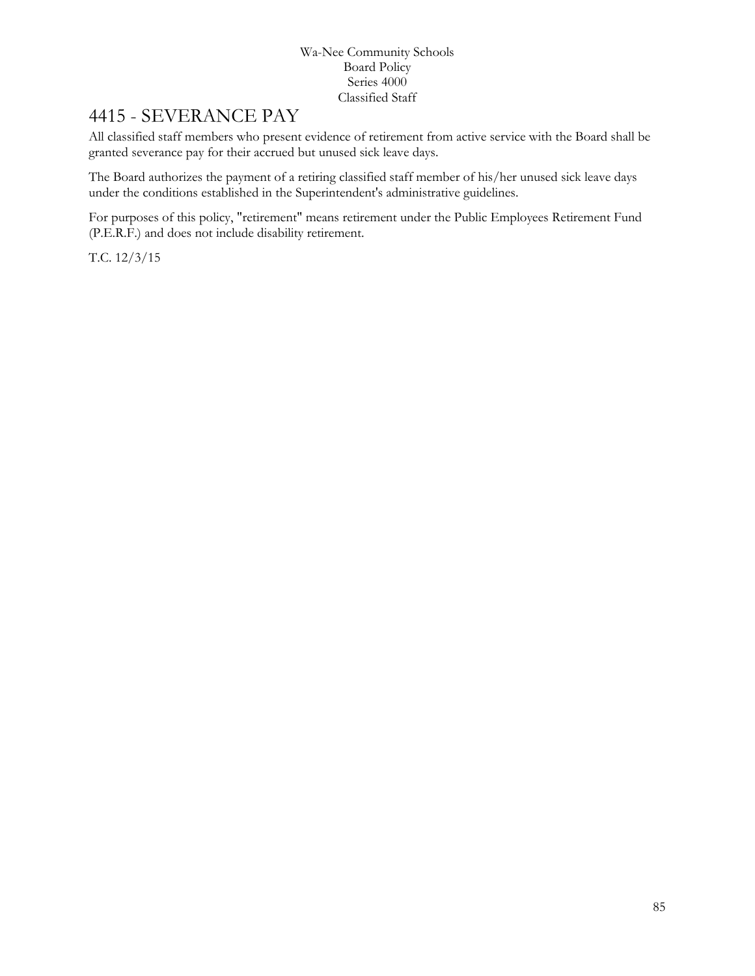# 4415 - SEVERANCE PAY

All classified staff members who present evidence of retirement from active service with the Board shall be granted severance pay for their accrued but unused sick leave days.

The Board authorizes the payment of a retiring classified staff member of his/her unused sick leave days under the conditions established in the Superintendent's administrative guidelines.

For purposes of this policy, "retirement" means retirement under the Public Employees Retirement Fund (P.E.R.F.) and does not include disability retirement.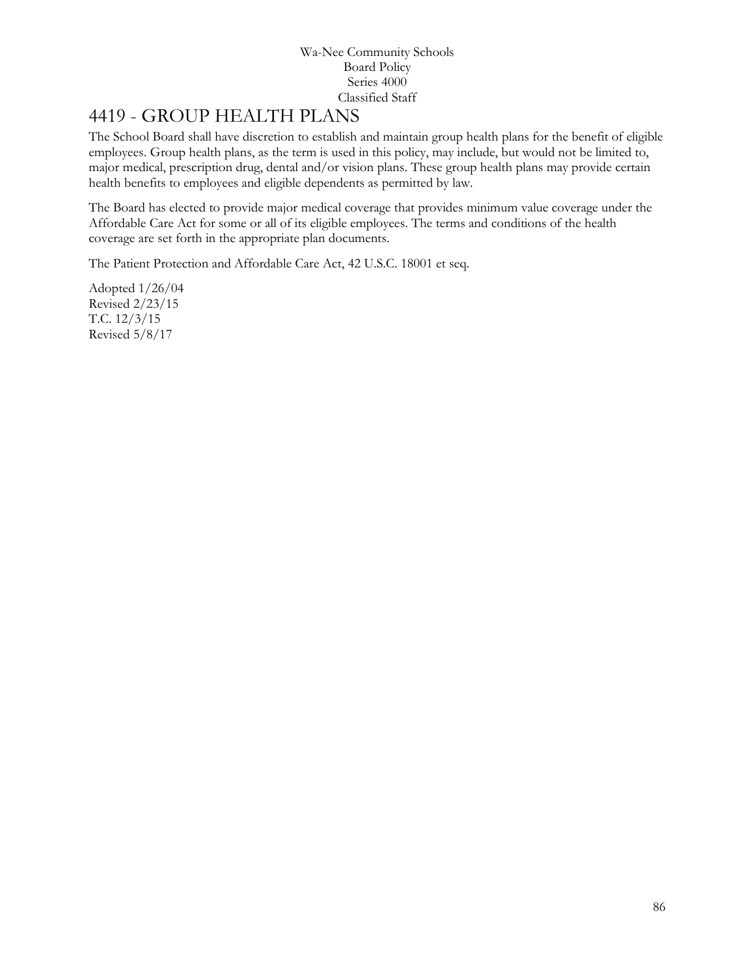# [4419](http://www.neola.com/wanee-in/search/ag/ag4419.htm) - GROUP HEALTH PLANS

The School Board shall have discretion to establish and maintain group health plans for the benefit of eligible employees. Group health plans, as the term is used in this policy, may include, but would not be limited to, major medical, prescription drug, dental and/or vision plans. These group health plans may provide certain health benefits to employees and eligible dependents as permitted by law.

The Board has elected to provide major medical coverage that provides minimum value coverage under the Affordable Care Act for some or all of its eligible employees. The terms and conditions of the health coverage are set forth in the appropriate plan documents.

The Patient Protection and Affordable Care Act, 42 U.S.C. 18001 et seq.

Adopted 1/26/04 Revised 2/23/15 T.C. 12/3/15 Revised 5/8/17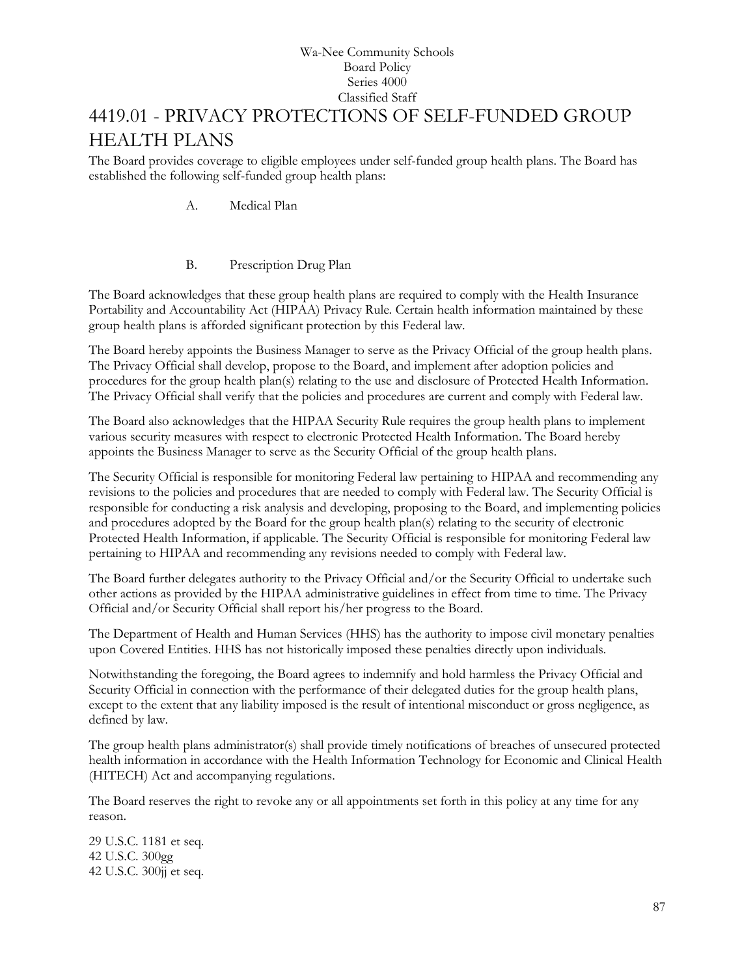# [4419.01](http://www.neola.com/wanee-in/search/ag/ag4419.01.htm) - PRIVACY PROTECTIONS OF SELF-FUNDED GROUP HEALTH PLANS

The Board provides coverage to eligible employees under self-funded group health plans. The Board has established the following self-funded group health plans:

A. Medical Plan

## B. Prescription Drug Plan

The Board acknowledges that these group health plans are required to comply with the Health Insurance Portability and Accountability Act (HIPAA) Privacy Rule. Certain health information maintained by these group health plans is afforded significant protection by this Federal law.

The Board hereby appoints the Business Manager to serve as the Privacy Official of the group health plans. The Privacy Official shall develop, propose to the Board, and implement after adoption policies and procedures for the group health plan(s) relating to the use and disclosure of Protected Health Information. The Privacy Official shall verify that the policies and procedures are current and comply with Federal law.

The Board also acknowledges that the HIPAA Security Rule requires the group health plans to implement various security measures with respect to electronic Protected Health Information. The Board hereby appoints the Business Manager to serve as the Security Official of the group health plans.

The Security Official is responsible for monitoring Federal law pertaining to HIPAA and recommending any revisions to the policies and procedures that are needed to comply with Federal law. The Security Official is responsible for conducting a risk analysis and developing, proposing to the Board, and implementing policies and procedures adopted by the Board for the group health plan(s) relating to the security of electronic Protected Health Information, if applicable. The Security Official is responsible for monitoring Federal law pertaining to HIPAA and recommending any revisions needed to comply with Federal law.

The Board further delegates authority to the Privacy Official and/or the Security Official to undertake such other actions as provided by the HIPAA administrative guidelines in effect from time to time. The Privacy Official and/or Security Official shall report his/her progress to the Board.

The Department of Health and Human Services (HHS) has the authority to impose civil monetary penalties upon Covered Entities. HHS has not historically imposed these penalties directly upon individuals.

Notwithstanding the foregoing, the Board agrees to indemnify and hold harmless the Privacy Official and Security Official in connection with the performance of their delegated duties for the group health plans, except to the extent that any liability imposed is the result of intentional misconduct or gross negligence, as defined by law.

The group health plans administrator(s) shall provide timely notifications of breaches of unsecured protected health information in accordance with the Health Information Technology for Economic and Clinical Health (HITECH) Act and accompanying regulations.

The Board reserves the right to revoke any or all appointments set forth in this policy at any time for any reason.

29 U.S.C. 1181 et seq. 42 U.S.C. 300gg 42 U.S.C. 300jj et seq.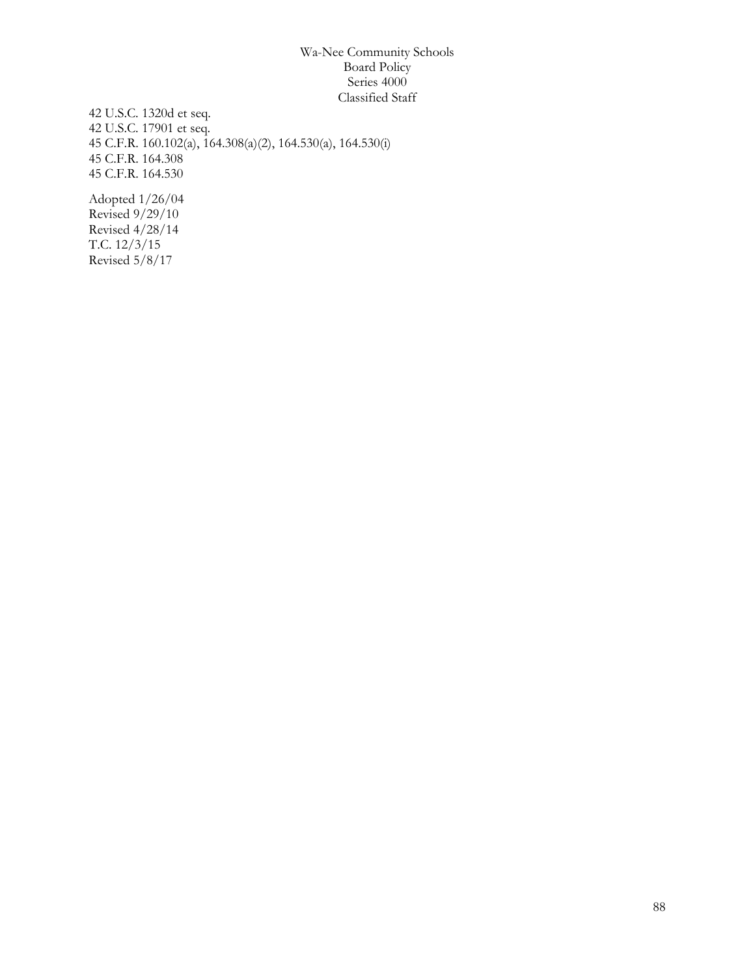42 U.S.C. 1320d et seq. 42 U.S.C. 17901 et seq. 45 C.F.R. 160.102(a), 164.308(a)(2), 164.530(a), 164.530(i) 45 C.F.R. 164.308 45 C.F.R. 164.530

Adopted 1/26/04 Revised  $9/29/10$ Revised 4/28/14 T.C. 12/3/15 Revised 5/8/17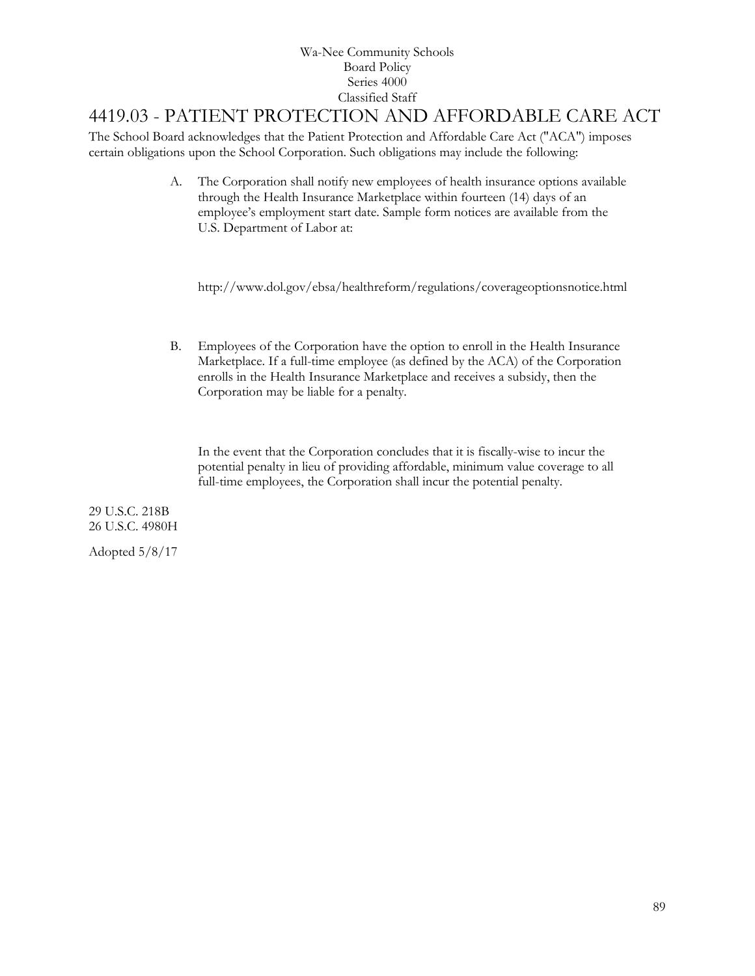## 4419.03 - PATIENT PROTECTION AND AFFORDABLE CARE ACT

The School Board acknowledges that the Patient Protection and Affordable Care Act ("ACA") imposes certain obligations upon the School Corporation. Such obligations may include the following:

> A. The Corporation shall notify new employees of health insurance options available through the Health Insurance Marketplace within fourteen (14) days of an employee's employment start date. Sample form notices are available from the U.S. Department of Labor at:

http://www.dol.gov/ebsa/healthreform/regulations/coverageoptionsnotice.html

B. Employees of the Corporation have the option to enroll in the Health Insurance Marketplace. If a full-time employee (as defined by the ACA) of the Corporation enrolls in the Health Insurance Marketplace and receives a subsidy, then the Corporation may be liable for a penalty.

In the event that the Corporation concludes that it is fiscally-wise to incur the potential penalty in lieu of providing affordable, minimum value coverage to all full-time employees, the Corporation shall incur the potential penalty.

29 U.S.C. 218B 26 U.S.C. 4980H

Adopted 5/8/17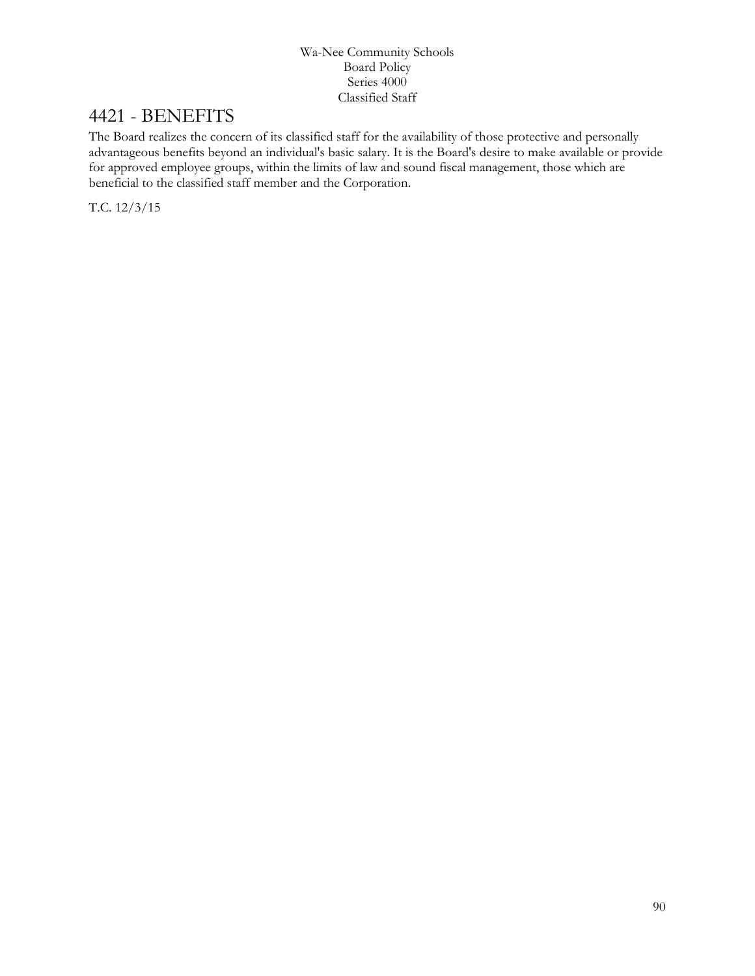# [4421](http://www.neola.com/wanee-in/search/ag/ag4421.htm) - BENEFITS

The Board realizes the concern of its classified staff for the availability of those protective and personally advantageous benefits beyond an individual's basic salary. It is the Board's desire to make available or provide for approved employee groups, within the limits of law and sound fiscal management, those which are beneficial to the classified staff member and the Corporation.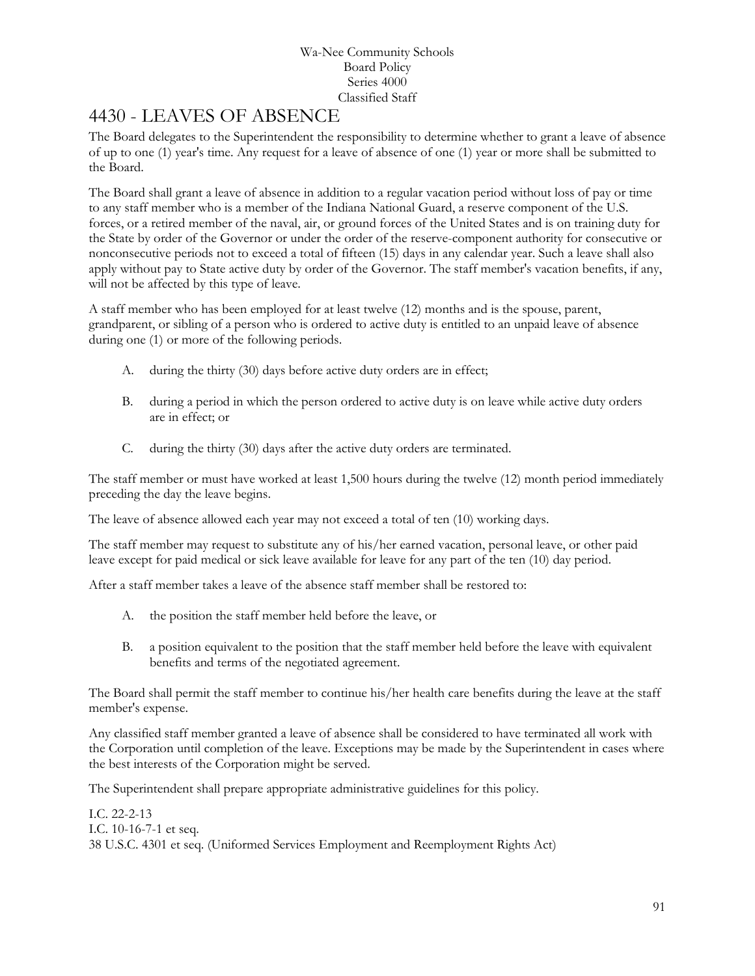# [4430](http://www.neola.com/wanee-in/search/ag/ag4430.htm) - LEAVES OF ABSENCE

The Board delegates to the Superintendent the responsibility to determine whether to grant a leave of absence of up to one (1) year's time. Any request for a leave of absence of one (1) year or more shall be submitted to the Board.

The Board shall grant a leave of absence in addition to a regular vacation period without loss of pay or time to any staff member who is a member of the Indiana National Guard, a reserve component of the U.S. forces, or a retired member of the naval, air, or ground forces of the United States and is on training duty for the State by order of the Governor or under the order of the reserve-component authority for consecutive or nonconsecutive periods not to exceed a total of fifteen (15) days in any calendar year. Such a leave shall also apply without pay to State active duty by order of the Governor. The staff member's vacation benefits, if any, will not be affected by this type of leave.

A staff member who has been employed for at least twelve (12) months and is the spouse, parent, grandparent, or sibling of a person who is ordered to active duty is entitled to an unpaid leave of absence during one (1) or more of the following periods.

- A. during the thirty (30) days before active duty orders are in effect;
- B. during a period in which the person ordered to active duty is on leave while active duty orders are in effect; or
- C. during the thirty (30) days after the active duty orders are terminated.

The staff member or must have worked at least 1,500 hours during the twelve (12) month period immediately preceding the day the leave begins.

The leave of absence allowed each year may not exceed a total of ten (10) working days.

The staff member may request to substitute any of his/her earned vacation, personal leave, or other paid leave except for paid medical or sick leave available for leave for any part of the ten (10) day period.

After a staff member takes a leave of the absence staff member shall be restored to:

- A. the position the staff member held before the leave, or
- B. a position equivalent to the position that the staff member held before the leave with equivalent benefits and terms of the negotiated agreement.

The Board shall permit the staff member to continue his/her health care benefits during the leave at the staff member's expense.

Any classified staff member granted a leave of absence shall be considered to have terminated all work with the Corporation until completion of the leave. Exceptions may be made by the Superintendent in cases where the best interests of the Corporation might be served.

The Superintendent shall prepare appropriate administrative guidelines for this policy.

I.C. 22-2-13 I.C. 10-16-7-1 et seq. 38 U.S.C. 4301 et seq. (Uniformed Services Employment and Reemployment Rights Act)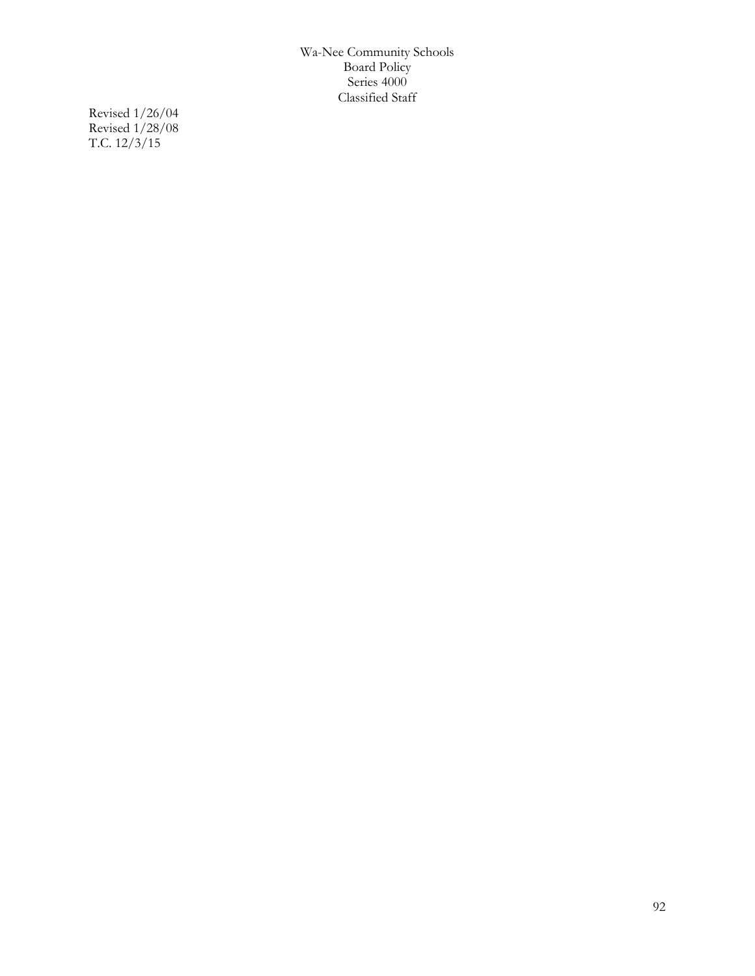Revised 1/26/04 Revised 1/28/08 T.C. 12/3/15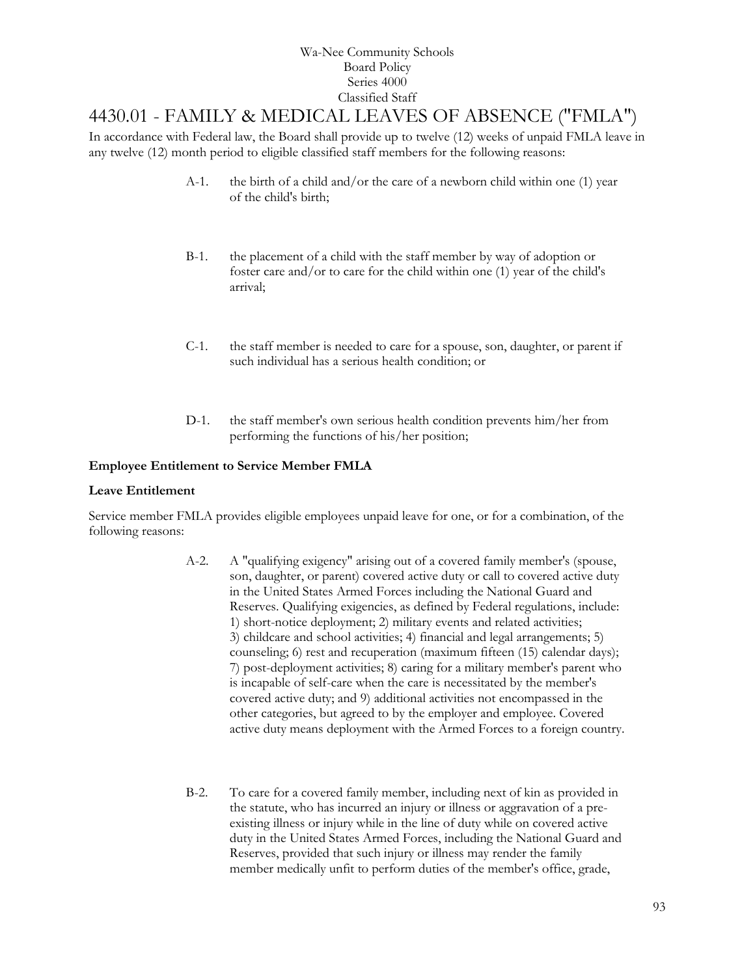# [4430.01](http://www.neola.com/wanee-in/search/ag/ag4430.01.htm) - FAMILY & MEDICAL LEAVES OF ABSENCE ("FMLA")

In accordance with Federal law, the Board shall provide up to twelve (12) weeks of unpaid FMLA leave in any twelve (12) month period to eligible classified staff members for the following reasons:

- A-1. the birth of a child and/or the care of a newborn child within one (1) year of the child's birth;
- B-1. the placement of a child with the staff member by way of adoption or foster care and/or to care for the child within one (1) year of the child's arrival;
- C-1. the staff member is needed to care for a spouse, son, daughter, or parent if such individual has a serious health condition; or
- D-1. the staff member's own serious health condition prevents him/her from performing the functions of his/her position;

### **Employee Entitlement to Service Member FMLA**

### **Leave Entitlement**

Service member FMLA provides eligible employees unpaid leave for one, or for a combination, of the following reasons:

- A-2. A "qualifying exigency" arising out of a covered family member's (spouse, son, daughter, or parent) covered active duty or call to covered active duty in the United States Armed Forces including the National Guard and Reserves. Qualifying exigencies, as defined by Federal regulations, include: 1) short-notice deployment; 2) military events and related activities; 3) childcare and school activities; 4) financial and legal arrangements; 5) counseling; 6) rest and recuperation (maximum fifteen (15) calendar days); 7) post-deployment activities; 8) caring for a military member's parent who is incapable of self-care when the care is necessitated by the member's covered active duty; and 9) additional activities not encompassed in the other categories, but agreed to by the employer and employee. Covered active duty means deployment with the Armed Forces to a foreign country.
- B-2. To care for a covered family member, including next of kin as provided in the statute, who has incurred an injury or illness or aggravation of a preexisting illness or injury while in the line of duty while on covered active duty in the United States Armed Forces, including the National Guard and Reserves, provided that such injury or illness may render the family member medically unfit to perform duties of the member's office, grade,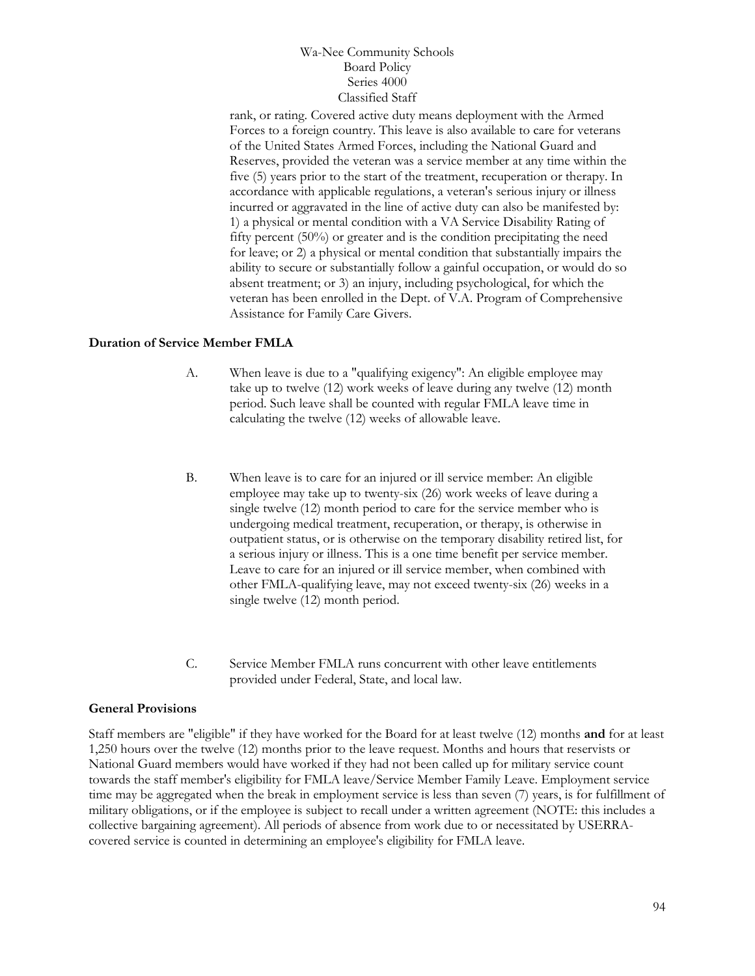rank, or rating. Covered active duty means deployment with the Armed Forces to a foreign country. This leave is also available to care for veterans of the United States Armed Forces, including the National Guard and Reserves, provided the veteran was a service member at any time within the five (5) years prior to the start of the treatment, recuperation or therapy. In accordance with applicable regulations, a veteran's serious injury or illness incurred or aggravated in the line of active duty can also be manifested by: 1) a physical or mental condition with a VA Service Disability Rating of fifty percent (50%) or greater and is the condition precipitating the need for leave; or 2) a physical or mental condition that substantially impairs the ability to secure or substantially follow a gainful occupation, or would do so absent treatment; or 3) an injury, including psychological, for which the veteran has been enrolled in the Dept. of V.A. Program of Comprehensive Assistance for Family Care Givers.

### **Duration of Service Member FMLA**

- A. When leave is due to a "qualifying exigency": An eligible employee may take up to twelve (12) work weeks of leave during any twelve (12) month period. Such leave shall be counted with regular FMLA leave time in calculating the twelve (12) weeks of allowable leave.
- B. When leave is to care for an injured or ill service member: An eligible employee may take up to twenty-six (26) work weeks of leave during a single twelve (12) month period to care for the service member who is undergoing medical treatment, recuperation, or therapy, is otherwise in outpatient status, or is otherwise on the temporary disability retired list, for a serious injury or illness. This is a one time benefit per service member. Leave to care for an injured or ill service member, when combined with other FMLA-qualifying leave, may not exceed twenty-six (26) weeks in a single twelve (12) month period.
- C. Service Member FMLA runs concurrent with other leave entitlements provided under Federal, State, and local law.

### **General Provisions**

Staff members are "eligible" if they have worked for the Board for at least twelve (12) months **and** for at least 1,250 hours over the twelve (12) months prior to the leave request. Months and hours that reservists or National Guard members would have worked if they had not been called up for military service count towards the staff member's eligibility for FMLA leave/Service Member Family Leave. Employment service time may be aggregated when the break in employment service is less than seven (7) years, is for fulfillment of military obligations, or if the employee is subject to recall under a written agreement (NOTE: this includes a collective bargaining agreement). All periods of absence from work due to or necessitated by USERRAcovered service is counted in determining an employee's eligibility for FMLA leave.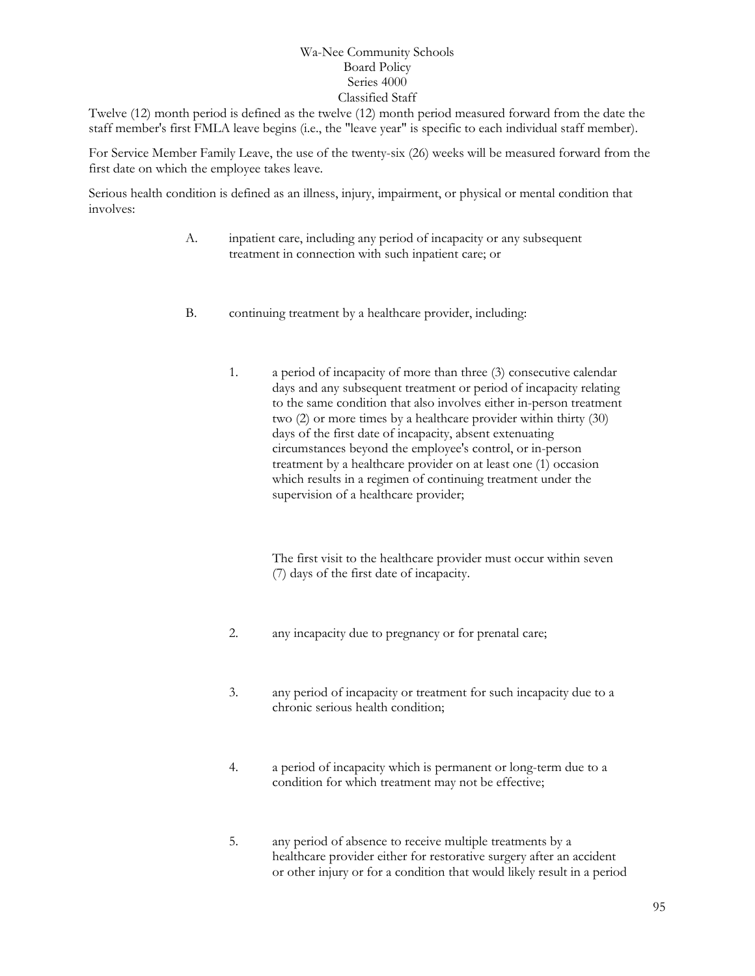Twelve (12) month period is defined as the twelve (12) month period measured forward from the date the staff member's first FMLA leave begins (i.e., the "leave year" is specific to each individual staff member).

For Service Member Family Leave, the use of the twenty-six (26) weeks will be measured forward from the first date on which the employee takes leave.

Serious health condition is defined as an illness, injury, impairment, or physical or mental condition that involves:

- A. inpatient care, including any period of incapacity or any subsequent treatment in connection with such inpatient care; or
- B. continuing treatment by a healthcare provider, including:
	- 1. a period of incapacity of more than three (3) consecutive calendar days and any subsequent treatment or period of incapacity relating to the same condition that also involves either in-person treatment two (2) or more times by a healthcare provider within thirty (30) days of the first date of incapacity, absent extenuating circumstances beyond the employee's control, or in-person treatment by a healthcare provider on at least one (1) occasion which results in a regimen of continuing treatment under the supervision of a healthcare provider;

The first visit to the healthcare provider must occur within seven (7) days of the first date of incapacity.

- 2. any incapacity due to pregnancy or for prenatal care;
- 3. any period of incapacity or treatment for such incapacity due to a chronic serious health condition;
- 4. a period of incapacity which is permanent or long-term due to a condition for which treatment may not be effective;
- 5. any period of absence to receive multiple treatments by a healthcare provider either for restorative surgery after an accident or other injury or for a condition that would likely result in a period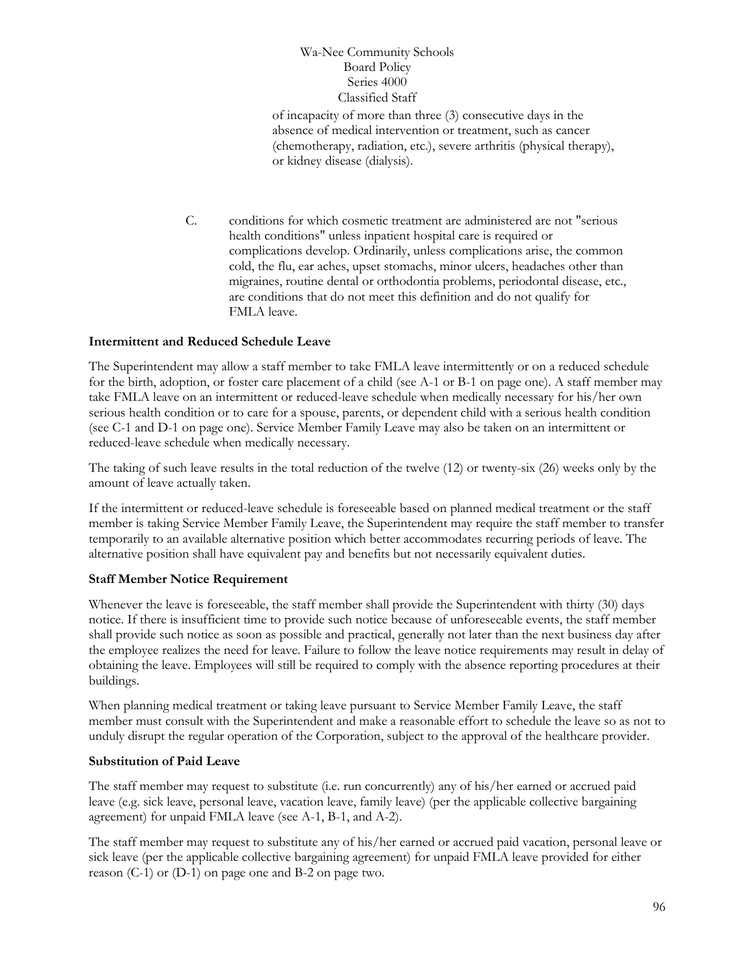of incapacity of more than three (3) consecutive days in the absence of medical intervention or treatment, such as cancer (chemotherapy, radiation, etc.), severe arthritis (physical therapy), or kidney disease (dialysis).

C. conditions for which cosmetic treatment are administered are not "serious health conditions" unless inpatient hospital care is required or complications develop. Ordinarily, unless complications arise, the common cold, the flu, ear aches, upset stomachs, minor ulcers, headaches other than migraines, routine dental or orthodontia problems, periodontal disease, etc., are conditions that do not meet this definition and do not qualify for FMLA leave.

### **Intermittent and Reduced Schedule Leave**

The Superintendent may allow a staff member to take FMLA leave intermittently or on a reduced schedule for the birth, adoption, or foster care placement of a child (see A-1 or B-1 on page one). A staff member may take FMLA leave on an intermittent or reduced-leave schedule when medically necessary for his/her own serious health condition or to care for a spouse, parents, or dependent child with a serious health condition (see C-1 and D-1 on page one). Service Member Family Leave may also be taken on an intermittent or reduced-leave schedule when medically necessary.

The taking of such leave results in the total reduction of the twelve (12) or twenty-six (26) weeks only by the amount of leave actually taken.

If the intermittent or reduced-leave schedule is foreseeable based on planned medical treatment or the staff member is taking Service Member Family Leave, the Superintendent may require the staff member to transfer temporarily to an available alternative position which better accommodates recurring periods of leave. The alternative position shall have equivalent pay and benefits but not necessarily equivalent duties.

### **Staff Member Notice Requirement**

Whenever the leave is foreseeable, the staff member shall provide the Superintendent with thirty (30) days notice. If there is insufficient time to provide such notice because of unforeseeable events, the staff member shall provide such notice as soon as possible and practical, generally not later than the next business day after the employee realizes the need for leave. Failure to follow the leave notice requirements may result in delay of obtaining the leave. Employees will still be required to comply with the absence reporting procedures at their buildings.

When planning medical treatment or taking leave pursuant to Service Member Family Leave, the staff member must consult with the Superintendent and make a reasonable effort to schedule the leave so as not to unduly disrupt the regular operation of the Corporation, subject to the approval of the healthcare provider.

### **Substitution of Paid Leave**

The staff member may request to substitute (i.e. run concurrently) any of his/her earned or accrued paid leave (e.g. sick leave, personal leave, vacation leave, family leave) (per the applicable collective bargaining agreement) for unpaid FMLA leave (see A-1, B-1, and A-2).

The staff member may request to substitute any of his/her earned or accrued paid vacation, personal leave or sick leave (per the applicable collective bargaining agreement) for unpaid FMLA leave provided for either reason (C-1) or (D-1) on page one and B-2 on page two.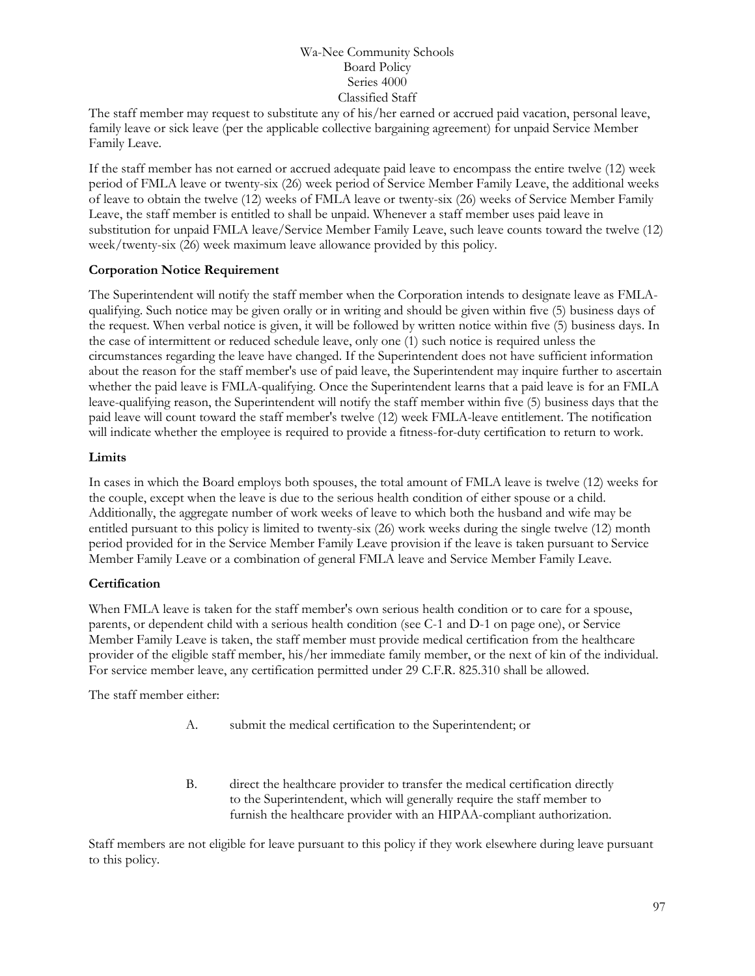The staff member may request to substitute any of his/her earned or accrued paid vacation, personal leave, family leave or sick leave (per the applicable collective bargaining agreement) for unpaid Service Member Family Leave.

If the staff member has not earned or accrued adequate paid leave to encompass the entire twelve (12) week period of FMLA leave or twenty-six (26) week period of Service Member Family Leave, the additional weeks of leave to obtain the twelve (12) weeks of FMLA leave or twenty-six (26) weeks of Service Member Family Leave, the staff member is entitled to shall be unpaid. Whenever a staff member uses paid leave in substitution for unpaid FMLA leave/Service Member Family Leave, such leave counts toward the twelve (12) week/twenty-six (26) week maximum leave allowance provided by this policy.

## **Corporation Notice Requirement**

The Superintendent will notify the staff member when the Corporation intends to designate leave as FMLAqualifying. Such notice may be given orally or in writing and should be given within five (5) business days of the request. When verbal notice is given, it will be followed by written notice within five (5) business days. In the case of intermittent or reduced schedule leave, only one (1) such notice is required unless the circumstances regarding the leave have changed. If the Superintendent does not have sufficient information about the reason for the staff member's use of paid leave, the Superintendent may inquire further to ascertain whether the paid leave is FMLA-qualifying. Once the Superintendent learns that a paid leave is for an FMLA leave-qualifying reason, the Superintendent will notify the staff member within five (5) business days that the paid leave will count toward the staff member's twelve (12) week FMLA-leave entitlement. The notification will indicate whether the employee is required to provide a fitness-for-duty certification to return to work.

### **Limits**

In cases in which the Board employs both spouses, the total amount of FMLA leave is twelve (12) weeks for the couple, except when the leave is due to the serious health condition of either spouse or a child. Additionally, the aggregate number of work weeks of leave to which both the husband and wife may be entitled pursuant to this policy is limited to twenty-six (26) work weeks during the single twelve (12) month period provided for in the Service Member Family Leave provision if the leave is taken pursuant to Service Member Family Leave or a combination of general FMLA leave and Service Member Family Leave.

## **Certification**

When FMLA leave is taken for the staff member's own serious health condition or to care for a spouse, parents, or dependent child with a serious health condition (see C-1 and D-1 on page one), or Service Member Family Leave is taken, the staff member must provide medical certification from the healthcare provider of the eligible staff member, his/her immediate family member, or the next of kin of the individual. For service member leave, any certification permitted under 29 C.F.R. 825.310 shall be allowed.

The staff member either:

- A. submit the medical certification to the Superintendent; or
- B. direct the healthcare provider to transfer the medical certification directly to the Superintendent, which will generally require the staff member to furnish the healthcare provider with an HIPAA-compliant authorization.

Staff members are not eligible for leave pursuant to this policy if they work elsewhere during leave pursuant to this policy.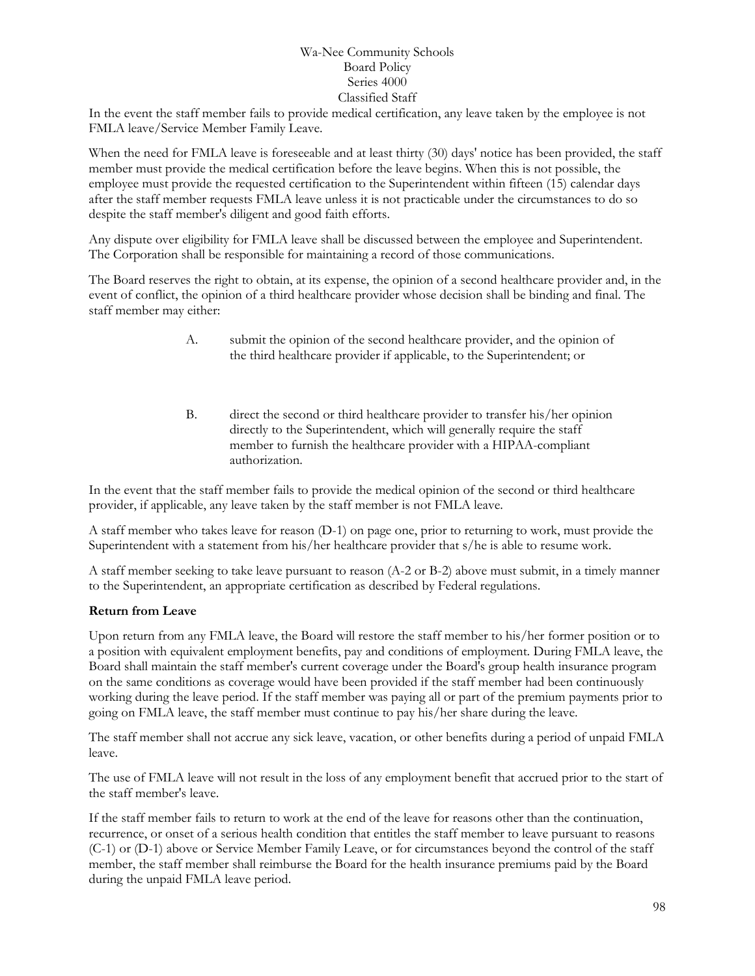In the event the staff member fails to provide medical certification, any leave taken by the employee is not FMLA leave/Service Member Family Leave.

When the need for FMLA leave is foreseeable and at least thirty (30) days' notice has been provided, the staff member must provide the medical certification before the leave begins. When this is not possible, the employee must provide the requested certification to the Superintendent within fifteen (15) calendar days after the staff member requests FMLA leave unless it is not practicable under the circumstances to do so despite the staff member's diligent and good faith efforts.

Any dispute over eligibility for FMLA leave shall be discussed between the employee and Superintendent. The Corporation shall be responsible for maintaining a record of those communications.

The Board reserves the right to obtain, at its expense, the opinion of a second healthcare provider and, in the event of conflict, the opinion of a third healthcare provider whose decision shall be binding and final. The staff member may either:

- A. submit the opinion of the second healthcare provider, and the opinion of the third healthcare provider if applicable, to the Superintendent; or
- B. direct the second or third healthcare provider to transfer his/her opinion directly to the Superintendent, which will generally require the staff member to furnish the healthcare provider with a HIPAA-compliant authorization.

In the event that the staff member fails to provide the medical opinion of the second or third healthcare provider, if applicable, any leave taken by the staff member is not FMLA leave.

A staff member who takes leave for reason (D-1) on page one, prior to returning to work, must provide the Superintendent with a statement from his/her healthcare provider that s/he is able to resume work.

A staff member seeking to take leave pursuant to reason (A-2 or B-2) above must submit, in a timely manner to the Superintendent, an appropriate certification as described by Federal regulations.

### **Return from Leave**

Upon return from any FMLA leave, the Board will restore the staff member to his/her former position or to a position with equivalent employment benefits, pay and conditions of employment. During FMLA leave, the Board shall maintain the staff member's current coverage under the Board's group health insurance program on the same conditions as coverage would have been provided if the staff member had been continuously working during the leave period. If the staff member was paying all or part of the premium payments prior to going on FMLA leave, the staff member must continue to pay his/her share during the leave.

The staff member shall not accrue any sick leave, vacation, or other benefits during a period of unpaid FMLA leave.

The use of FMLA leave will not result in the loss of any employment benefit that accrued prior to the start of the staff member's leave.

If the staff member fails to return to work at the end of the leave for reasons other than the continuation, recurrence, or onset of a serious health condition that entitles the staff member to leave pursuant to reasons (C-1) or (D-1) above or Service Member Family Leave, or for circumstances beyond the control of the staff member, the staff member shall reimburse the Board for the health insurance premiums paid by the Board during the unpaid FMLA leave period.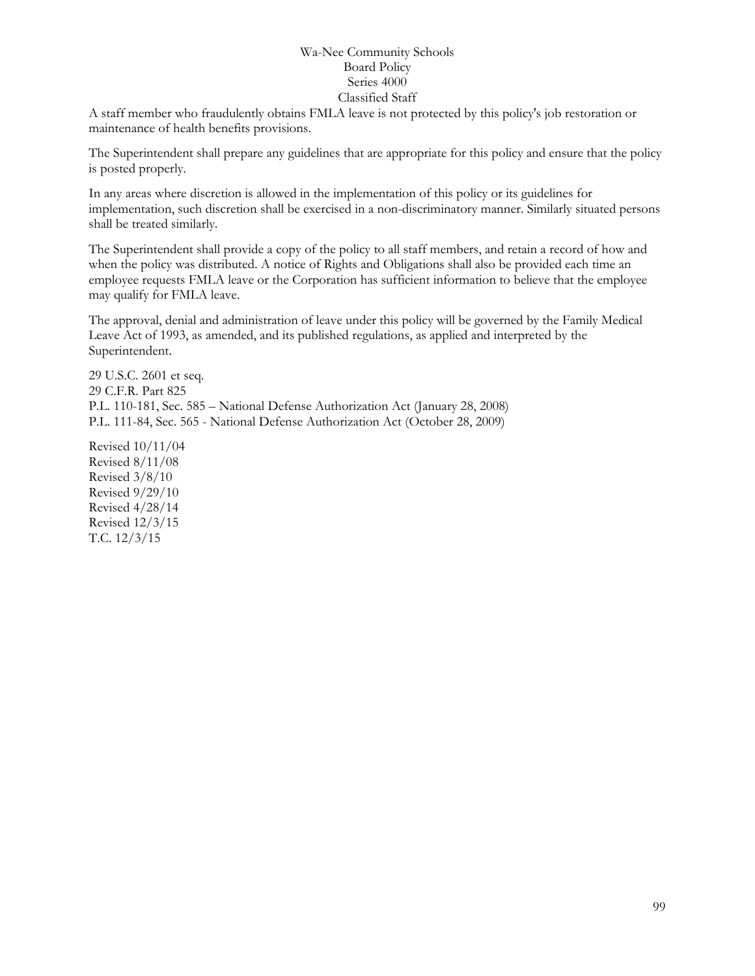A staff member who fraudulently obtains FMLA leave is not protected by this policy's job restoration or maintenance of health benefits provisions.

The Superintendent shall prepare any guidelines that are appropriate for this policy and ensure that the policy is posted properly.

In any areas where discretion is allowed in the implementation of this policy or its guidelines for implementation, such discretion shall be exercised in a non-discriminatory manner. Similarly situated persons shall be treated similarly.

The Superintendent shall provide a copy of the policy to all staff members, and retain a record of how and when the policy was distributed. A notice of Rights and Obligations shall also be provided each time an employee requests FMLA leave or the Corporation has sufficient information to believe that the employee may qualify for FMLA leave.

The approval, denial and administration of leave under this policy will be governed by the Family Medical Leave Act of 1993, as amended, and its published regulations, as applied and interpreted by the Superintendent.

29 U.S.C. 2601 et seq. 29 C.F.R. Part 825 P.L. 110-181, Sec. 585 – National Defense Authorization Act (January 28, 2008) P.L. 111-84, Sec. 565 - National Defense Authorization Act (October 28, 2009)

Revised 10/11/04 Revised 8/11/08 Revised 3/8/10 Revised 9/29/10 Revised 4/28/14 Revised 12/3/15 T.C. 12/3/15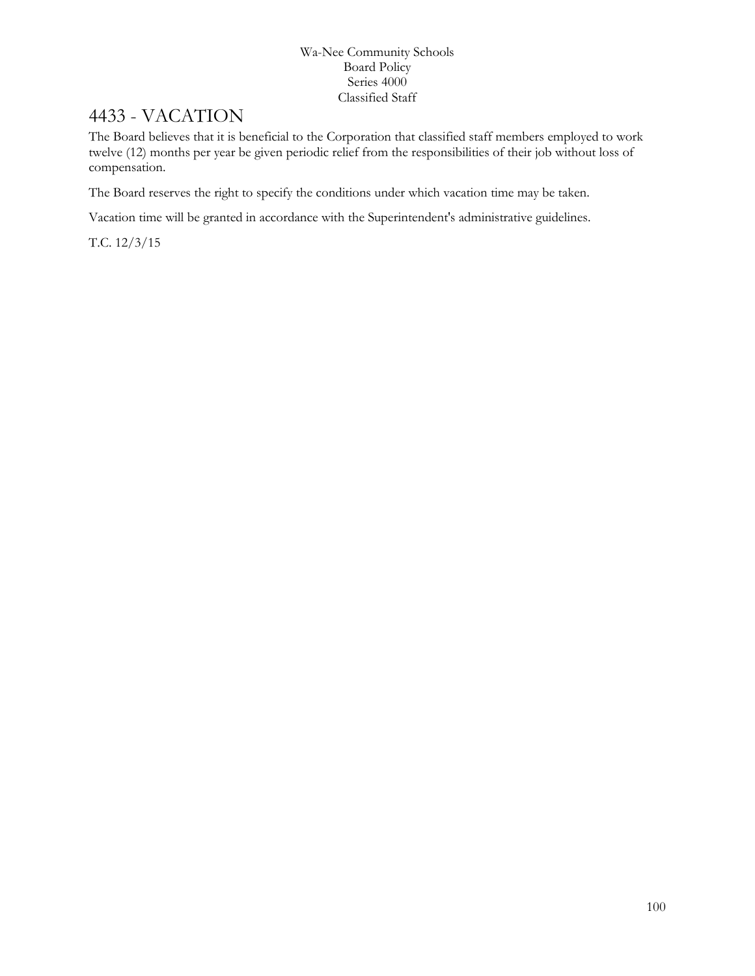# 4433 - VACATION

The Board believes that it is beneficial to the Corporation that classified staff members employed to work twelve (12) months per year be given periodic relief from the responsibilities of their job without loss of compensation.

The Board reserves the right to specify the conditions under which vacation time may be taken.

Vacation time will be granted in accordance with the Superintendent's administrative guidelines.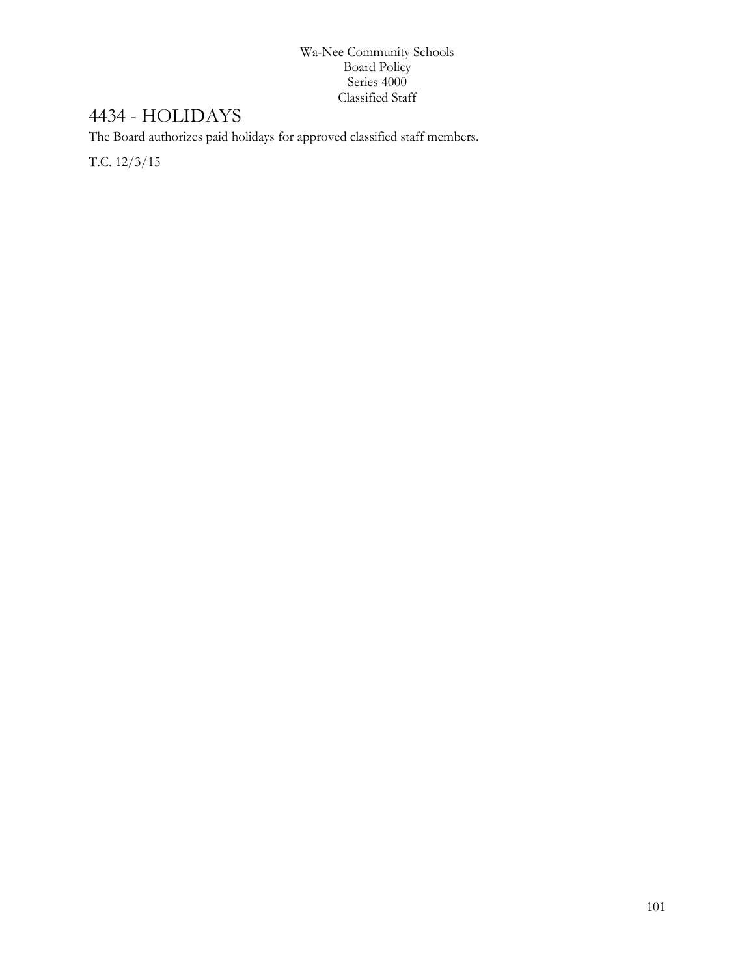# 4434 - HOLIDAYS

The Board authorizes paid holidays for approved classified staff members.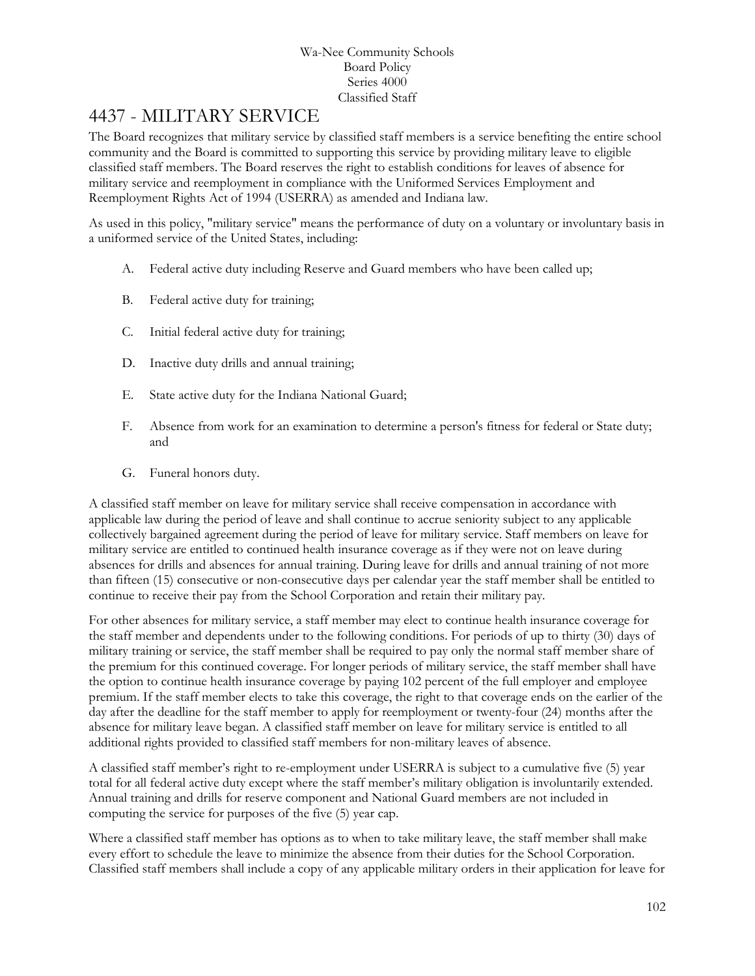# 4437 - MILITARY SERVICE

The Board recognizes that military service by classified staff members is a service benefiting the entire school community and the Board is committed to supporting this service by providing military leave to eligible classified staff members. The Board reserves the right to establish conditions for leaves of absence for military service and reemployment in compliance with the Uniformed Services Employment and Reemployment Rights Act of 1994 (USERRA) as amended and Indiana law.

As used in this policy, "military service" means the performance of duty on a voluntary or involuntary basis in a uniformed service of the United States, including:

- A. Federal active duty including Reserve and Guard members who have been called up;
- B. Federal active duty for training;
- C. Initial federal active duty for training;
- D. Inactive duty drills and annual training;
- E. State active duty for the Indiana National Guard;
- F. Absence from work for an examination to determine a person's fitness for federal or State duty; and
- G. Funeral honors duty.

A classified staff member on leave for military service shall receive compensation in accordance with applicable law during the period of leave and shall continue to accrue seniority subject to any applicable collectively bargained agreement during the period of leave for military service. Staff members on leave for military service are entitled to continued health insurance coverage as if they were not on leave during absences for drills and absences for annual training. During leave for drills and annual training of not more than fifteen (15) consecutive or non-consecutive days per calendar year the staff member shall be entitled to continue to receive their pay from the School Corporation and retain their military pay.

For other absences for military service, a staff member may elect to continue health insurance coverage for the staff member and dependents under to the following conditions. For periods of up to thirty (30) days of military training or service, the staff member shall be required to pay only the normal staff member share of the premium for this continued coverage. For longer periods of military service, the staff member shall have the option to continue health insurance coverage by paying 102 percent of the full employer and employee premium. If the staff member elects to take this coverage, the right to that coverage ends on the earlier of the day after the deadline for the staff member to apply for reemployment or twenty-four (24) months after the absence for military leave began. A classified staff member on leave for military service is entitled to all additional rights provided to classified staff members for non-military leaves of absence.

A classified staff member's right to re-employment under USERRA is subject to a cumulative five (5) year total for all federal active duty except where the staff member's military obligation is involuntarily extended. Annual training and drills for reserve component and National Guard members are not included in computing the service for purposes of the five (5) year cap.

Where a classified staff member has options as to when to take military leave, the staff member shall make every effort to schedule the leave to minimize the absence from their duties for the School Corporation. Classified staff members shall include a copy of any applicable military orders in their application for leave for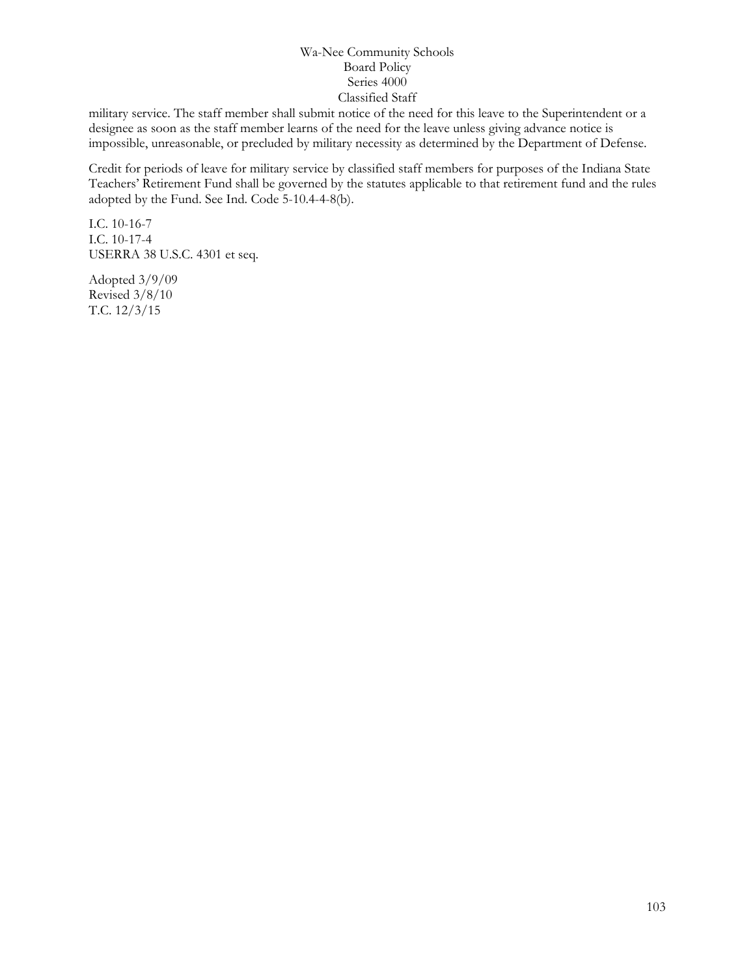military service. The staff member shall submit notice of the need for this leave to the Superintendent or a designee as soon as the staff member learns of the need for the leave unless giving advance notice is impossible, unreasonable, or precluded by military necessity as determined by the Department of Defense.

Credit for periods of leave for military service by classified staff members for purposes of the Indiana State Teachers' Retirement Fund shall be governed by the statutes applicable to that retirement fund and the rules adopted by the Fund. See Ind. Code 5-10.4-4-8(b).

I.C. 10-16-7 I.C. 10-17-4 USERRA 38 U.S.C. 4301 et seq.

Adopted 3/9/09 Revised 3/8/10 T.C. 12/3/15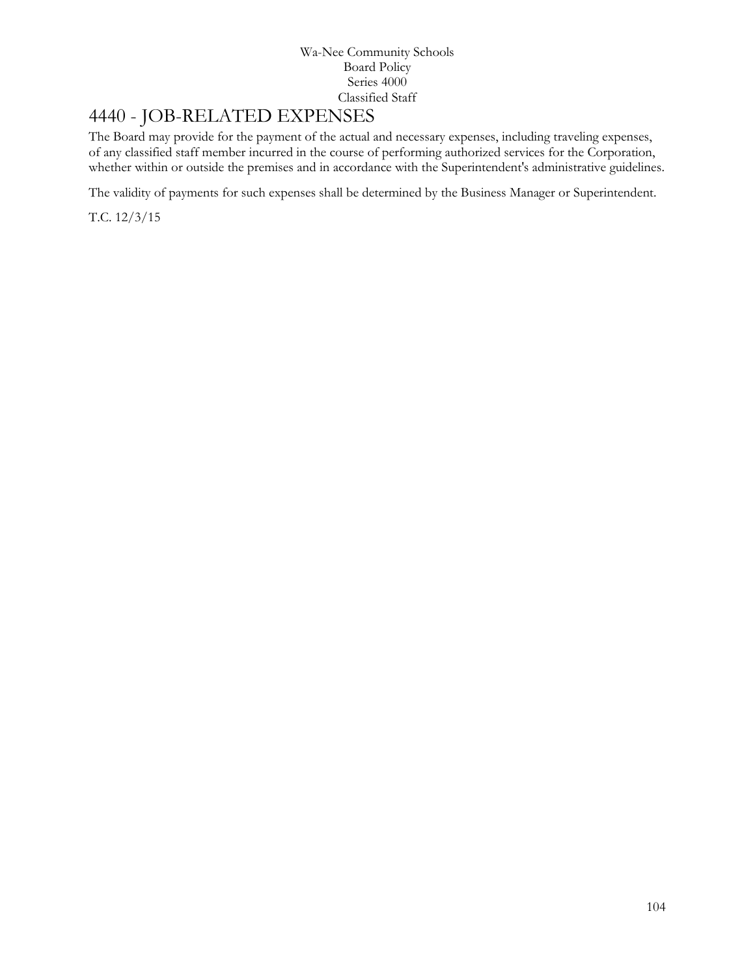# 4440 - JOB-RELATED EXPENSES

The Board may provide for the payment of the actual and necessary expenses, including traveling expenses, of any classified staff member incurred in the course of performing authorized services for the Corporation, whether within or outside the premises and in accordance with the Superintendent's administrative guidelines.

The validity of payments for such expenses shall be determined by the Business Manager or Superintendent.